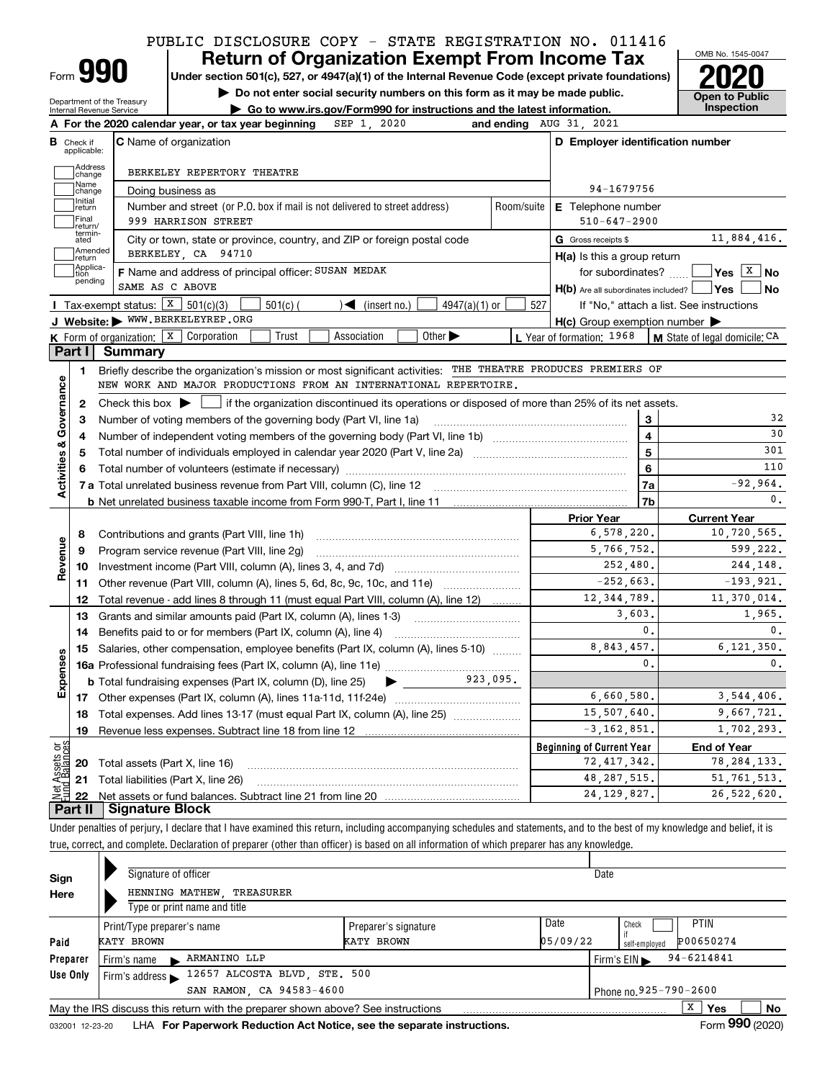# PUBLIC DISCLOSURE COPY - STATE REGISTRATION NO. 011416

Form**990**

Department of the Treasury

# **Return of Organization Exempt From Income Tax**

**Under section 501(c), 527, or 4947(a)(1) of the Internal Revenue Code (except private foundations) 2020**

**| Do not enter social security numbers on this form as it may be made public.**



|                                                |                                  | Go to www.irs.gov/Form990 for instructions and the latest information.<br>Internal Revenue Service                                        |                                                     |              | Inspection                                                                                                                                                               |
|------------------------------------------------|----------------------------------|-------------------------------------------------------------------------------------------------------------------------------------------|-----------------------------------------------------|--------------|--------------------------------------------------------------------------------------------------------------------------------------------------------------------------|
|                                                |                                  | SEP 1, 2020<br>A For the 2020 calendar year, or tax year beginning                                                                        | and ending AUG 31, 2021                             |              |                                                                                                                                                                          |
|                                                | <b>B</b> Check if<br>applicable: | <b>C</b> Name of organization                                                                                                             | D Employer identification number                    |              |                                                                                                                                                                          |
|                                                | Address                          | BERKELEY REPERTORY THEATRE                                                                                                                |                                                     |              |                                                                                                                                                                          |
|                                                | change<br>Name                   | Doing business as                                                                                                                         | 94-1679756                                          |              |                                                                                                                                                                          |
|                                                | change<br>Initial<br>return      | Number and street (or P.O. box if mail is not delivered to street address)<br>Room/suite                                                  | E Telephone number                                  |              |                                                                                                                                                                          |
|                                                | Final                            | 999 HARRISON STREET                                                                                                                       | $510 - 647 - 2900$                                  |              |                                                                                                                                                                          |
|                                                | return/<br>termin-<br>ated       | City or town, state or province, country, and ZIP or foreign postal code                                                                  | G Gross receipts \$                                 |              | 11,884,416.                                                                                                                                                              |
|                                                | Amended<br>return                | BERKELEY, CA 94710                                                                                                                        | H(a) Is this a group return                         |              |                                                                                                                                                                          |
|                                                | Applica-<br>tion                 | F Name and address of principal officer: SUSAN MEDAK                                                                                      | for subordinates? $\Box$                            |              |                                                                                                                                                                          |
|                                                | pending                          | SAME AS C ABOVE                                                                                                                           | $H(b)$ Are all subordinates included?               |              | <b>Yes</b><br>No                                                                                                                                                         |
|                                                |                                  | Tax-exempt status: $\boxed{\textbf{X}}$ 501(c)(3)<br>4947(a)(1) or<br>$501(c)$ (<br>$\sqrt{\bullet}$ (insert no.)                         | 527                                                 |              | If "No," attach a list. See instructions                                                                                                                                 |
|                                                |                                  | J Website: WWW.BERKELEYREP.ORG                                                                                                            | $H(c)$ Group exemption number $\blacktriangleright$ |              |                                                                                                                                                                          |
|                                                |                                  | K Form of organization: X Corporation<br>Association<br>Other $\blacktriangleright$<br>Trust                                              | L Year of formation: 1968                           |              | <b>M</b> State of legal domicile: $CA$                                                                                                                                   |
|                                                | Part I                           | <b>Summary</b>                                                                                                                            |                                                     |              |                                                                                                                                                                          |
|                                                | 1.                               | Briefly describe the organization's mission or most significant activities: THE THEATRE PRODUCES PREMIERS OF                              |                                                     |              |                                                                                                                                                                          |
|                                                |                                  | NEW WORK AND MAJOR PRODUCTIONS FROM AN INTERNATIONAL REPERTOIRE.                                                                          |                                                     |              |                                                                                                                                                                          |
|                                                | 2                                | Check this box $\blacktriangleright$  <br>if the organization discontinued its operations or disposed of more than 25% of its net assets. |                                                     |              |                                                                                                                                                                          |
|                                                | з                                | Number of voting members of the governing body (Part VI, line 1a)                                                                         |                                                     | 3            | 32                                                                                                                                                                       |
|                                                | 4                                |                                                                                                                                           |                                                     | 4            | 30<br>301                                                                                                                                                                |
|                                                | 5                                |                                                                                                                                           |                                                     | 5            | 110                                                                                                                                                                      |
|                                                | 6                                |                                                                                                                                           |                                                     | 6            | $-92,964.$                                                                                                                                                               |
|                                                |                                  |                                                                                                                                           |                                                     | 7a           |                                                                                                                                                                          |
|                                                |                                  |                                                                                                                                           |                                                     |              |                                                                                                                                                                          |
|                                                |                                  |                                                                                                                                           |                                                     | 7b           |                                                                                                                                                                          |
|                                                |                                  |                                                                                                                                           | <b>Prior Year</b>                                   |              | <b>Current Year</b>                                                                                                                                                      |
|                                                | 8                                | Contributions and grants (Part VIII, line 1h)                                                                                             | 6,578,220.                                          |              |                                                                                                                                                                          |
|                                                | 9                                | Program service revenue (Part VIII, line 2g)                                                                                              | 5,766,752.                                          |              |                                                                                                                                                                          |
|                                                |                                  |                                                                                                                                           | 252,480.                                            |              |                                                                                                                                                                          |
|                                                |                                  | Other revenue (Part VIII, column (A), lines 5, 6d, 8c, 9c, 10c, and 11e)                                                                  | $-252,663.$<br>12, 344, 789.                        |              |                                                                                                                                                                          |
|                                                |                                  | Total revenue - add lines 8 through 11 (must equal Part VIII, column (A), line 12)                                                        | 3,603.                                              |              |                                                                                                                                                                          |
|                                                | 10<br>11<br>12<br>13<br>14       | Grants and similar amounts paid (Part IX, column (A), lines 1-3)<br>Benefits paid to or for members (Part IX, column (A), line 4)         |                                                     | $^{\circ}$ . |                                                                                                                                                                          |
|                                                |                                  | Salaries, other compensation, employee benefits (Part IX, column (A), lines 5-10)                                                         | 8,843,457.                                          |              |                                                                                                                                                                          |
|                                                | 15                               |                                                                                                                                           |                                                     | 0.           |                                                                                                                                                                          |
|                                                |                                  | 923,095.<br><b>b</b> Total fundraising expenses (Part IX, column (D), line 25) $\rightarrow$                                              |                                                     |              |                                                                                                                                                                          |
|                                                |                                  |                                                                                                                                           | 6,660,580.                                          |              |                                                                                                                                                                          |
|                                                |                                  | 18 Total expenses. Add lines 13-17 (must equal Part IX, column (A), line 25)                                                              | 15,507,640.                                         |              |                                                                                                                                                                          |
|                                                | 19                               |                                                                                                                                           | $-3, 162, 851.$                                     |              |                                                                                                                                                                          |
|                                                |                                  |                                                                                                                                           | <b>Beginning of Current Year</b>                    |              | <b>End of Year</b>                                                                                                                                                       |
|                                                | 20                               | Total assets (Part X, line 16)                                                                                                            | 72, 417, 342.                                       |              | 0.<br>10,720,565.<br>599,222.<br>244,148.<br>$-193,921.$<br>11,370,014.<br>1,965.<br>0.<br>6, 121, 350.<br>0.<br>3,544,406.<br>9,667,721.<br>1,702,293.<br>78, 284, 133. |
| Revenue<br>Expenses<br>Assets or<br>1 Balances | 21                               | Total liabilities (Part X, line 26)                                                                                                       | 48, 287, 515.<br>24, 129, 827.                      |              | 51, 761, 513.<br>26,522,620.                                                                                                                                             |

true, correct, and complete. Declaration of preparer (other than officer) is based on all information of which preparer has any knowledge.

| Sign     | Signature of officer                                                            |                        | Date     |                                                    |
|----------|---------------------------------------------------------------------------------|------------------------|----------|----------------------------------------------------|
| Here     | HENNING MATHEW, TREASURER                                                       |                        |          |                                                    |
|          | Type or print name and title                                                    |                        |          |                                                    |
|          | Print/Type preparer's name                                                      | Preparer's signature   | Date     | <b>PTIN</b><br>Check                               |
| Paid     | KATY BROWN                                                                      | KATY BROWN             | 05/09/22 | P00650274<br>self-emploved                         |
| Preparer | ARMANINO LLP<br>Firm's name                                                     |                        |          | $94 - 6214841$<br>Firm's $EIN \blacktriangleright$ |
| Use Only | 12657 ALCOSTA BLVD, STE. 500<br>Firm's address $\blacktriangleright$            |                        |          |                                                    |
|          | SAN RAMON, CA 94583-4600                                                        | Phone no. 925-790-2600 |          |                                                    |
|          | May the IRS discuss this return with the preparer shown above? See instructions |                        |          | X<br>No<br>Yes                                     |
|          |                                                                                 |                        |          | $000 \div 100$                                     |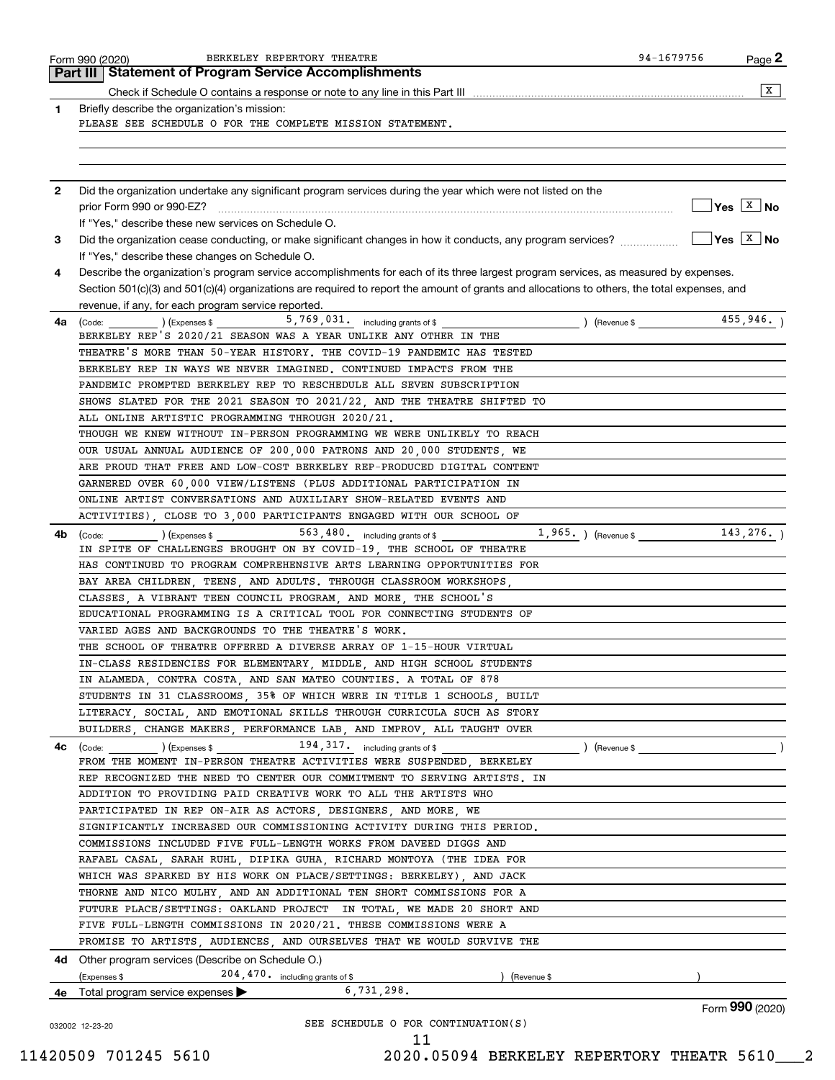|              | BERKELEY REPERTORY THEATRE<br>Form 990 (2020)<br>Part III   Statement of Program Service Accomplishments                                                        | 94-1679756 | Page 2                                             |
|--------------|-----------------------------------------------------------------------------------------------------------------------------------------------------------------|------------|----------------------------------------------------|
|              |                                                                                                                                                                 |            | $\overline{\mathbf{x}}$                            |
| 1            | Briefly describe the organization's mission:                                                                                                                    |            |                                                    |
|              | PLEASE SEE SCHEDULE O FOR THE COMPLETE MISSION STATEMENT.                                                                                                       |            |                                                    |
|              |                                                                                                                                                                 |            |                                                    |
|              |                                                                                                                                                                 |            |                                                    |
|              |                                                                                                                                                                 |            |                                                    |
| $\mathbf{2}$ | Did the organization undertake any significant program services during the year which were not listed on the                                                    |            |                                                    |
|              |                                                                                                                                                                 |            | $\sqrt{Y}$ es $X$ No                               |
|              | If "Yes." describe these new services on Schedule O.                                                                                                            |            | $\boxed{\phantom{1}}$ Yes $\boxed{\phantom{1}}$ No |
| 3            | Did the organization cease conducting, or make significant changes in how it conducts, any program services?<br>If "Yes," describe these changes on Schedule O. |            |                                                    |
| 4            | Describe the organization's program service accomplishments for each of its three largest program services, as measured by expenses.                            |            |                                                    |
|              | Section 501(c)(3) and 501(c)(4) organizations are required to report the amount of grants and allocations to others, the total expenses, and                    |            |                                                    |
|              | revenue, if any, for each program service reported.                                                                                                             |            |                                                    |
| 4a l         | $\Box$ ) (Expenses \$ _______________5, 769, 031, including grants of \$<br>(Code:                                                                              |            |                                                    |
|              | BERKELEY REP'S 2020/21 SEASON WAS A YEAR UNLIKE ANY OTHER IN THE                                                                                                |            |                                                    |
|              | THEATRE'S MORE THAN 50-YEAR HISTORY. THE COVID-19 PANDEMIC HAS TESTED                                                                                           |            |                                                    |
|              | BERKELEY REP IN WAYS WE NEVER IMAGINED. CONTINUED IMPACTS FROM THE                                                                                              |            |                                                    |
|              | PANDEMIC PROMPTED BERKELEY REP TO RESCHEDULE ALL SEVEN SUBSCRIPTION                                                                                             |            |                                                    |
|              | SHOWS SLATED FOR THE 2021 SEASON TO 2021/22. AND THE THEATRE SHIFTED TO                                                                                         |            |                                                    |
|              | ALL ONLINE ARTISTIC PROGRAMMING THROUGH 2020/21.                                                                                                                |            |                                                    |
|              | THOUGH WE KNEW WITHOUT IN-PERSON PROGRAMMING WE WERE UNLIKELY TO REACH                                                                                          |            |                                                    |
|              | OUR USUAL ANNUAL AUDIENCE OF 200,000 PATRONS AND 20,000 STUDENTS, WE                                                                                            |            |                                                    |
|              | ARE PROUD THAT FREE AND LOW-COST BERKELEY REP-PRODUCED DIGITAL CONTENT                                                                                          |            |                                                    |
|              | GARNERED OVER 60,000 VIEW/LISTENS (PLUS ADDITIONAL PARTICIPATION IN                                                                                             |            |                                                    |
|              | ONLINE ARTIST CONVERSATIONS AND AUXILIARY SHOW-RELATED EVENTS AND                                                                                               |            |                                                    |
|              | ACTIVITIES), CLOSE TO 3,000 PARTICIPANTS ENGAGED WITH OUR SCHOOL OF                                                                                             |            |                                                    |
| 4b           | $1,965.$ (Revenue \$ 143,276.)<br>(Code: (Code: ) (Expenses \$ 563,480. including grants of \$                                                                  |            |                                                    |
|              | IN SPITE OF CHALLENGES BROUGHT ON BY COVID-19, THE SCHOOL OF THEATRE                                                                                            |            |                                                    |
|              | HAS CONTINUED TO PROGRAM COMPREHENSIVE ARTS LEARNING OPPORTUNITIES FOR                                                                                          |            |                                                    |
|              | BAY AREA CHILDREN, TEENS, AND ADULTS, THROUGH CLASSROOM WORKSHOPS,                                                                                              |            |                                                    |
|              | CLASSES, A VIBRANT TEEN COUNCIL PROGRAM, AND MORE, THE SCHOOL'S                                                                                                 |            |                                                    |
|              | EDUCATIONAL PROGRAMMING IS A CRITICAL TOOL FOR CONNECTING STUDENTS OF                                                                                           |            |                                                    |
|              | VARIED AGES AND BACKGROUNDS TO THE THEATRE'S WORK.                                                                                                              |            |                                                    |
|              | THE SCHOOL OF THEATRE OFFERED A DIVERSE ARRAY OF 1-15-HOUR VIRTUAL                                                                                              |            |                                                    |
|              | IN-CLASS RESIDENCIES FOR ELEMENTARY, MIDDLE, AND HIGH SCHOOL STUDENTS                                                                                           |            |                                                    |
|              | IN ALAMEDA, CONTRA COSTA, AND SAN MATEO COUNTIES. A TOTAL OF 878                                                                                                |            |                                                    |
|              | STUDENTS IN 31 CLASSROOMS, 35% OF WHICH WERE IN TITLE 1 SCHOOLS, BUILT                                                                                          |            |                                                    |
|              | LITERACY SOCIAL AND EMOTIONAL SKILLS THROUGH CURRICULA SUCH AS STORY                                                                                            |            |                                                    |
|              | BUILDERS, CHANGE MAKERS, PERFORMANCE LAB, AND IMPROV, ALL TAUGHT OVER                                                                                           |            |                                                    |
| 4c           | ) (Revenue \$<br>(Code:<br>FROM THE MOMENT IN-PERSON THEATRE ACTIVITIES WERE SUSPENDED, BERKELEY                                                                |            |                                                    |
|              | REP RECOGNIZED THE NEED TO CENTER OUR COMMITMENT TO SERVING ARTISTS. IN                                                                                         |            |                                                    |
|              | ADDITION TO PROVIDING PAID CREATIVE WORK TO ALL THE ARTISTS WHO                                                                                                 |            |                                                    |
|              | PARTICIPATED IN REP ON-AIR AS ACTORS, DESIGNERS, AND MORE, WE                                                                                                   |            |                                                    |
|              | SIGNIFICANTLY INCREASED OUR COMMISSIONING ACTIVITY DURING THIS PERIOD.                                                                                          |            |                                                    |
|              | COMMISSIONS INCLUDED FIVE FULL-LENGTH WORKS FROM DAVEED DIGGS AND                                                                                               |            |                                                    |
|              | RAFAEL CASAL, SARAH RUHL, DIPIKA GUHA, RICHARD MONTOYA (THE IDEA FOR                                                                                            |            |                                                    |
|              | WHICH WAS SPARKED BY HIS WORK ON PLACE/SETTINGS: BERKELEY), AND JACK                                                                                            |            |                                                    |
|              | THORNE AND NICO MULHY, AND AN ADDITIONAL TEN SHORT COMMISSIONS FOR A                                                                                            |            |                                                    |
|              | FUTURE PLACE/SETTINGS: OAKLAND PROJECT IN TOTAL, WE MADE 20 SHORT AND                                                                                           |            |                                                    |
|              | FIVE FULL-LENGTH COMMISSIONS IN 2020/21. THESE COMMISSIONS WERE A                                                                                               |            |                                                    |
|              | PROMISE TO ARTISTS, AUDIENCES, AND OURSELVES THAT WE WOULD SURVIVE THE                                                                                          |            |                                                    |
|              | <b>4d</b> Other program services (Describe on Schedule O.)                                                                                                      |            |                                                    |
|              | $204, 470$ including grants of \$<br>(Expenses \$<br>(Revenue \$                                                                                                |            |                                                    |
| 4e           | 6,731,298.<br>Total program service expenses                                                                                                                    |            |                                                    |
|              |                                                                                                                                                                 |            | Form 990 (2020)                                    |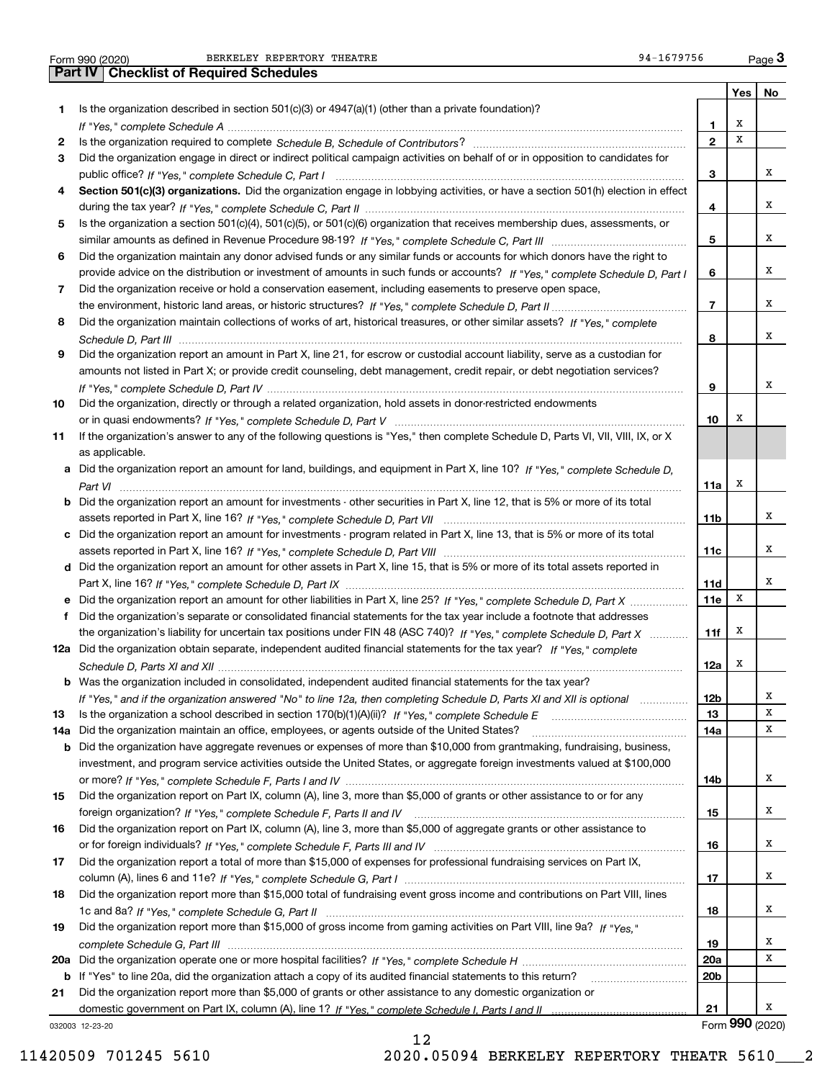|  | Form 990 (2020 |  |
|--|----------------|--|

Form 990 (2020) Page **3Part IV Checklist of Required Schedules** BERKELEY REPERTORY THEATRE 94-1679756

|     |                                                                                                                                       |                 | Yes         | No              |
|-----|---------------------------------------------------------------------------------------------------------------------------------------|-----------------|-------------|-----------------|
| 1   | Is the organization described in section $501(c)(3)$ or $4947(a)(1)$ (other than a private foundation)?                               |                 |             |                 |
|     |                                                                                                                                       | 1.              | х           |                 |
| 2   |                                                                                                                                       | $\mathbf{2}$    | $\mathbf x$ |                 |
| 3   | Did the organization engage in direct or indirect political campaign activities on behalf of or in opposition to candidates for       |                 |             |                 |
|     |                                                                                                                                       | 3               |             | х               |
| 4   | Section 501(c)(3) organizations. Did the organization engage in lobbying activities, or have a section 501(h) election in effect      |                 |             |                 |
|     |                                                                                                                                       | 4               |             | х               |
| 5   | Is the organization a section 501(c)(4), 501(c)(5), or 501(c)(6) organization that receives membership dues, assessments, or          |                 |             |                 |
|     |                                                                                                                                       | 5               |             | x               |
| 6   | Did the organization maintain any donor advised funds or any similar funds or accounts for which donors have the right to             |                 |             |                 |
|     | provide advice on the distribution or investment of amounts in such funds or accounts? If "Yes," complete Schedule D, Part I          | 6               |             | х               |
| 7   | Did the organization receive or hold a conservation easement, including easements to preserve open space,                             |                 |             |                 |
|     |                                                                                                                                       | $\overline{7}$  |             | х               |
| 8   | Did the organization maintain collections of works of art, historical treasures, or other similar assets? If "Yes," complete          |                 |             |                 |
|     |                                                                                                                                       | 8               |             | х               |
| 9   | Did the organization report an amount in Part X, line 21, for escrow or custodial account liability, serve as a custodian for         |                 |             |                 |
|     | amounts not listed in Part X; or provide credit counseling, debt management, credit repair, or debt negotiation services?             |                 |             |                 |
|     |                                                                                                                                       | 9               |             | х               |
| 10  | Did the organization, directly or through a related organization, hold assets in donor-restricted endowments                          |                 |             |                 |
|     |                                                                                                                                       | 10              | х           |                 |
| 11  | If the organization's answer to any of the following questions is "Yes," then complete Schedule D, Parts VI, VII, VIII, IX, or X      |                 |             |                 |
|     | as applicable.                                                                                                                        |                 |             |                 |
|     | a Did the organization report an amount for land, buildings, and equipment in Part X, line 10? If "Yes," complete Schedule D,         |                 |             |                 |
|     |                                                                                                                                       | 11a             | х           |                 |
|     | <b>b</b> Did the organization report an amount for investments - other securities in Part X, line 12, that is 5% or more of its total |                 |             |                 |
|     |                                                                                                                                       | 11b             |             | х               |
|     | c Did the organization report an amount for investments - program related in Part X, line 13, that is 5% or more of its total         |                 |             |                 |
|     |                                                                                                                                       | 11c             |             | х               |
|     | d Did the organization report an amount for other assets in Part X, line 15, that is 5% or more of its total assets reported in       |                 |             |                 |
|     |                                                                                                                                       | <b>11d</b>      |             | х               |
|     | e Did the organization report an amount for other liabilities in Part X, line 25? If "Yes," complete Schedule D, Part X               | <b>11e</b>      | X           |                 |
| f   | Did the organization's separate or consolidated financial statements for the tax year include a footnote that addresses               |                 |             |                 |
|     | the organization's liability for uncertain tax positions under FIN 48 (ASC 740)? If "Yes," complete Schedule D, Part X                | 11f             | Х           |                 |
|     | 12a Did the organization obtain separate, independent audited financial statements for the tax year? If "Yes," complete               |                 |             |                 |
|     |                                                                                                                                       | 12a             | х           |                 |
|     | <b>b</b> Was the organization included in consolidated, independent audited financial statements for the tax year?                    |                 |             |                 |
|     | If "Yes," and if the organization answered "No" to line 12a, then completing Schedule D, Parts XI and XII is optional                 | 12b             |             | x               |
| 13  |                                                                                                                                       | 13              |             | X               |
| 14a | Did the organization maintain an office, employees, or agents outside of the United States?                                           | 14a             |             | х               |
| b   | Did the organization have aggregate revenues or expenses of more than \$10,000 from grantmaking, fundraising, business,               |                 |             |                 |
|     | investment, and program service activities outside the United States, or aggregate foreign investments valued at \$100,000            |                 |             |                 |
|     |                                                                                                                                       | 14b             |             | х               |
| 15  | Did the organization report on Part IX, column (A), line 3, more than \$5,000 of grants or other assistance to or for any             |                 |             |                 |
|     |                                                                                                                                       | 15              |             | х               |
| 16  | Did the organization report on Part IX, column (A), line 3, more than \$5,000 of aggregate grants or other assistance to              |                 |             |                 |
|     |                                                                                                                                       | 16              |             | х               |
| 17  | Did the organization report a total of more than \$15,000 of expenses for professional fundraising services on Part IX,               |                 |             |                 |
|     |                                                                                                                                       | 17              |             | х               |
| 18  | Did the organization report more than \$15,000 total of fundraising event gross income and contributions on Part VIII, lines          |                 |             |                 |
|     |                                                                                                                                       | 18              |             | х               |
| 19  | Did the organization report more than \$15,000 of gross income from gaming activities on Part VIII, line 9a? If "Yes."                |                 |             |                 |
|     |                                                                                                                                       | 19              |             | х               |
| 20a |                                                                                                                                       | <b>20a</b>      |             | х               |
| b   | If "Yes" to line 20a, did the organization attach a copy of its audited financial statements to this return?                          | 20 <sub>b</sub> |             |                 |
| 21  | Did the organization report more than \$5,000 of grants or other assistance to any domestic organization or                           |                 |             |                 |
|     |                                                                                                                                       | 21              |             | х               |
|     | 032003 12-23-20                                                                                                                       |                 |             | Form 990 (2020) |

12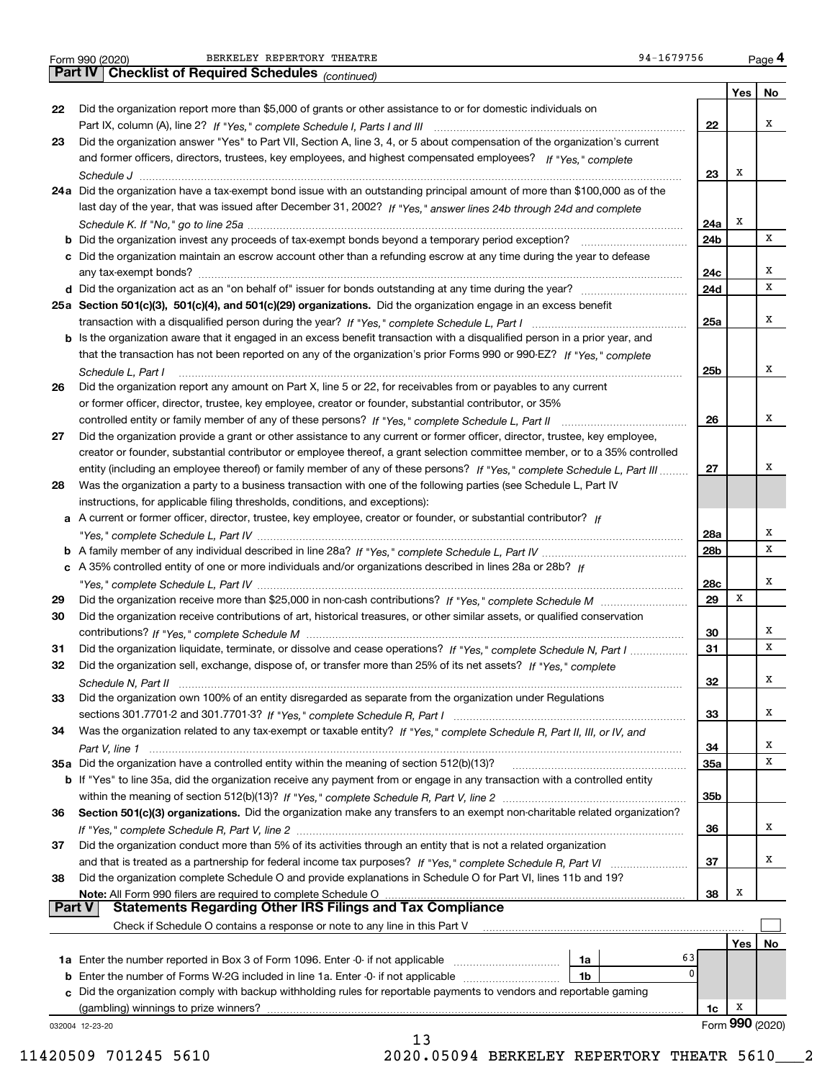Form 990 (2020) BERKELEY REPERTORY THEATRE 94-1679756 <sub>Page</sub> 4<br>**Part IV | Checklist of Required Schedules** <sub>(continued)</sub>

|               | Pall IV  <br>Criecklist of Required Scriedules (continued)                                                                                                                                                                                            |     |     |                 |
|---------------|-------------------------------------------------------------------------------------------------------------------------------------------------------------------------------------------------------------------------------------------------------|-----|-----|-----------------|
|               |                                                                                                                                                                                                                                                       |     | Yes | No              |
| 22            | Did the organization report more than \$5,000 of grants or other assistance to or for domestic individuals on                                                                                                                                         |     |     |                 |
|               |                                                                                                                                                                                                                                                       | 22  |     | х               |
| 23            | Did the organization answer "Yes" to Part VII, Section A, line 3, 4, or 5 about compensation of the organization's current                                                                                                                            |     |     |                 |
|               | and former officers, directors, trustees, key employees, and highest compensated employees? If "Yes," complete                                                                                                                                        |     |     |                 |
|               |                                                                                                                                                                                                                                                       | 23  | х   |                 |
|               | 24a Did the organization have a tax-exempt bond issue with an outstanding principal amount of more than \$100,000 as of the                                                                                                                           |     |     |                 |
|               | last day of the year, that was issued after December 31, 2002? If "Yes," answer lines 24b through 24d and complete                                                                                                                                    |     |     |                 |
|               |                                                                                                                                                                                                                                                       | 24a | х   |                 |
|               |                                                                                                                                                                                                                                                       | 24b |     | х               |
|               | c Did the organization maintain an escrow account other than a refunding escrow at any time during the year to defease                                                                                                                                |     |     | х               |
|               |                                                                                                                                                                                                                                                       | 24c |     | х               |
|               |                                                                                                                                                                                                                                                       | 24d |     |                 |
|               | 25a Section 501(c)(3), 501(c)(4), and 501(c)(29) organizations. Did the organization engage in an excess benefit                                                                                                                                      | 25a |     | х               |
|               |                                                                                                                                                                                                                                                       |     |     |                 |
|               | b Is the organization aware that it engaged in an excess benefit transaction with a disqualified person in a prior year, and<br>that the transaction has not been reported on any of the organization's prior Forms 990 or 990-EZ? If "Yes," complete |     |     |                 |
|               |                                                                                                                                                                                                                                                       | 25b |     | х               |
| 26            | Schedule L, Part I<br>Did the organization report any amount on Part X, line 5 or 22, for receivables from or payables to any current                                                                                                                 |     |     |                 |
|               | or former officer, director, trustee, key employee, creator or founder, substantial contributor, or 35%                                                                                                                                               |     |     |                 |
|               |                                                                                                                                                                                                                                                       | 26  |     | х               |
| 27            | Did the organization provide a grant or other assistance to any current or former officer, director, trustee, key employee,                                                                                                                           |     |     |                 |
|               | creator or founder, substantial contributor or employee thereof, a grant selection committee member, or to a 35% controlled                                                                                                                           |     |     |                 |
|               | entity (including an employee thereof) or family member of any of these persons? If "Yes," complete Schedule L, Part III                                                                                                                              | 27  |     | х               |
| 28            | Was the organization a party to a business transaction with one of the following parties (see Schedule L, Part IV                                                                                                                                     |     |     |                 |
|               | instructions, for applicable filing thresholds, conditions, and exceptions):                                                                                                                                                                          |     |     |                 |
|               | a A current or former officer, director, trustee, key employee, creator or founder, or substantial contributor? If                                                                                                                                    |     |     |                 |
|               |                                                                                                                                                                                                                                                       | 28a |     | х               |
|               |                                                                                                                                                                                                                                                       | 28b |     | х               |
|               | c A 35% controlled entity of one or more individuals and/or organizations described in lines 28a or 28b? If                                                                                                                                           |     |     |                 |
|               |                                                                                                                                                                                                                                                       | 28c |     | х               |
| 29            |                                                                                                                                                                                                                                                       | 29  | х   |                 |
| 30            | Did the organization receive contributions of art, historical treasures, or other similar assets, or qualified conservation                                                                                                                           |     |     |                 |
|               |                                                                                                                                                                                                                                                       | 30  |     | х               |
| 31            | Did the organization liquidate, terminate, or dissolve and cease operations? If "Yes," complete Schedule N, Part I                                                                                                                                    | 31  |     | х               |
| 32            | Did the organization sell, exchange, dispose of, or transfer more than 25% of its net assets? If "Yes," complete                                                                                                                                      |     |     |                 |
|               | Schedule N. Part II                                                                                                                                                                                                                                   | 32  |     | х               |
| 33            | Did the organization own 100% of an entity disregarded as separate from the organization under Regulations                                                                                                                                            |     |     |                 |
|               |                                                                                                                                                                                                                                                       | 33  |     | x               |
| 34            | Was the organization related to any tax-exempt or taxable entity? If "Yes," complete Schedule R, Part II, III, or IV, and                                                                                                                             |     |     |                 |
|               |                                                                                                                                                                                                                                                       | 34  |     | х               |
|               | 35a Did the organization have a controlled entity within the meaning of section 512(b)(13)?                                                                                                                                                           | 35a |     | х               |
|               | <b>b</b> If "Yes" to line 35a, did the organization receive any payment from or engage in any transaction with a controlled entity                                                                                                                    |     |     |                 |
|               |                                                                                                                                                                                                                                                       | 35b |     |                 |
| 36            | Section 501(c)(3) organizations. Did the organization make any transfers to an exempt non-charitable related organization?                                                                                                                            |     |     | x               |
|               |                                                                                                                                                                                                                                                       | 36  |     |                 |
| 37            | Did the organization conduct more than 5% of its activities through an entity that is not a related organization                                                                                                                                      | 37  |     | х               |
| 38            | Did the organization complete Schedule O and provide explanations in Schedule O for Part VI, lines 11b and 19?                                                                                                                                        |     |     |                 |
|               | Note: All Form 990 filers are required to complete Schedule O                                                                                                                                                                                         | 38  | х   |                 |
| <b>Part V</b> | <b>Statements Regarding Other IRS Filings and Tax Compliance</b>                                                                                                                                                                                      |     |     |                 |
|               | Check if Schedule O contains a response or note to any line in this Part V                                                                                                                                                                            |     |     |                 |
|               |                                                                                                                                                                                                                                                       |     | Yes | No              |
|               | 63<br>1a                                                                                                                                                                                                                                              |     |     |                 |
|               | 0<br><b>b</b> Enter the number of Forms W-2G included in line 1a. Enter -0- if not applicable<br>1b                                                                                                                                                   |     |     |                 |
|               | c Did the organization comply with backup withholding rules for reportable payments to vendors and reportable gaming                                                                                                                                  |     |     |                 |
|               | (gambling) winnings to prize winners?                                                                                                                                                                                                                 | 1c  | x   |                 |
|               | 032004 12-23-20                                                                                                                                                                                                                                       |     |     | Form 990 (2020) |
|               | 13                                                                                                                                                                                                                                                    |     |     |                 |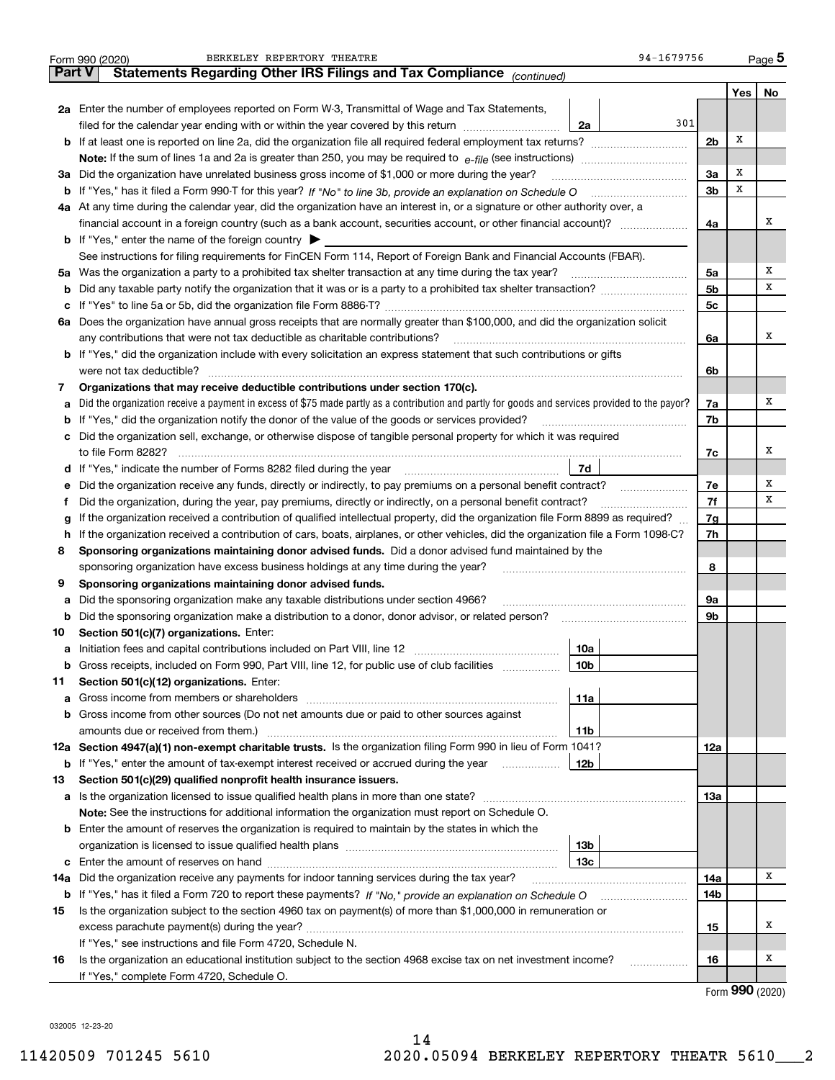|        | 94-1679756<br>BERKELEY REPERTORY THEATRE<br>Form 990 (2020)                                                                                       |                |      | $Page$ <sup>5</sup> |  |  |  |  |  |  |
|--------|---------------------------------------------------------------------------------------------------------------------------------------------------|----------------|------|---------------------|--|--|--|--|--|--|
| Part V | Statements Regarding Other IRS Filings and Tax Compliance (continued)                                                                             |                |      |                     |  |  |  |  |  |  |
|        |                                                                                                                                                   |                | Yes  | No                  |  |  |  |  |  |  |
|        | 2a Enter the number of employees reported on Form W-3, Transmittal of Wage and Tax Statements,                                                    |                |      |                     |  |  |  |  |  |  |
|        | 301<br>2a<br>filed for the calendar year ending with or within the year covered by this return                                                    |                |      |                     |  |  |  |  |  |  |
|        | <b>b</b> If at least one is reported on line 2a, did the organization file all required federal employment tax returns?                           |                |      |                     |  |  |  |  |  |  |
|        | Note: If the sum of lines 1a and 2a is greater than 250, you may be required to $e$ -file (see instructions) <i>marrourching</i>                  |                |      |                     |  |  |  |  |  |  |
|        | 3a Did the organization have unrelated business gross income of \$1,000 or more during the year?                                                  | 3a             | х    |                     |  |  |  |  |  |  |
|        |                                                                                                                                                   | 3 <sub>b</sub> | х    |                     |  |  |  |  |  |  |
|        | 4a At any time during the calendar year, did the organization have an interest in, or a signature or other authority over, a                      |                |      |                     |  |  |  |  |  |  |
|        |                                                                                                                                                   | 4a             |      | х                   |  |  |  |  |  |  |
|        | <b>b</b> If "Yes," enter the name of the foreign country $\triangleright$                                                                         |                |      |                     |  |  |  |  |  |  |
|        | See instructions for filing requirements for FinCEN Form 114, Report of Foreign Bank and Financial Accounts (FBAR).                               |                |      |                     |  |  |  |  |  |  |
|        | 5a Was the organization a party to a prohibited tax shelter transaction at any time during the tax year?                                          | 5a             |      | x                   |  |  |  |  |  |  |
|        |                                                                                                                                                   | 5 <sub>b</sub> |      | x                   |  |  |  |  |  |  |
|        |                                                                                                                                                   | 5c             |      |                     |  |  |  |  |  |  |
|        | 6a Does the organization have annual gross receipts that are normally greater than \$100,000, and did the organization solicit                    |                |      |                     |  |  |  |  |  |  |
|        | any contributions that were not tax deductible as charitable contributions?                                                                       | 6a             |      | x                   |  |  |  |  |  |  |
|        | <b>b</b> If "Yes," did the organization include with every solicitation an express statement that such contributions or gifts                     |                |      |                     |  |  |  |  |  |  |
|        | were not tax deductible?                                                                                                                          | 6b             |      |                     |  |  |  |  |  |  |
| 7      | Organizations that may receive deductible contributions under section 170(c).                                                                     |                |      |                     |  |  |  |  |  |  |
|        | a Did the organization receive a payment in excess of \$75 made partly as a contribution and partly for goods and services provided to the payor? | 7a             |      | х                   |  |  |  |  |  |  |
|        | <b>b</b> If "Yes," did the organization notify the donor of the value of the goods or services provided?                                          | 7b             |      |                     |  |  |  |  |  |  |
|        | c Did the organization sell, exchange, or otherwise dispose of tangible personal property for which it was required                               |                |      |                     |  |  |  |  |  |  |
|        |                                                                                                                                                   | 7c             |      | x                   |  |  |  |  |  |  |
|        | 7d<br>d If "Yes," indicate the number of Forms 8282 filed during the year <i>manumumumumumumumum</i>                                              |                |      |                     |  |  |  |  |  |  |
|        | e Did the organization receive any funds, directly or indirectly, to pay premiums on a personal benefit contract?                                 | 7e             |      | х                   |  |  |  |  |  |  |
| Ť.     | Did the organization, during the year, pay premiums, directly or indirectly, on a personal benefit contract?                                      | 7f             |      | х                   |  |  |  |  |  |  |
| g      | If the organization received a contribution of qualified intellectual property, did the organization file Form 8899 as required?                  | 7g             |      |                     |  |  |  |  |  |  |
|        | h If the organization received a contribution of cars, boats, airplanes, or other vehicles, did the organization file a Form 1098-C?              | 7h             |      |                     |  |  |  |  |  |  |
| 8      | Sponsoring organizations maintaining donor advised funds. Did a donor advised fund maintained by the                                              |                |      |                     |  |  |  |  |  |  |
|        | sponsoring organization have excess business holdings at any time during the year?                                                                | 8              |      |                     |  |  |  |  |  |  |
| 9      | Sponsoring organizations maintaining donor advised funds.                                                                                         |                |      |                     |  |  |  |  |  |  |
|        | a Did the sponsoring organization make any taxable distributions under section 4966?                                                              | 9a             |      |                     |  |  |  |  |  |  |
| b      | Did the sponsoring organization make a distribution to a donor, donor advisor, or related person?                                                 | 9b             |      |                     |  |  |  |  |  |  |
| 10     | Section 501(c)(7) organizations. Enter:                                                                                                           |                |      |                     |  |  |  |  |  |  |
|        | 10a                                                                                                                                               |                |      |                     |  |  |  |  |  |  |
| b      | Gross receipts, included on Form 990, Part VIII, line 12, for public use of club facilities<br>  10b                                              |                |      |                     |  |  |  |  |  |  |
| 11     | Section 501(c)(12) organizations. Enter:                                                                                                          |                |      |                     |  |  |  |  |  |  |
| а      | 11a                                                                                                                                               |                |      |                     |  |  |  |  |  |  |
|        | <b>b</b> Gross income from other sources (Do not net amounts due or paid to other sources against                                                 |                |      |                     |  |  |  |  |  |  |
|        | amounts due or received from them.)<br>11b                                                                                                        |                |      |                     |  |  |  |  |  |  |
|        | 12a Section 4947(a)(1) non-exempt charitable trusts. Is the organization filing Form 990 in lieu of Form 1041?                                    | 12a            |      |                     |  |  |  |  |  |  |
|        | <b>b</b> If "Yes," enter the amount of tax-exempt interest received or accrued during the year<br>12b                                             |                |      |                     |  |  |  |  |  |  |
| 13     | Section 501(c)(29) qualified nonprofit health insurance issuers.                                                                                  |                |      |                     |  |  |  |  |  |  |
|        | a Is the organization licensed to issue qualified health plans in more than one state?                                                            | 13а            |      |                     |  |  |  |  |  |  |
|        | Note: See the instructions for additional information the organization must report on Schedule O.                                                 |                |      |                     |  |  |  |  |  |  |
|        | <b>b</b> Enter the amount of reserves the organization is required to maintain by the states in which the                                         |                |      |                     |  |  |  |  |  |  |
|        | 13 <sub>b</sub>                                                                                                                                   |                |      |                     |  |  |  |  |  |  |
|        | 13с                                                                                                                                               |                |      |                     |  |  |  |  |  |  |
| 14a    | Did the organization receive any payments for indoor tanning services during the tax year?                                                        | 14a            |      | х                   |  |  |  |  |  |  |
|        |                                                                                                                                                   | 14b            |      |                     |  |  |  |  |  |  |
| 15     | Is the organization subject to the section 4960 tax on payment(s) of more than \$1,000,000 in remuneration or                                     |                |      |                     |  |  |  |  |  |  |
|        |                                                                                                                                                   | 15             |      | х                   |  |  |  |  |  |  |
|        | If "Yes," see instructions and file Form 4720, Schedule N.                                                                                        |                |      |                     |  |  |  |  |  |  |
| 16     | Is the organization an educational institution subject to the section 4968 excise tax on net investment income?<br>.                              | 16             |      | x                   |  |  |  |  |  |  |
|        | If "Yes," complete Form 4720, Schedule O.                                                                                                         |                | nnn. |                     |  |  |  |  |  |  |

Form (2020) **990**

032005 12-23-20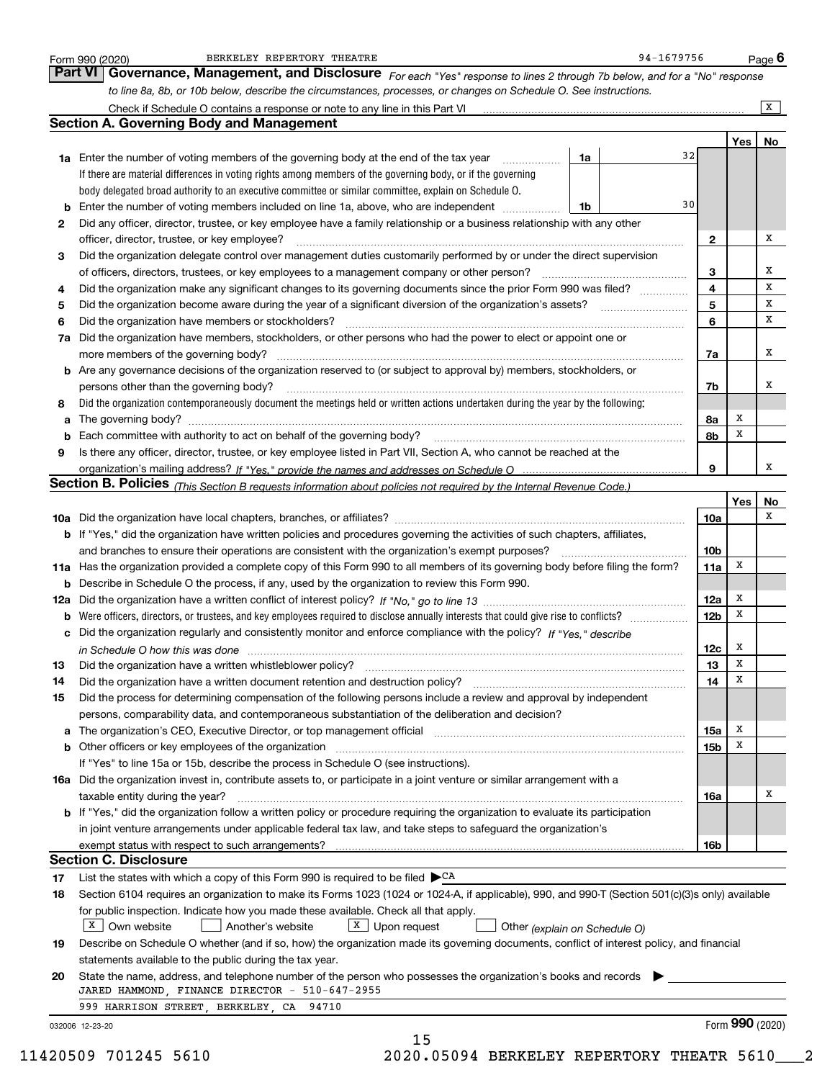|    | BERKELEY REPERTORY THEATRE<br>Form 990 (2020)                                                                                                                                                                                   |    | 94-1679756 |                 |     | Page <b>b</b>   |
|----|---------------------------------------------------------------------------------------------------------------------------------------------------------------------------------------------------------------------------------|----|------------|-----------------|-----|-----------------|
|    | Governance, Management, and Disclosure For each "Yes" response to lines 2 through 7b below, and for a "No" response<br><b>Part VI</b>                                                                                           |    |            |                 |     |                 |
|    | to line 8a, 8b, or 10b below, describe the circumstances, processes, or changes on Schedule O. See instructions.                                                                                                                |    |            |                 |     |                 |
|    |                                                                                                                                                                                                                                 |    |            |                 |     | X               |
|    | <b>Section A. Governing Body and Management</b>                                                                                                                                                                                 |    |            |                 |     |                 |
|    |                                                                                                                                                                                                                                 |    |            |                 | Yes | No              |
|    | <b>1a</b> Enter the number of voting members of the governing body at the end of the tax year<br>.                                                                                                                              | 1a | 32         |                 |     |                 |
|    | If there are material differences in voting rights among members of the governing body, or if the governing                                                                                                                     |    |            |                 |     |                 |
|    | body delegated broad authority to an executive committee or similar committee, explain on Schedule O.                                                                                                                           |    |            |                 |     |                 |
|    | <b>b</b> Enter the number of voting members included on line 1a, above, who are independent                                                                                                                                     | 1b | 30         |                 |     |                 |
| 2  | Did any officer, director, trustee, or key employee have a family relationship or a business relationship with any other                                                                                                        |    |            |                 |     |                 |
|    | officer, director, trustee, or key employee?                                                                                                                                                                                    |    |            | $\mathbf{2}$    |     | х               |
| 3  | Did the organization delegate control over management duties customarily performed by or under the direct supervision<br>of officers, directors, trustees, or key employees to a management company or other person?            |    |            | 3               |     | х               |
| 4  | Did the organization make any significant changes to its governing documents since the prior Form 990 was filed?                                                                                                                |    |            | 4               |     | X               |
| 5  |                                                                                                                                                                                                                                 |    |            | 5               |     | х               |
| 6  | Did the organization have members or stockholders?                                                                                                                                                                              |    |            | 6               |     | X               |
|    | 7a Did the organization have members, stockholders, or other persons who had the power to elect or appoint one or                                                                                                               |    |            |                 |     |                 |
|    | more members of the governing body?                                                                                                                                                                                             |    |            | 7a              |     | x               |
|    | <b>b</b> Are any governance decisions of the organization reserved to (or subject to approval by) members, stockholders, or                                                                                                     |    |            |                 |     |                 |
|    | persons other than the governing body?                                                                                                                                                                                          |    |            | 7b              |     | х               |
| 8  | Did the organization contemporaneously document the meetings held or written actions undertaken during the year by the following:                                                                                               |    |            |                 |     |                 |
|    |                                                                                                                                                                                                                                 |    |            | 8a              | х   |                 |
|    | <b>b</b> Each committee with authority to act on behalf of the governing body?                                                                                                                                                  |    |            | 8b              | х   |                 |
| 9  | Is there any officer, director, trustee, or key employee listed in Part VII, Section A, who cannot be reached at the                                                                                                            |    |            |                 |     |                 |
|    |                                                                                                                                                                                                                                 |    |            | 9               |     | x               |
|    | Section B. Policies (This Section B requests information about policies not required by the Internal Revenue Code.)                                                                                                             |    |            |                 |     |                 |
|    |                                                                                                                                                                                                                                 |    |            |                 | Yes | No<br>x         |
|    |                                                                                                                                                                                                                                 |    |            | 10a             |     |                 |
|    | b If "Yes," did the organization have written policies and procedures governing the activities of such chapters, affiliates,<br>and branches to ensure their operations are consistent with the organization's exempt purposes? |    |            | 10 <sub>b</sub> |     |                 |
|    | 11a Has the organization provided a complete copy of this Form 990 to all members of its governing body before filing the form?                                                                                                 |    |            | 11a             | x   |                 |
|    | <b>b</b> Describe in Schedule O the process, if any, used by the organization to review this Form 990.                                                                                                                          |    |            |                 |     |                 |
|    |                                                                                                                                                                                                                                 |    |            | 12a             | x   |                 |
|    |                                                                                                                                                                                                                                 |    |            | <b>12b</b>      | X   |                 |
|    | c Did the organization regularly and consistently monitor and enforce compliance with the policy? If "Yes," describe                                                                                                            |    |            |                 |     |                 |
|    | in Schedule O how this was done manufactured and continuum and contact the O how this was done manufactured an                                                                                                                  |    |            | 12c             | х   |                 |
| 13 | Did the organization have a written whistleblower policy?                                                                                                                                                                       |    |            | 13              | x   |                 |
| 14 | Did the organization have a written document retention and destruction policy?                                                                                                                                                  |    |            | 14              | X   |                 |
| 15 | Did the process for determining compensation of the following persons include a review and approval by independent                                                                                                              |    |            |                 |     |                 |
|    | persons, comparability data, and contemporaneous substantiation of the deliberation and decision?                                                                                                                               |    |            |                 |     |                 |
| а  | The organization's CEO, Executive Director, or top management official manufactured content of the organization's CEO, Executive Director, or top management official                                                           |    |            | 15a             | x   |                 |
|    | <b>b</b> Other officers or key employees of the organization                                                                                                                                                                    |    |            | 15b             | х   |                 |
|    | If "Yes" to line 15a or 15b, describe the process in Schedule O (see instructions).                                                                                                                                             |    |            |                 |     |                 |
|    | 16a Did the organization invest in, contribute assets to, or participate in a joint venture or similar arrangement with a<br>taxable entity during the year?                                                                    |    |            | 16a             |     | х               |
|    | <b>b</b> If "Yes," did the organization follow a written policy or procedure requiring the organization to evaluate its participation                                                                                           |    |            |                 |     |                 |
|    | in joint venture arrangements under applicable federal tax law, and take steps to safeguard the organization's                                                                                                                  |    |            |                 |     |                 |
|    |                                                                                                                                                                                                                                 |    |            | 16b             |     |                 |
|    | <b>Section C. Disclosure</b>                                                                                                                                                                                                    |    |            |                 |     |                 |
| 17 | List the states with which a copy of this Form 990 is required to be filed $\blacktriangleright^{\mathsf{CA}}$                                                                                                                  |    |            |                 |     |                 |
| 18 | Section 6104 requires an organization to make its Forms 1023 (1024 or 1024-A, if applicable), 990, and 990-T (Section 501(c)(3)s only) available                                                                                |    |            |                 |     |                 |
|    | for public inspection. Indicate how you made these available. Check all that apply.                                                                                                                                             |    |            |                 |     |                 |
|    | $X \mid$<br>$X$ Upon request<br>Own website<br>Another's website<br>Other (explain on Schedule O)                                                                                                                               |    |            |                 |     |                 |
| 19 | Describe on Schedule O whether (and if so, how) the organization made its governing documents, conflict of interest policy, and financial                                                                                       |    |            |                 |     |                 |
|    | statements available to the public during the tax year.                                                                                                                                                                         |    |            |                 |     |                 |
| 20 | State the name, address, and telephone number of the person who possesses the organization's books and records<br>JARED HAMMOND, FINANCE DIRECTOR - 510-647-2955                                                                |    |            |                 |     |                 |
|    | 999 HARRISON STREET, BERKELEY, CA 94710                                                                                                                                                                                         |    |            |                 |     |                 |
|    | 032006 12-23-20                                                                                                                                                                                                                 |    |            |                 |     | Form 990 (2020) |
|    | 15                                                                                                                                                                                                                              |    |            |                 |     |                 |
|    |                                                                                                                                                                                                                                 |    |            |                 |     |                 |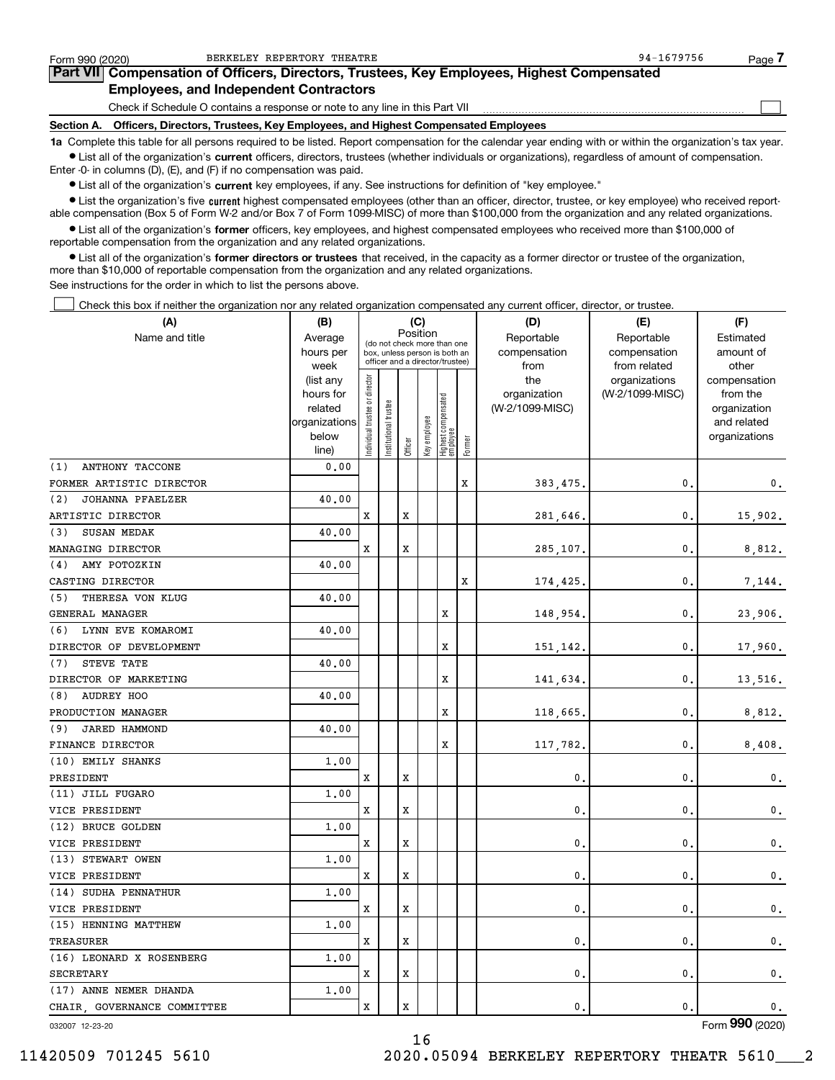| Form 990 (2020) | BERKELEY REPERTORY THEATRE                                                                                                                                 | 94-1679756 | Page / |
|-----------------|------------------------------------------------------------------------------------------------------------------------------------------------------------|------------|--------|
|                 | Part VII Compensation of Officers, Directors, Trustees, Key Employees, Highest Compensated                                                                 |            |        |
|                 | <b>Employees, and Independent Contractors</b>                                                                                                              |            |        |
|                 | Check if Schedule O contains a response or note to any line in this Part VII                                                                               |            |        |
| Section A.      | Officers, Directors, Trustees, Key Employees, and Highest Compensated Employees                                                                            |            |        |
|                 | 1a Complete this table for all persons required to be listed. Report compensation for the calendar year ending with or within the organization's tax year. |            |        |

**•** List all of the organization's current officers, directors, trustees (whether individuals or organizations), regardless of amount of compensation. Enter -0- in columns (D), (E), and (F) if no compensation was paid.

 $\bullet$  List all of the organization's  $\,$ current key employees, if any. See instructions for definition of "key employee."

**•** List the organization's five current highest compensated employees (other than an officer, director, trustee, or key employee) who received reportable compensation (Box 5 of Form W-2 and/or Box 7 of Form 1099-MISC) of more than \$100,000 from the organization and any related organizations.

**•** List all of the organization's former officers, key employees, and highest compensated employees who received more than \$100,000 of reportable compensation from the organization and any related organizations.

**former directors or trustees**  ¥ List all of the organization's that received, in the capacity as a former director or trustee of the organization, more than \$10,000 of reportable compensation from the organization and any related organizations.

See instructions for the order in which to list the persons above.

Check this box if neither the organization nor any related organization compensated any current officer, director, or trustee.  $\mathcal{L}^{\text{max}}$ 

| (A)                         | (B)               |                               |                                                                  |         | (C)          |                                 |        | (D)             | (E)                           | (F)                   |
|-----------------------------|-------------------|-------------------------------|------------------------------------------------------------------|---------|--------------|---------------------------------|--------|-----------------|-------------------------------|-----------------------|
| Name and title              | Average           |                               | (do not check more than one                                      |         | Position     |                                 |        | Reportable      | Reportable                    | Estimated             |
|                             | hours per         |                               | box, unless person is both an<br>officer and a director/trustee) |         |              |                                 |        | compensation    | compensation                  | amount of             |
|                             | week<br>(list any |                               |                                                                  |         |              |                                 |        | from<br>the     | from related<br>organizations | other<br>compensation |
|                             | hours for         |                               |                                                                  |         |              |                                 |        | organization    | (W-2/1099-MISC)               | from the              |
|                             | related           |                               |                                                                  |         |              |                                 |        | (W-2/1099-MISC) |                               | organization          |
|                             | organizations     |                               |                                                                  |         |              |                                 |        |                 |                               | and related           |
|                             | below             | ndividual trustee or director | Institutional trustee                                            |         | Key employee | Highest compensated<br>employee |        |                 |                               | organizations         |
|                             | line)             |                               |                                                                  | Officer |              |                                 | Former |                 |                               |                       |
| ANTHONY TACCONE<br>(1)      | 0.00              |                               |                                                                  |         |              |                                 |        |                 |                               |                       |
| FORMER ARTISTIC DIRECTOR    |                   |                               |                                                                  |         |              |                                 | x      | 383,475.        | $\mathbf{0}$                  | $\mathbf{0}$ .        |
| (2)<br>JOHANNA PFAELZER     | 40.00             |                               |                                                                  |         |              |                                 |        |                 |                               |                       |
| ARTISTIC DIRECTOR           |                   | X                             |                                                                  | X       |              |                                 |        | 281,646.        | 0                             | 15,902.               |
| <b>SUSAN MEDAK</b><br>(3)   | 40.00             |                               |                                                                  |         |              |                                 |        |                 |                               |                       |
| MANAGING DIRECTOR           |                   | x                             |                                                                  | X       |              |                                 |        | 285,107.        | $\mathbf{0}$                  | 8,812.                |
| AMY POTOZKIN<br>(4)         | 40.00             |                               |                                                                  |         |              |                                 |        |                 |                               |                       |
| CASTING DIRECTOR            |                   |                               |                                                                  |         |              |                                 | X      | 174,425.        | $\mathbf{0}$                  | 7,144.                |
| (5)<br>THERESA VON KLUG     | 40.00             |                               |                                                                  |         |              |                                 |        |                 |                               |                       |
| GENERAL MANAGER             |                   |                               |                                                                  |         |              | х                               |        | 148,954.        | 0.                            | 23,906.               |
| LYNN EVE KOMAROMI<br>(6)    | 40.00             |                               |                                                                  |         |              |                                 |        |                 |                               |                       |
| DIRECTOR OF DEVELOPMENT     |                   |                               |                                                                  |         |              | X                               |        | 151,142.        | 0                             | 17,960.               |
| STEVE TATE<br>(7)           | 40.00             |                               |                                                                  |         |              |                                 |        |                 |                               |                       |
| DIRECTOR OF MARKETING       |                   |                               |                                                                  |         |              | X                               |        | 141,634.        | $\mathbf{0}$                  | 13,516.               |
| AUDREY HOO<br>(8)           | 40.00             |                               |                                                                  |         |              |                                 |        |                 |                               |                       |
| PRODUCTION MANAGER          |                   |                               |                                                                  |         |              | x                               |        | 118,665.        | 0                             | 8,812.                |
| (9)<br><b>JARED HAMMOND</b> | 40.00             |                               |                                                                  |         |              |                                 |        |                 |                               |                       |
| FINANCE DIRECTOR            |                   |                               |                                                                  |         |              | х                               |        | 117,782.        | $\mathbf{0}$                  | 8,408.                |
| (10) EMILY SHANKS           | 1,00              |                               |                                                                  |         |              |                                 |        |                 |                               |                       |
| PRESIDENT                   |                   | X                             |                                                                  | X       |              |                                 |        | 0               | 0                             | 0.                    |
| (11) JILL FUGARO            | 1.00              |                               |                                                                  |         |              |                                 |        |                 |                               |                       |
| VICE PRESIDENT              |                   | x                             |                                                                  | X       |              |                                 |        | $\mathbf{0}$    | 0                             | 0.                    |
| (12) BRUCE GOLDEN           | 1,00              |                               |                                                                  |         |              |                                 |        |                 |                               |                       |
| VICE PRESIDENT              |                   | X                             |                                                                  | X       |              |                                 |        | 0.              | 0                             | $\mathbf{0}$ .        |
| (13) STEWART OWEN           | 1.00              |                               |                                                                  |         |              |                                 |        |                 |                               |                       |
| VICE PRESIDENT              |                   | X                             |                                                                  | X       |              |                                 |        | 0,              | $\mathbf 0$                   | 0.                    |
| (14) SUDHA PENNATHUR        | 1.00              |                               |                                                                  |         |              |                                 |        |                 |                               |                       |
| VICE PRESIDENT              |                   | X                             |                                                                  | X       |              |                                 |        | $\mathbf{0}$ .  | $\mathbf{0}$                  | 0.                    |
| (15) HENNING MATTHEW        | 1,00              |                               |                                                                  |         |              |                                 |        |                 |                               |                       |
| TREASURER                   |                   | x                             |                                                                  | X       |              |                                 |        | $\mathbf{0}$ .  | $\mathbf{0}$                  | 0.                    |
| (16) LEONARD X ROSENBERG    | 1.00              |                               |                                                                  |         |              |                                 |        |                 |                               |                       |
| SECRETARY                   |                   | X                             |                                                                  | X       |              |                                 |        | $\mathbf{0}$ .  | $\mathbf{0}$                  | $\mathbf 0$ .         |
| (17) ANNE NEMER DHANDA      | 1,00              |                               |                                                                  |         |              |                                 |        |                 |                               |                       |
| CHAIR, GOVERNANCE COMMITTEE |                   | X                             |                                                                  | X       |              |                                 |        | $\mathbf{0}$ .  | 0.                            | 0.                    |
|                             |                   |                               |                                                                  |         |              |                                 |        |                 |                               | $\overline{0}$        |

16

032007 12-23-20

Form (2020) **990**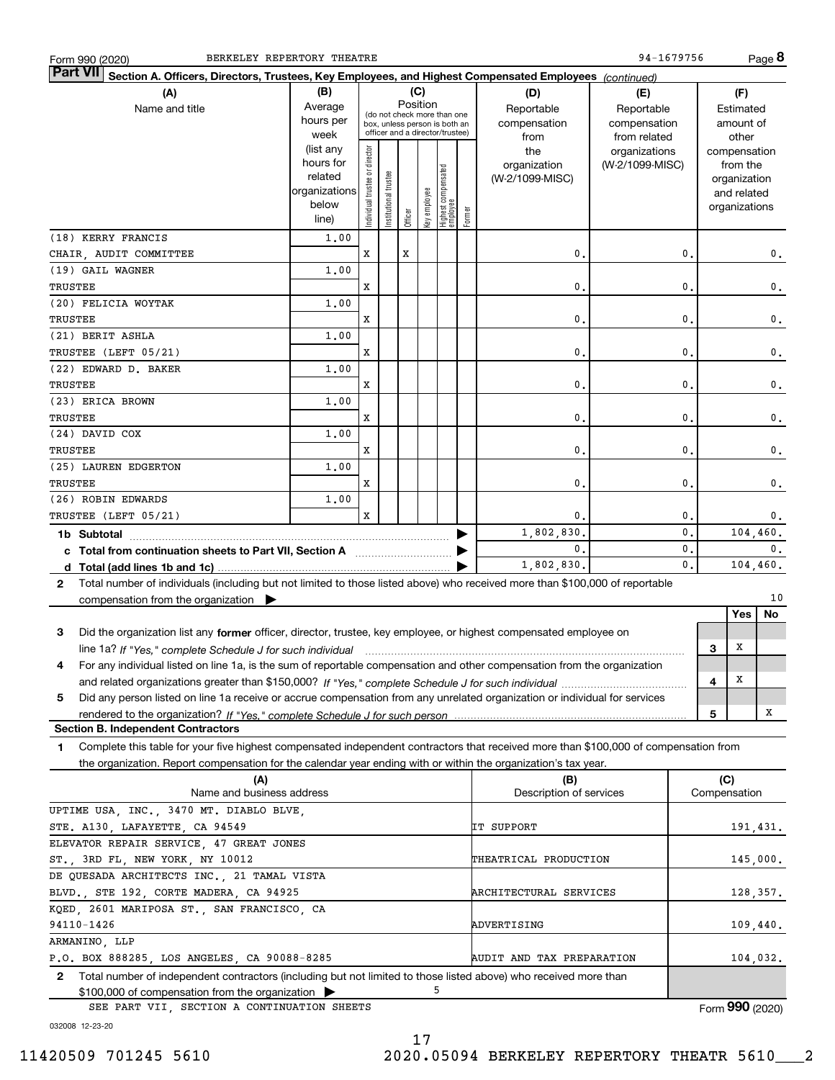| BERKELEY REPERTORY THEATRE<br>Form 990 (2020)                                                                                                   |               |                                |                       |         |              |                                                              |        |                                | 94-1679756      |                |              |               | Page 8        |
|-------------------------------------------------------------------------------------------------------------------------------------------------|---------------|--------------------------------|-----------------------|---------|--------------|--------------------------------------------------------------|--------|--------------------------------|-----------------|----------------|--------------|---------------|---------------|
| <b>Part VII</b><br>Section A. Officers, Directors, Trustees, Key Employees, and Highest Compensated Employees (continued)                       |               |                                |                       |         |              |                                                              |        |                                |                 |                |              |               |               |
| (C)<br>(B)<br>(A)<br>(D)<br>(E)<br>(F)                                                                                                          |               |                                |                       |         |              |                                                              |        |                                |                 |                |              |               |               |
| Name and title                                                                                                                                  | Average       |                                |                       |         | Position     |                                                              |        | Reportable                     | Reportable      |                |              | Estimated     |               |
|                                                                                                                                                 | hours per     |                                |                       |         |              | (do not check more than one<br>box, unless person is both an |        | compensation                   | compensation    |                |              | amount of     |               |
|                                                                                                                                                 | week          |                                |                       |         |              | officer and a director/trustee)                              |        | from                           | from related    |                |              | other         |               |
|                                                                                                                                                 | (list any     |                                |                       |         |              |                                                              |        | the                            | organizations   |                |              | compensation  |               |
|                                                                                                                                                 | hours for     |                                |                       |         |              |                                                              |        | organization                   | (W-2/1099-MISC) |                |              | from the      |               |
|                                                                                                                                                 | related       |                                |                       |         |              |                                                              |        | (W-2/1099-MISC)                |                 |                |              | organization  |               |
|                                                                                                                                                 | organizations |                                |                       |         |              |                                                              |        |                                |                 |                |              | and related   |               |
|                                                                                                                                                 | below         | Individual trustee or director | Institutional trustee |         | Key employee | Highest compensated<br>employee                              |        |                                |                 |                |              | organizations |               |
|                                                                                                                                                 | line)         |                                |                       | Officer |              |                                                              | Former |                                |                 |                |              |               |               |
| (18) KERRY FRANCIS                                                                                                                              | 1,00          |                                |                       |         |              |                                                              |        |                                |                 |                |              |               |               |
| CHAIR, AUDIT COMMITTEE                                                                                                                          |               | x                              |                       | x       |              |                                                              |        | 0.                             |                 | 0.             |              |               | $\mathbf 0$ . |
| (19) GAIL WAGNER                                                                                                                                | 1,00          |                                |                       |         |              |                                                              |        |                                |                 |                |              |               |               |
| TRUSTEE                                                                                                                                         |               | x                              |                       |         |              |                                                              |        | 0.                             |                 | 0.             |              |               | $\mathbf 0$ . |
| (20) FELICIA WOYTAK                                                                                                                             | 1,00          |                                |                       |         |              |                                                              |        |                                |                 |                |              |               |               |
| TRUSTEE                                                                                                                                         |               | x                              |                       |         |              |                                                              |        | 0.                             |                 | 0.             |              |               | $\mathbf 0$ . |
| (21) BERIT ASHLA                                                                                                                                | 1,00          |                                |                       |         |              |                                                              |        |                                |                 |                |              |               |               |
| TRUSTEE (LEFT 05/21)                                                                                                                            |               | x                              |                       |         |              |                                                              |        | 0.                             |                 | 0.             |              |               | $\mathbf 0$ . |
| (22) EDWARD D. BAKER                                                                                                                            | 1,00          |                                |                       |         |              |                                                              |        |                                |                 |                |              |               |               |
| TRUSTEE                                                                                                                                         |               | x                              |                       |         |              |                                                              |        | 0.                             |                 | 0.             |              |               | $\mathbf 0$ . |
| (23) ERICA BROWN                                                                                                                                | 1,00          |                                |                       |         |              |                                                              |        |                                |                 |                |              |               |               |
| TRUSTEE                                                                                                                                         |               | x                              |                       |         |              |                                                              |        | 0.                             |                 | 0.             |              |               | $\mathbf 0$ . |
| (24) DAVID COX                                                                                                                                  | 1,00          |                                |                       |         |              |                                                              |        |                                |                 |                |              |               |               |
| TRUSTEE                                                                                                                                         |               | x                              |                       |         |              |                                                              |        | 0.                             |                 | 0.             |              |               | $\mathbf 0$ . |
| (25) LAUREN EDGERTON                                                                                                                            | 1,00          |                                |                       |         |              |                                                              |        |                                |                 |                |              |               |               |
| TRUSTEE                                                                                                                                         |               | x                              |                       |         |              |                                                              |        | 0.                             |                 | 0.             |              |               | $\mathbf 0$ . |
| (26) ROBIN EDWARDS                                                                                                                              | 1,00          |                                |                       |         |              |                                                              |        |                                |                 |                |              |               |               |
| TRUSTEE (LEFT 05/21)                                                                                                                            |               | X                              |                       |         |              |                                                              |        | 0.                             |                 | 0.             |              |               | 0.            |
| 1b Subtotal                                                                                                                                     |               |                                |                       |         |              |                                                              |        | 1,802,830.                     |                 | $\mathbf 0$ .  |              |               | 104,460.      |
| c Total from continuation sheets to Part VII, Section A manufactor continuum                                                                    |               |                                |                       |         |              |                                                              |        | $\mathbf{0}$ .                 |                 | $\mathbf 0$ .  |              |               | 0.            |
|                                                                                                                                                 |               |                                |                       |         |              |                                                              |        | 1,802,830.                     |                 | $\mathbf{0}$ . |              |               | 104,460.      |
| Total number of individuals (including but not limited to those listed above) who received more than \$100,000 of reportable<br>$\mathbf{2}$    |               |                                |                       |         |              |                                                              |        |                                |                 |                |              |               |               |
| compensation from the organization $\blacktriangleright$                                                                                        |               |                                |                       |         |              |                                                              |        |                                |                 |                |              |               | 10            |
|                                                                                                                                                 |               |                                |                       |         |              |                                                              |        |                                |                 |                |              | <b>Yes</b>    | No            |
| Did the organization list any former officer, director, trustee, key employee, or highest compensated employee on<br>З                          |               |                                |                       |         |              |                                                              |        |                                |                 |                |              |               |               |
| line 1a? If "Yes," complete Schedule J for such individual manufactured contained and the 1a? If "Yes," complete Schedule J for such individual |               |                                |                       |         |              |                                                              |        |                                |                 |                | З            | Х             |               |
| 4<br>For any individual listed on line 1a, is the sum of reportable compensation and other compensation from the organization                   |               |                                |                       |         |              |                                                              |        |                                |                 |                |              |               |               |
|                                                                                                                                                 |               |                                |                       |         |              |                                                              |        |                                |                 |                | 4            | х             |               |
| 5                                                                                                                                               |               |                                |                       |         |              |                                                              |        |                                |                 |                |              |               |               |
| Did any person listed on line 1a receive or accrue compensation from any unrelated organization or individual for services                      |               |                                |                       |         |              |                                                              |        |                                |                 |                |              |               | x             |
| <b>Section B. Independent Contractors</b>                                                                                                       |               |                                |                       |         |              |                                                              |        |                                |                 |                | 5            |               |               |
| Complete this table for your five highest compensated independent contractors that received more than \$100,000 of compensation from<br>1       |               |                                |                       |         |              |                                                              |        |                                |                 |                |              |               |               |
|                                                                                                                                                 |               |                                |                       |         |              |                                                              |        |                                |                 |                |              |               |               |
| the organization. Report compensation for the calendar year ending with or within the organization's tax year.                                  |               |                                |                       |         |              |                                                              |        |                                |                 |                |              |               |               |
| (A)<br>Name and business address                                                                                                                |               |                                |                       |         |              |                                                              |        | (B)<br>Description of services |                 |                | Compensation | (C)           |               |
| UPTIME USA, INC., 3470 MT. DIABLO BLVE,                                                                                                         |               |                                |                       |         |              |                                                              |        |                                |                 |                |              |               |               |
| STE. A130, LAFAYETTE, CA 94549                                                                                                                  |               |                                |                       |         |              |                                                              |        | IT SUPPORT                     |                 |                |              |               | 191.431.      |
| ELEVATOR REPAIR SERVICE, 47 GREAT JONES                                                                                                         |               |                                |                       |         |              |                                                              |        |                                |                 |                |              |               |               |
| ST., 3RD FL, NEW YORK, NY 10012                                                                                                                 |               |                                |                       |         |              |                                                              |        | THEATRICAL PRODUCTION          |                 |                |              |               |               |
| DE QUESADA ARCHITECTS INC., 21 TAMAL VISTA                                                                                                      |               |                                |                       |         |              |                                                              |        |                                |                 |                |              |               | 145,000.      |
|                                                                                                                                                 |               |                                |                       |         |              |                                                              |        |                                |                 |                |              |               |               |
| BLVD., STE 192, CORTE MADERA, CA 94925                                                                                                          |               |                                |                       |         |              |                                                              |        | ARCHITECTURAL SERVICES         |                 |                |              |               | 128,357.      |
| KQED, 2601 MARIPOSA ST., SAN FRANCISCO, CA                                                                                                      |               |                                |                       |         |              |                                                              |        |                                |                 |                |              |               |               |
| 94110-1426                                                                                                                                      |               |                                |                       |         |              |                                                              |        | ADVERTISING                    |                 |                |              | 109,440.      |               |
| ARMANINO, LLP<br>P.O. BOX 888285, LOS ANGELES, CA 90088-8285                                                                                    |               |                                |                       |         |              |                                                              |        | AUDIT AND TAX PREPARATION      |                 |                |              |               | 104,032.      |
| Total number of independent contractors (including but not limited to those listed above) who received more than<br>$\mathbf{2}$                |               |                                |                       |         |              |                                                              |        |                                |                 |                |              |               |               |
| \$100,000 of compensation from the organization                                                                                                 |               |                                |                       |         |              | 5                                                            |        |                                |                 |                |              |               |               |

SEE PART VII, SECTION A CONTINUATION SHEETS

Form (2020) **990**

032008 12-23-20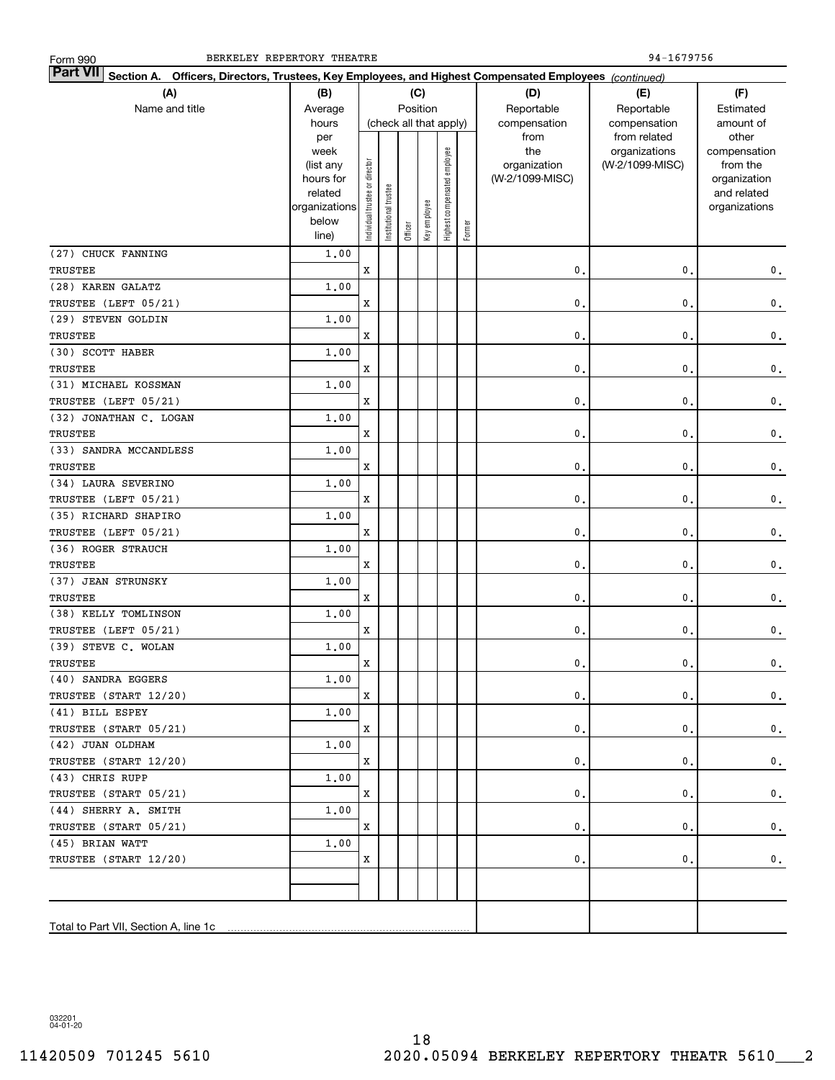| <b>Part VII</b> Section A. Officers, Directors, Trustees, Key Employees, and Highest Compensated Employees (continued)<br>(A)<br>(F)<br>(B)<br>(C)<br>(D)<br>(E) |                        |                               |                       |                            |              |                              |            |                 |                 |               |
|------------------------------------------------------------------------------------------------------------------------------------------------------------------|------------------------|-------------------------------|-----------------------|----------------------------|--------------|------------------------------|------------|-----------------|-----------------|---------------|
|                                                                                                                                                                  | Position<br>Average    |                               |                       |                            |              |                              | Reportable |                 |                 |               |
| Name and title                                                                                                                                                   | hours                  | (check all that apply)        |                       | Reportable<br>compensation | compensation | Estimated<br>amount of       |            |                 |                 |               |
|                                                                                                                                                                  | per                    |                               |                       |                            |              |                              |            | from            | from related    | other         |
|                                                                                                                                                                  | week                   |                               |                       |                            |              |                              |            | the             | organizations   | compensation  |
|                                                                                                                                                                  | (list any              |                               |                       |                            |              |                              |            | organization    | (W-2/1099-MISC) | from the      |
|                                                                                                                                                                  | hours for              |                               |                       |                            |              |                              |            | (W-2/1099-MISC) |                 | organization  |
|                                                                                                                                                                  | related                |                               |                       |                            |              |                              |            |                 |                 | and related   |
|                                                                                                                                                                  | organizations<br>below |                               |                       |                            |              |                              |            |                 |                 | organizations |
|                                                                                                                                                                  | line)                  | ndividual trustee or director | Institutional trustee | Officer                    | Key employee | Highest compensated employee | Former     |                 |                 |               |
| (27) CHUCK FANNING                                                                                                                                               | 1,00                   |                               |                       |                            |              |                              |            |                 |                 |               |
| TRUSTEE                                                                                                                                                          |                        | X                             |                       |                            |              |                              |            | $\mathbf{0}$ .  | 0.              | $\mathbf 0$ . |
| (28) KAREN GALATZ                                                                                                                                                | 1.00                   |                               |                       |                            |              |                              |            |                 |                 |               |
| TRUSTEE (LEFT 05/21)                                                                                                                                             |                        | X                             |                       |                            |              |                              |            | $\mathbf{0}$ .  | $\mathbf{0}$ .  | $\mathbf 0$ . |
| (29) STEVEN GOLDIN                                                                                                                                               | 1.00                   |                               |                       |                            |              |                              |            |                 |                 |               |
| TRUSTEE                                                                                                                                                          |                        | X                             |                       |                            |              |                              |            | $\mathbf{0}$ .  | $\mathbf{0}$ .  | $\mathbf 0$ . |
| (30) SCOTT HABER                                                                                                                                                 | 1.00                   |                               |                       |                            |              |                              |            |                 |                 |               |
| <b>TRUSTEE</b>                                                                                                                                                   |                        | X                             |                       |                            |              |                              |            | $\mathbf{0}$ .  | $\mathbf{0}$ .  | $\mathbf 0$ . |
| (31) MICHAEL KOSSMAN                                                                                                                                             | 1.00                   |                               |                       |                            |              |                              |            |                 |                 |               |
| TRUSTEE (LEFT 05/21)                                                                                                                                             |                        | X                             |                       |                            |              |                              |            | $\mathbf{0}$ .  | $\mathbf{0}$ .  | $\mathbf 0$ . |
| (32) JONATHAN C. LOGAN                                                                                                                                           | 1.00                   |                               |                       |                            |              |                              |            |                 |                 |               |
| <b>TRUSTEE</b>                                                                                                                                                   |                        | x                             |                       |                            |              |                              |            | $\mathbf{0}$ .  | $\mathbf{0}$ .  | $\mathbf 0$ . |
| (33) SANDRA MCCANDLESS                                                                                                                                           | 1.00                   |                               |                       |                            |              |                              |            |                 |                 |               |
| TRUSTEE                                                                                                                                                          |                        | X                             |                       |                            |              |                              |            | $\mathbf{0}$ .  | $\mathbf{0}$ .  | $\mathbf 0$ . |
| (34) LAURA SEVERINO                                                                                                                                              | 1.00                   |                               |                       |                            |              |                              |            |                 |                 |               |
| TRUSTEE (LEFT 05/21)                                                                                                                                             |                        | X                             |                       |                            |              |                              |            | $\mathbf{0}$ .  | $\mathbf{0}$ .  | $\mathbf 0$ . |
| (35) RICHARD SHAPIRO                                                                                                                                             | 1.00                   |                               |                       |                            |              |                              |            |                 |                 |               |
| TRUSTEE (LEFT 05/21)                                                                                                                                             |                        | X                             |                       |                            |              |                              |            | $\mathbf{0}$ .  | $\mathbf{0}$ .  | $\mathbf 0$ . |
| (36) ROGER STRAUCH                                                                                                                                               | 1.00                   |                               |                       |                            |              |                              |            |                 |                 |               |
| TRUSTEE                                                                                                                                                          |                        | X                             |                       |                            |              |                              |            | $\mathbf{0}$ .  | $\mathbf{0}$ .  | $\mathbf 0$ . |
| (37) JEAN STRUNSKY                                                                                                                                               | 1.00                   |                               |                       |                            |              |                              |            |                 |                 |               |
| TRUSTEE                                                                                                                                                          |                        | X                             |                       |                            |              |                              |            | 0.              | $\mathbf{0}$ .  | $\mathbf 0$ . |
| (38) KELLY TOMLINSON                                                                                                                                             | 1.00                   |                               |                       |                            |              |                              |            |                 |                 |               |
| TRUSTEE (LEFT 05/21)                                                                                                                                             |                        | X                             |                       |                            |              |                              |            | 0.              | 0.              | $\mathbf 0$ . |
| (39) STEVE C. WOLAN<br>TRUSTEE                                                                                                                                   | 1.00                   | X                             |                       |                            |              |                              |            | 0.              | $\mathbf{0}$ .  |               |
| (40) SANDRA EGGERS                                                                                                                                               | 1.00                   |                               |                       |                            |              |                              |            |                 |                 | $\mathbf 0$ . |
| TRUSTEE (START 12/20)                                                                                                                                            |                        | X                             |                       |                            |              |                              |            | 0.              | 0.              | $\mathbf 0$ . |
| (41) BILL ESPEY                                                                                                                                                  | 1,00                   |                               |                       |                            |              |                              |            |                 |                 |               |
| TRUSTEE (START 05/21)                                                                                                                                            |                        | X                             |                       |                            |              |                              |            | 0.              | 0.              | $\mathbf 0$ . |
| (42) JUAN OLDHAM                                                                                                                                                 | 1,00                   |                               |                       |                            |              |                              |            |                 |                 |               |
| TRUSTEE (START 12/20)                                                                                                                                            |                        | X                             |                       |                            |              |                              |            | 0.              | 0.              | $\mathbf 0$ . |
| (43) CHRIS RUPP                                                                                                                                                  | 1,00                   |                               |                       |                            |              |                              |            |                 |                 |               |
| TRUSTEE (START 05/21)                                                                                                                                            |                        | X                             |                       |                            |              |                              |            | 0.              | 0.              | $\mathbf 0$ . |
| (44) SHERRY A. SMITH                                                                                                                                             | 1,00                   |                               |                       |                            |              |                              |            |                 |                 |               |
| TRUSTEE (START 05/21)                                                                                                                                            |                        | X                             |                       |                            |              |                              |            | 0.              | 0.              | $\mathbf 0$ . |
| (45) BRIAN WATT                                                                                                                                                  | 1,00                   |                               |                       |                            |              |                              |            |                 |                 |               |
| TRUSTEE (START 12/20)                                                                                                                                            |                        | X                             |                       |                            |              |                              |            | 0.              | 0.              | $\mathbf 0$ . |
|                                                                                                                                                                  |                        |                               |                       |                            |              |                              |            |                 |                 |               |
|                                                                                                                                                                  |                        |                               |                       |                            |              |                              |            |                 |                 |               |
|                                                                                                                                                                  |                        |                               |                       |                            |              |                              |            |                 |                 |               |
|                                                                                                                                                                  |                        |                               |                       |                            |              |                              |            |                 |                 |               |

BERKELEY REPERTORY THEATRE 94-1679756

Form 990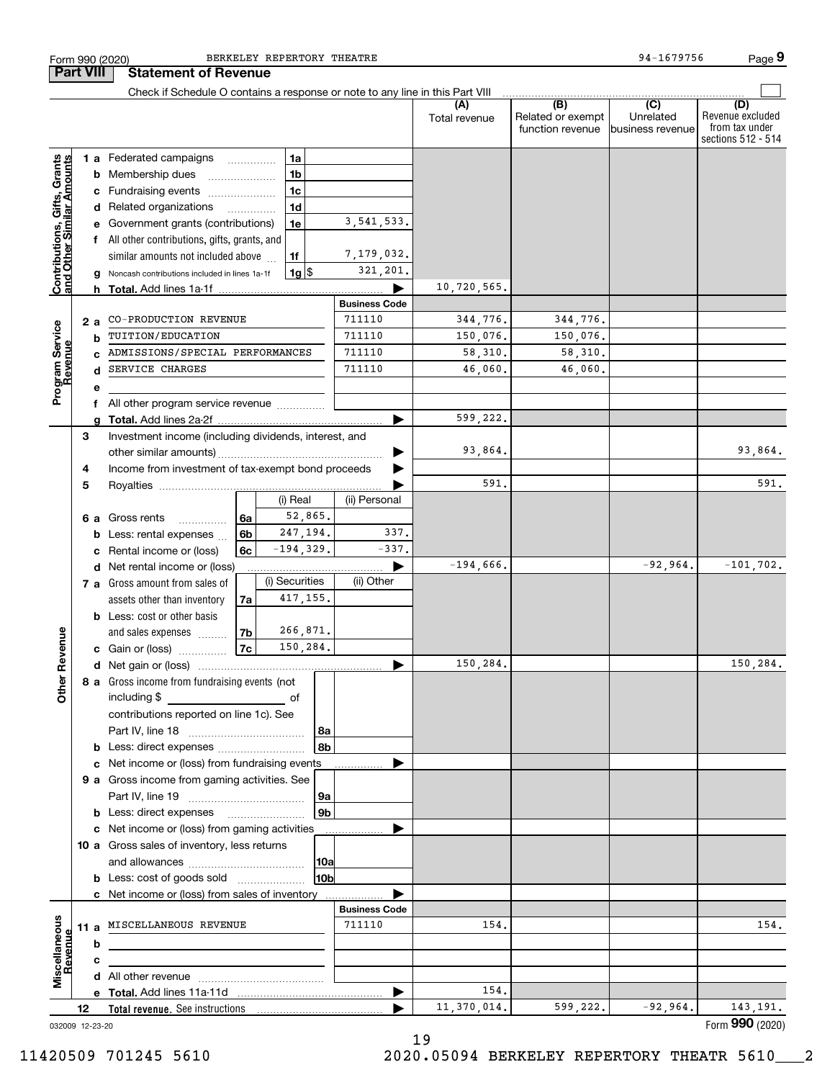|                                                           |    |    | <b>Part VIII</b><br><b>Statement of Revenue</b><br>Check if Schedule O contains a response or note to any line in this Part VIII |                |                    |                |                      |                      |                                              |                                                 |                                                                 |
|-----------------------------------------------------------|----|----|----------------------------------------------------------------------------------------------------------------------------------|----------------|--------------------|----------------|----------------------|----------------------|----------------------------------------------|-------------------------------------------------|-----------------------------------------------------------------|
|                                                           |    |    |                                                                                                                                  |                |                    |                |                      | (A)<br>Total revenue | (B)<br>Related or exempt<br>function revenue | $\overline{C}$<br>Unrelated<br>business revenue | (D)<br>Revenue excluded<br>from tax under<br>sections 512 - 514 |
|                                                           |    |    | 1 a Federated campaigns                                                                                                          |                | 1a                 |                |                      |                      |                                              |                                                 |                                                                 |
|                                                           |    |    | <b>b</b> Membership dues                                                                                                         |                | 1 <sub>b</sub>     |                |                      |                      |                                              |                                                 |                                                                 |
|                                                           |    |    | c Fundraising events                                                                                                             |                | 1 <sub>c</sub>     |                |                      |                      |                                              |                                                 |                                                                 |
| Contributions, Gifts, Grants<br>and Other Similar Amounts |    |    | d Related organizations                                                                                                          | .              | 1 <sub>d</sub>     |                |                      |                      |                                              |                                                 |                                                                 |
|                                                           |    |    | e Government grants (contributions)                                                                                              |                | 1e                 |                | 3, 541, 533.         |                      |                                              |                                                 |                                                                 |
|                                                           |    |    | f All other contributions, gifts, grants, and                                                                                    |                |                    |                |                      |                      |                                              |                                                 |                                                                 |
|                                                           |    |    | similar amounts not included above                                                                                               |                | 1f                 |                | 7,179,032.           |                      |                                              |                                                 |                                                                 |
|                                                           |    |    | g Noncash contributions included in lines 1a-1f                                                                                  |                | $1g$ $\frac{1}{3}$ |                | 321,201.             |                      |                                              |                                                 |                                                                 |
|                                                           |    |    |                                                                                                                                  |                |                    |                |                      | 10,720,565.          |                                              |                                                 |                                                                 |
|                                                           |    |    |                                                                                                                                  |                |                    |                | <b>Business Code</b> |                      |                                              |                                                 |                                                                 |
|                                                           |    | 2а | CO-PRODUCTION REVENUE                                                                                                            |                |                    |                | 711110               | 344,776.             | 344,776.                                     |                                                 |                                                                 |
|                                                           |    | b  | TUITION/EDUCATION                                                                                                                |                |                    |                | 711110               | 150,076.             | 150,076.                                     |                                                 |                                                                 |
|                                                           |    |    | ADMISSIONS/SPECIAL PERFORMANCES                                                                                                  |                |                    |                | 711110               | 58,310.              | 58,310.                                      |                                                 |                                                                 |
|                                                           |    | d  | SERVICE CHARGES                                                                                                                  |                |                    |                | 711110               | 46,060.              | 46,060.                                      |                                                 |                                                                 |
| Program Service<br>Revenue                                |    | е  |                                                                                                                                  |                |                    |                |                      |                      |                                              |                                                 |                                                                 |
|                                                           |    |    | All other program service revenue                                                                                                |                |                    |                |                      |                      |                                              |                                                 |                                                                 |
|                                                           |    |    |                                                                                                                                  |                |                    |                |                      | 599,222.             |                                              |                                                 |                                                                 |
|                                                           | З  |    | Investment income (including dividends, interest, and                                                                            |                |                    |                |                      |                      |                                              |                                                 |                                                                 |
|                                                           |    |    |                                                                                                                                  |                |                    |                |                      | 93,864.              |                                              |                                                 | 93,864.                                                         |
|                                                           | 4  |    | Income from investment of tax-exempt bond proceeds                                                                               |                |                    |                |                      |                      |                                              |                                                 |                                                                 |
|                                                           | 5  |    |                                                                                                                                  |                |                    |                |                      | 591                  |                                              |                                                 | 591.                                                            |
|                                                           |    |    |                                                                                                                                  |                | (i) Real           |                | (ii) Personal        |                      |                                              |                                                 |                                                                 |
|                                                           |    | 6а | Gross rents<br>.                                                                                                                 | <b>6a</b>      | 52,865.            |                |                      |                      |                                              |                                                 |                                                                 |
|                                                           |    |    | <b>b</b> Less: rental expenses                                                                                                   | 6 <sub>b</sub> | 247,194.           |                | 337.                 |                      |                                              |                                                 |                                                                 |
|                                                           |    |    | c Rental income or (loss)                                                                                                        | 6с             | $-194, 329.$       |                | $-337.$              |                      |                                              |                                                 |                                                                 |
|                                                           |    |    | d Net rental income or (loss)                                                                                                    |                |                    |                |                      | $-194,666$ .         |                                              | $-92,964.$                                      | $-101, 702.$                                                    |
|                                                           |    |    | 7 a Gross amount from sales of                                                                                                   |                | (i) Securities     |                | (ii) Other           |                      |                                              |                                                 |                                                                 |
|                                                           |    |    | assets other than inventory                                                                                                      | 7a             | 417,155.           |                |                      |                      |                                              |                                                 |                                                                 |
|                                                           |    |    | <b>b</b> Less: cost or other basis                                                                                               |                |                    |                |                      |                      |                                              |                                                 |                                                                 |
|                                                           |    |    | and sales expenses                                                                                                               | 7 <sub>b</sub> | 266,871.           |                |                      |                      |                                              |                                                 |                                                                 |
| Revenue                                                   |    |    | c Gain or (loss)                                                                                                                 | 7c             | 150,284.           |                |                      |                      |                                              |                                                 |                                                                 |
|                                                           |    |    |                                                                                                                                  |                |                    |                |                      | 150,284.             |                                              |                                                 | 150,284.                                                        |
| Other                                                     |    |    | 8 a Gross income from fundraising events (not                                                                                    |                |                    |                |                      |                      |                                              |                                                 |                                                                 |
|                                                           |    |    | including \$                                                                                                                     |                |                    |                |                      |                      |                                              |                                                 |                                                                 |
|                                                           |    |    | contributions reported on line 1c). See                                                                                          |                |                    |                |                      |                      |                                              |                                                 |                                                                 |
|                                                           |    |    |                                                                                                                                  |                |                    | 8a             |                      |                      |                                              |                                                 |                                                                 |
|                                                           |    |    | <b>b</b> Less: direct expenses                                                                                                   |                |                    | 8b             |                      |                      |                                              |                                                 |                                                                 |
|                                                           |    |    | c Net income or (loss) from fundraising events                                                                                   |                |                    |                |                      |                      |                                              |                                                 |                                                                 |
|                                                           |    |    | 9 a Gross income from gaming activities. See                                                                                     |                |                    |                |                      |                      |                                              |                                                 |                                                                 |
|                                                           |    |    |                                                                                                                                  |                |                    | 9a             |                      |                      |                                              |                                                 |                                                                 |
|                                                           |    |    | <b>b</b> Less: direct expenses                                                                                                   |                |                    | 9 <sub>b</sub> |                      |                      |                                              |                                                 |                                                                 |
|                                                           |    |    | c Net income or (loss) from gaming activities                                                                                    |                |                    |                | .                    |                      |                                              |                                                 |                                                                 |
|                                                           |    |    | 10 a Gross sales of inventory, less returns                                                                                      |                |                    |                |                      |                      |                                              |                                                 |                                                                 |
|                                                           |    |    |                                                                                                                                  |                |                    | 10a            |                      |                      |                                              |                                                 |                                                                 |
|                                                           |    |    | <b>b</b> Less: cost of goods sold                                                                                                |                |                    | 10ь            |                      |                      |                                              |                                                 |                                                                 |
|                                                           |    |    | c Net income or (loss) from sales of inventory                                                                                   |                |                    |                |                      |                      |                                              |                                                 |                                                                 |
|                                                           |    |    |                                                                                                                                  |                |                    |                | <b>Business Code</b> |                      |                                              |                                                 |                                                                 |
|                                                           |    |    | 11 a MISCELLANEOUS REVENUE                                                                                                       |                |                    |                | 711110               | 154.                 |                                              |                                                 | 154.                                                            |
| Miscellaneous<br>Revenue                                  |    | b  |                                                                                                                                  |                |                    |                |                      |                      |                                              |                                                 |                                                                 |
|                                                           |    | с  |                                                                                                                                  |                |                    |                |                      |                      |                                              |                                                 |                                                                 |
|                                                           |    |    |                                                                                                                                  |                |                    |                |                      |                      |                                              |                                                 |                                                                 |
|                                                           |    |    |                                                                                                                                  |                |                    |                |                      |                      |                                              |                                                 |                                                                 |
|                                                           | 12 |    |                                                                                                                                  |                |                    |                | ▶                    | 154.<br>11,370,014.  | 599,222.                                     | $-92,964.$                                      | 143, 191.                                                       |

Form 990 (2020) BERKELEY REPERTORY THEATRE 94–1679756 Page

BERKELEY REPERTORY THEATRE

032009 12-23-20

11420509 701245 5610 2020.05094 BERKELEY REPERTORY THEATR 5610\_\_\_2

**9**

94-1679756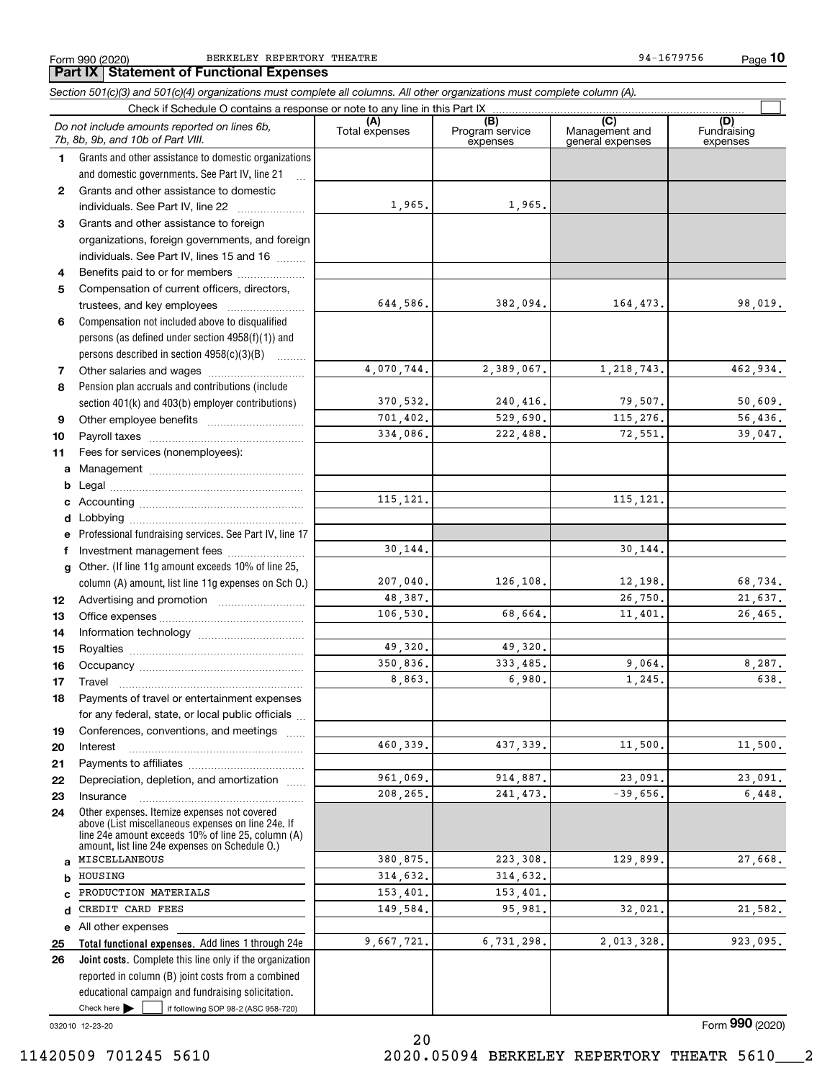Form 990 (2020) BERKELEY REPERTORY THEATRE 94–1679756 Page **Part IX Statement of Functional Expenses**

*Section 501(c)(3) and 501(c)(4) organizations must complete all columns. All other organizations must complete column (A).*

**10**

|              | Do not include amounts reported on lines 6b,<br>7b, 8b, 9b, and 10b of Part VIII.                                                                        | (A)<br>Total expenses | (B)<br>Program service<br>expenses | $\overline{C}$<br>Management and<br>general expenses | (D)<br>Fundraising<br>expenses |  |  |  |
|--------------|----------------------------------------------------------------------------------------------------------------------------------------------------------|-----------------------|------------------------------------|------------------------------------------------------|--------------------------------|--|--|--|
| 1.           | Grants and other assistance to domestic organizations                                                                                                    |                       |                                    |                                                      |                                |  |  |  |
|              | and domestic governments. See Part IV, line 21                                                                                                           |                       |                                    |                                                      |                                |  |  |  |
| $\mathbf{2}$ | Grants and other assistance to domestic                                                                                                                  |                       |                                    |                                                      |                                |  |  |  |
|              | individuals. See Part IV, line 22<br>$\overline{\phantom{a}}$                                                                                            | 1,965.                | 1,965.                             |                                                      |                                |  |  |  |
| 3            | Grants and other assistance to foreign                                                                                                                   |                       |                                    |                                                      |                                |  |  |  |
|              | organizations, foreign governments, and foreign                                                                                                          |                       |                                    |                                                      |                                |  |  |  |
|              | individuals. See Part IV, lines 15 and 16                                                                                                                |                       |                                    |                                                      |                                |  |  |  |
| 4            | Benefits paid to or for members                                                                                                                          |                       |                                    |                                                      |                                |  |  |  |
| 5            | Compensation of current officers, directors,                                                                                                             |                       |                                    |                                                      |                                |  |  |  |
|              |                                                                                                                                                          | 644,586.              | 382,094.                           | 164,473.                                             | 98,019.                        |  |  |  |
| 6            | Compensation not included above to disqualified                                                                                                          |                       |                                    |                                                      |                                |  |  |  |
|              | persons (as defined under section 4958(f)(1)) and                                                                                                        |                       |                                    |                                                      |                                |  |  |  |
|              | persons described in section 4958(c)(3)(B)                                                                                                               |                       |                                    |                                                      |                                |  |  |  |
| 7            |                                                                                                                                                          | 4,070,744.            | 2,389,067.                         | 1,218,743.                                           | 462,934.                       |  |  |  |
| 8            | Pension plan accruals and contributions (include                                                                                                         |                       |                                    |                                                      |                                |  |  |  |
|              | section 401(k) and 403(b) employer contributions)                                                                                                        | 370,532.              | 240,416.                           | 79,507.                                              | 50,609.                        |  |  |  |
| 9            |                                                                                                                                                          | 701,402.              | 529,690.                           | 115,276.                                             | 56,436.                        |  |  |  |
| 10           |                                                                                                                                                          | 334,086.              | 222,488.                           | 72,551.                                              | 39,047.                        |  |  |  |
| 11           | Fees for services (nonemployees):                                                                                                                        |                       |                                    |                                                      |                                |  |  |  |
|              |                                                                                                                                                          |                       |                                    |                                                      |                                |  |  |  |
| b            |                                                                                                                                                          |                       |                                    |                                                      |                                |  |  |  |
|              |                                                                                                                                                          | 115, 121.             |                                    | 115, 121.                                            |                                |  |  |  |
| d            |                                                                                                                                                          |                       |                                    |                                                      |                                |  |  |  |
| е            | Professional fundraising services. See Part IV, line 17                                                                                                  |                       |                                    |                                                      |                                |  |  |  |
| f            | Investment management fees                                                                                                                               | 30,144.               |                                    | 30,144.                                              |                                |  |  |  |
|              | g Other. (If line 11g amount exceeds 10% of line 25,                                                                                                     |                       |                                    |                                                      |                                |  |  |  |
|              | column (A) amount, list line 11g expenses on Sch O.)                                                                                                     | 207,040.              | 126,108.                           | 12,198.                                              | 68,734.                        |  |  |  |
| 12           |                                                                                                                                                          | 48,387.               |                                    | 26,750.                                              | 21,637.                        |  |  |  |
| 13           |                                                                                                                                                          | 106,530.              | 68,664.                            | 11,401.                                              | 26,465.                        |  |  |  |
| 14           |                                                                                                                                                          |                       |                                    |                                                      |                                |  |  |  |
| 15           |                                                                                                                                                          | 49,320.               | 49,320.                            |                                                      |                                |  |  |  |
| 16           |                                                                                                                                                          | 350,836.              | 333, 485.                          | 9,064.                                               | 8,287.                         |  |  |  |
| 17           | Travel                                                                                                                                                   | 8,863.                | 6,980.                             | 1,245.                                               | 638.                           |  |  |  |
| 18           | Payments of travel or entertainment expenses                                                                                                             |                       |                                    |                                                      |                                |  |  |  |
|              | for any federal, state, or local public officials                                                                                                        |                       |                                    |                                                      |                                |  |  |  |
| 19           | Conferences, conventions, and meetings                                                                                                                   |                       |                                    |                                                      |                                |  |  |  |
| 20           | Interest                                                                                                                                                 | 460,339.              | 437, 339.                          | 11,500.                                              | 11,500.                        |  |  |  |
| 21           |                                                                                                                                                          |                       |                                    |                                                      |                                |  |  |  |
| 22           | Depreciation, depletion, and amortization                                                                                                                | 961,069.              | 914,887.                           | 23,091.                                              | 23,091.                        |  |  |  |
| 23           | Insurance                                                                                                                                                | 208.265.              | 241, 473.                          | $-39,656.$                                           | 6,448.                         |  |  |  |
| 24           | Other expenses. Itemize expenses not covered<br>above (List miscellaneous expenses on line 24e. If<br>line 24e amount exceeds 10% of line 25, column (A) |                       |                                    |                                                      |                                |  |  |  |
| a            | amount, list line 24e expenses on Schedule O.)<br>MISCELLANEOUS                                                                                          | 380,875.              | 223,308.                           | 129,899.                                             | 27,668.                        |  |  |  |
| b            | HOUSING                                                                                                                                                  | 314,632.              | 314,632.                           |                                                      |                                |  |  |  |
| C            | PRODUCTION MATERIALS                                                                                                                                     | 153,401.              | 153,401.                           |                                                      |                                |  |  |  |
| d            | CREDIT CARD FEES                                                                                                                                         | 149,584.              | 95,981.                            | 32,021                                               | 21,582.                        |  |  |  |
|              | e All other expenses                                                                                                                                     |                       |                                    |                                                      |                                |  |  |  |
| 25           | Total functional expenses. Add lines 1 through 24e                                                                                                       | 9,667,721.            | 6,731,298.                         | 2,013,328.                                           | 923,095.                       |  |  |  |
| 26           | Joint costs. Complete this line only if the organization                                                                                                 |                       |                                    |                                                      |                                |  |  |  |
|              | reported in column (B) joint costs from a combined                                                                                                       |                       |                                    |                                                      |                                |  |  |  |
|              | educational campaign and fundraising solicitation.                                                                                                       |                       |                                    |                                                      |                                |  |  |  |
|              | Check here $\blacktriangleright$<br>if following SOP 98-2 (ASC 958-720)                                                                                  |                       |                                    |                                                      |                                |  |  |  |

032010 12-23-20

Form (2020) **990**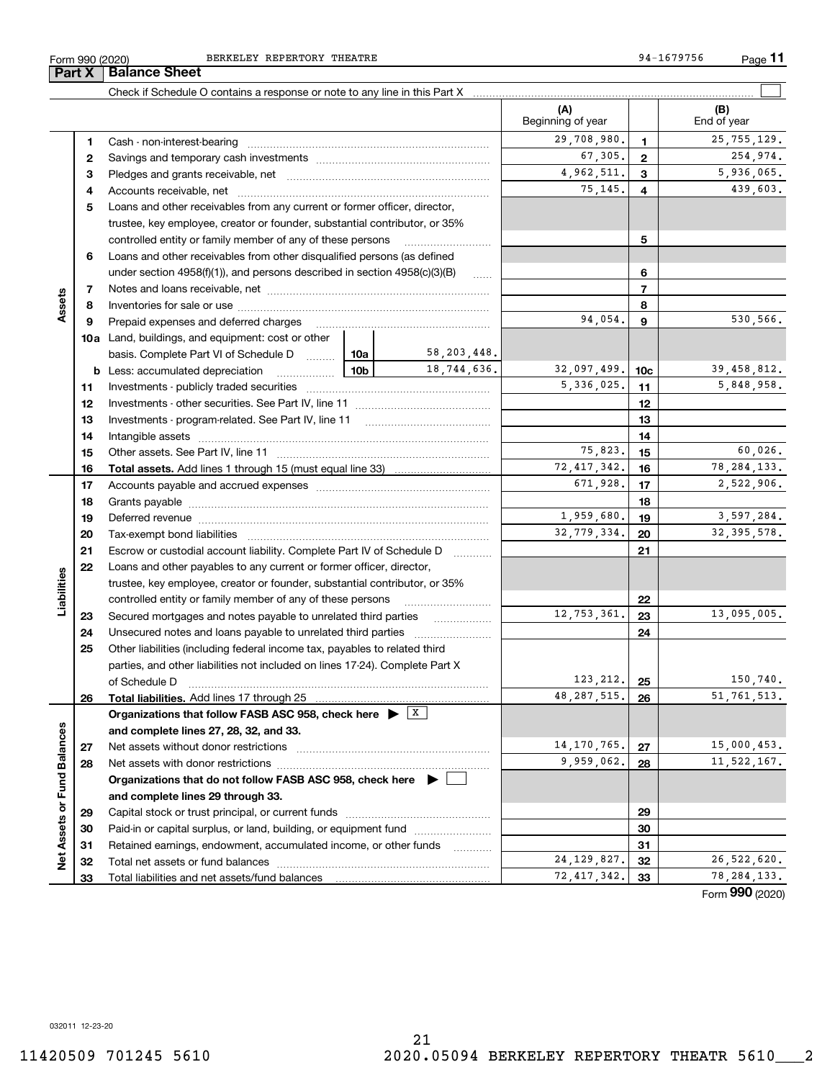BERKELEY REPERTORY THEATRE **1994-1679756** 94-1679756

Form 990 (2020) BERKELEY REPERTORY THEATRE 94-1679756 Page **11**

|                             | Part X   | <b>Balance Sheet</b>                                                                                                                                                                                                           |                 |              |                              |                 |                          |
|-----------------------------|----------|--------------------------------------------------------------------------------------------------------------------------------------------------------------------------------------------------------------------------------|-----------------|--------------|------------------------------|-----------------|--------------------------|
|                             |          |                                                                                                                                                                                                                                |                 |              |                              |                 |                          |
|                             |          |                                                                                                                                                                                                                                |                 |              | (A)<br>Beginning of year     |                 | (B)<br>End of year       |
|                             | 1        |                                                                                                                                                                                                                                |                 |              | 29,708,980.                  | 1               | 25, 755, 129.            |
|                             | 2        |                                                                                                                                                                                                                                | 67,305.         | $\mathbf{2}$ | 254,974.                     |                 |                          |
|                             | З        |                                                                                                                                                                                                                                |                 | 4,962,511.   | 3                            | 5,936,065.      |                          |
|                             | 4        |                                                                                                                                                                                                                                | 75,145.         | 4            | 439,603.                     |                 |                          |
|                             | 5        | Loans and other receivables from any current or former officer, director,                                                                                                                                                      |                 |              |                              |                 |                          |
|                             |          | trustee, key employee, creator or founder, substantial contributor, or 35%                                                                                                                                                     |                 |              |                              |                 |                          |
|                             |          | controlled entity or family member of any of these persons                                                                                                                                                                     |                 |              |                              | 5               |                          |
|                             | 6        | Loans and other receivables from other disqualified persons (as defined                                                                                                                                                        |                 |              |                              |                 |                          |
|                             |          | under section $4958(f)(1)$ , and persons described in section $4958(c)(3)(B)$                                                                                                                                                  |                 | 1.1.1.1      |                              | 6               |                          |
|                             | 7        |                                                                                                                                                                                                                                |                 |              |                              | $\overline{7}$  |                          |
| Assets                      | 8        |                                                                                                                                                                                                                                |                 |              |                              | 8               |                          |
|                             | 9        | Prepaid expenses and deferred charges                                                                                                                                                                                          |                 |              | 94,054.                      | 9               | 530,566.                 |
|                             |          | <b>10a</b> Land, buildings, and equipment: cost or other                                                                                                                                                                       |                 |              |                              |                 |                          |
|                             |          | basis. Complete Part VI of Schedule D  10a                                                                                                                                                                                     |                 | 58,203,448.  |                              |                 |                          |
|                             |          | <b>b</b> Less: accumulated depreciation<br>.                                                                                                                                                                                   | 10 <sub>b</sub> | 18,744,636.  | 32,097,499.                  | 10 <sub>c</sub> | 39,458,812.              |
|                             | 11       |                                                                                                                                                                                                                                |                 | 5,336,025.   | 11                           | 5,848,958.      |                          |
|                             | 12       |                                                                                                                                                                                                                                |                 | 12           |                              |                 |                          |
|                             | 13       |                                                                                                                                                                                                                                |                 |              | 13                           |                 |                          |
|                             | 14       |                                                                                                                                                                                                                                |                 |              |                              | 14              |                          |
|                             | 15       |                                                                                                                                                                                                                                |                 |              | 75,823.                      | 15              | 60,026.                  |
|                             | 16       |                                                                                                                                                                                                                                |                 |              | 72, 417, 342.                | 16              | 78, 284, 133.            |
|                             | 17       |                                                                                                                                                                                                                                |                 | 671,928.     | 17                           | 2,522,906.      |                          |
|                             | 18       |                                                                                                                                                                                                                                |                 |              | 18                           |                 |                          |
|                             | 19       | Deferred revenue manual contracts and contracts are all the contracts and contracts are contracted and contracts are contracted and contract are contracted and contract are contracted and contract are contracted and contra |                 |              | 1,959,680.                   | 19              | 3,597,284.               |
|                             | 20       |                                                                                                                                                                                                                                |                 |              | 32,779,334.                  | 20              | 32, 395, 578.            |
|                             | 21       | Escrow or custodial account liability. Complete Part IV of Schedule D                                                                                                                                                          |                 | .            |                              | 21              |                          |
|                             | 22       | Loans and other payables to any current or former officer, director,                                                                                                                                                           |                 |              |                              |                 |                          |
|                             |          | trustee, key employee, creator or founder, substantial contributor, or 35%                                                                                                                                                     |                 |              |                              |                 |                          |
| Liabilities                 |          | controlled entity or family member of any of these persons                                                                                                                                                                     |                 |              |                              | 22              |                          |
|                             | 23       | Secured mortgages and notes payable to unrelated third parties                                                                                                                                                                 |                 |              | 12,753,361.                  | 23              | 13,095,005.              |
|                             | 24       | Unsecured notes and loans payable to unrelated third parties                                                                                                                                                                   |                 |              |                              | 24              |                          |
|                             | 25       | Other liabilities (including federal income tax, payables to related third                                                                                                                                                     |                 |              |                              |                 |                          |
|                             |          | parties, and other liabilities not included on lines 17-24). Complete Part X                                                                                                                                                   |                 |              |                              |                 |                          |
|                             |          | of Schedule D                                                                                                                                                                                                                  |                 |              | 123, 212.                    | 25              | 150,740.                 |
|                             | 26       | <b>Total liabilities.</b> Add lines 17 through 25                                                                                                                                                                              |                 |              | 48, 287, 515.                | 26              | 51, 761, 513.            |
|                             |          | Organizations that follow FASB ASC 958, check here $\blacktriangleright \begin{array}{c} \perp X \end{array}$                                                                                                                  |                 |              |                              |                 |                          |
|                             |          | and complete lines 27, 28, 32, and 33.                                                                                                                                                                                         |                 |              | 14, 170, 765.                |                 |                          |
|                             | 27       | Net assets without donor restrictions                                                                                                                                                                                          | 9,959,062.      | 27<br>28     | 15,000,453.<br>11, 522, 167. |                 |                          |
|                             | 28       |                                                                                                                                                                                                                                |                 |              |                              |                 |                          |
|                             |          | Organizations that do not follow FASB ASC 958, check here ▶ [                                                                                                                                                                  |                 |              |                              |                 |                          |
| Net Assets or Fund Balances |          | and complete lines 29 through 33.                                                                                                                                                                                              |                 |              |                              |                 |                          |
|                             | 29       | Paid-in or capital surplus, or land, building, or equipment fund                                                                                                                                                               |                 |              |                              | 29<br>30        |                          |
|                             | 30       | Retained earnings, endowment, accumulated income, or other funds                                                                                                                                                               |                 |              |                              | 31              |                          |
|                             | 31<br>32 | Total net assets or fund balances                                                                                                                                                                                              |                 |              | 24, 129, 827.                | 32              | 26,522,620.              |
|                             | 33       |                                                                                                                                                                                                                                |                 |              | 72, 417, 342.                | 33              | 78, 284, 133.            |
|                             |          |                                                                                                                                                                                                                                |                 |              |                              |                 | $\overline{\phantom{0}}$ |

Form (2020) **990**

032011 12-23-20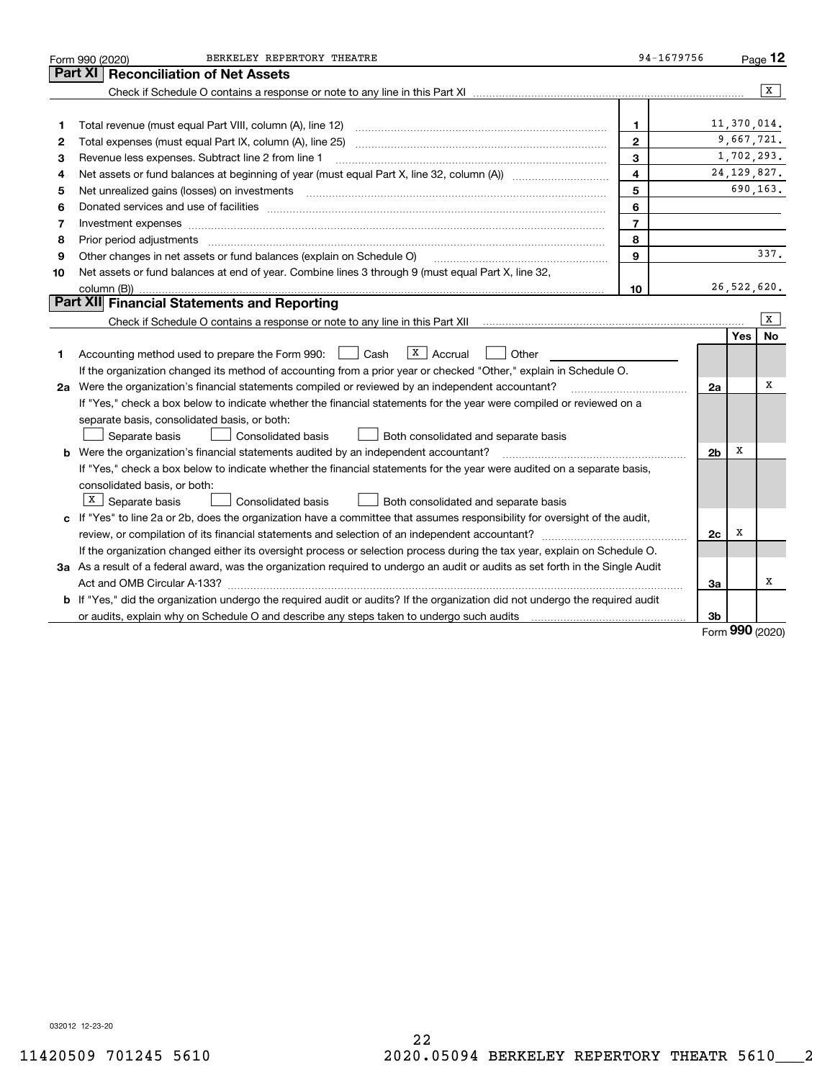|    | BERKELEY REPERTORY THEATRE<br>Form 990 (2020)                                                                                   | 94-1679756     |                |             | Page 12       |
|----|---------------------------------------------------------------------------------------------------------------------------------|----------------|----------------|-------------|---------------|
|    | <b>Reconciliation of Net Assets</b><br>Part XI                                                                                  |                |                |             |               |
|    |                                                                                                                                 |                |                |             | x             |
|    |                                                                                                                                 |                |                |             |               |
| 1  | Total revenue (must equal Part VIII, column (A), line 12)                                                                       | 1              |                | 11,370,014. |               |
| 2  |                                                                                                                                 | $\mathbf{2}$   |                | 9,667,721.  |               |
| 3  | Revenue less expenses. Subtract line 2 from line 1                                                                              | 3              |                |             | 1,702,293.    |
| 4  |                                                                                                                                 | 4              |                |             | 24, 129, 827. |
| 5  | Net unrealized gains (losses) on investments [11] matter continuum matter is a set of the set of the set of the                 | 5              |                |             | 690,163.      |
| 6  |                                                                                                                                 | 6              |                |             |               |
| 7  | Investment expenses www.communication.com/www.communication.com/www.communication.com/www.com                                   | $\overline{7}$ |                |             |               |
| 8  | Prior period adjustments www.communication.communication.com/news/communication.com/news/communication.com/news/                | 8              |                |             |               |
| 9  | Other changes in net assets or fund balances (explain on Schedule O)                                                            | 9              |                |             | 337.          |
| 10 | Net assets or fund balances at end of year. Combine lines 3 through 9 (must equal Part X, line 32,                              |                |                |             |               |
|    | column (B))                                                                                                                     | 10             |                | 26,522,620. |               |
|    | Part XII Financial Statements and Reporting                                                                                     |                |                |             |               |
|    |                                                                                                                                 |                |                |             | X             |
|    |                                                                                                                                 |                |                | Yes         | <b>No</b>     |
| 1  | $X$ Accrual<br>Accounting method used to prepare the Form 990: <u>II</u> Cash<br>Other                                          |                |                |             |               |
|    | If the organization changed its method of accounting from a prior year or checked "Other," explain in Schedule O.               |                |                |             |               |
|    | 2a Were the organization's financial statements compiled or reviewed by an independent accountant?                              |                | 2a             |             | X             |
|    | If "Yes," check a box below to indicate whether the financial statements for the year were compiled or reviewed on a            |                |                |             |               |
|    | separate basis, consolidated basis, or both:                                                                                    |                |                |             |               |
|    | <b>Consolidated basis</b><br>Both consolidated and separate basis<br>Separate basis                                             |                |                |             |               |
|    | <b>b</b> Were the organization's financial statements audited by an independent accountant?                                     |                | 2 <sub>b</sub> | X           |               |
|    | If "Yes," check a box below to indicate whether the financial statements for the year were audited on a separate basis,         |                |                |             |               |
|    | consolidated basis, or both:                                                                                                    |                |                |             |               |
|    | $X$ Separate basis<br><b>Consolidated basis</b><br>Both consolidated and separate basis                                         |                |                |             |               |
|    | c If "Yes" to line 2a or 2b, does the organization have a committee that assumes responsibility for oversight of the audit,     |                |                |             |               |
|    | review, or compilation of its financial statements and selection of an independent accountant?                                  |                | 2c             | х           |               |
|    | If the organization changed either its oversight process or selection process during the tax year, explain on Schedule O.       |                |                |             |               |
|    | 3a As a result of a federal award, was the organization required to undergo an audit or audits as set forth in the Single Audit |                |                |             |               |
|    |                                                                                                                                 |                | За             |             | X             |
|    | b If "Yes," did the organization undergo the required audit or audits? If the organization did not undergo the required audit   |                |                |             |               |
|    | or audits, explain why on Schedule O and describe any steps taken to undergo such audits matures and successive                 |                | 3b             | $\Omega$    |               |

Form (2020) **990**

032012 12-23-20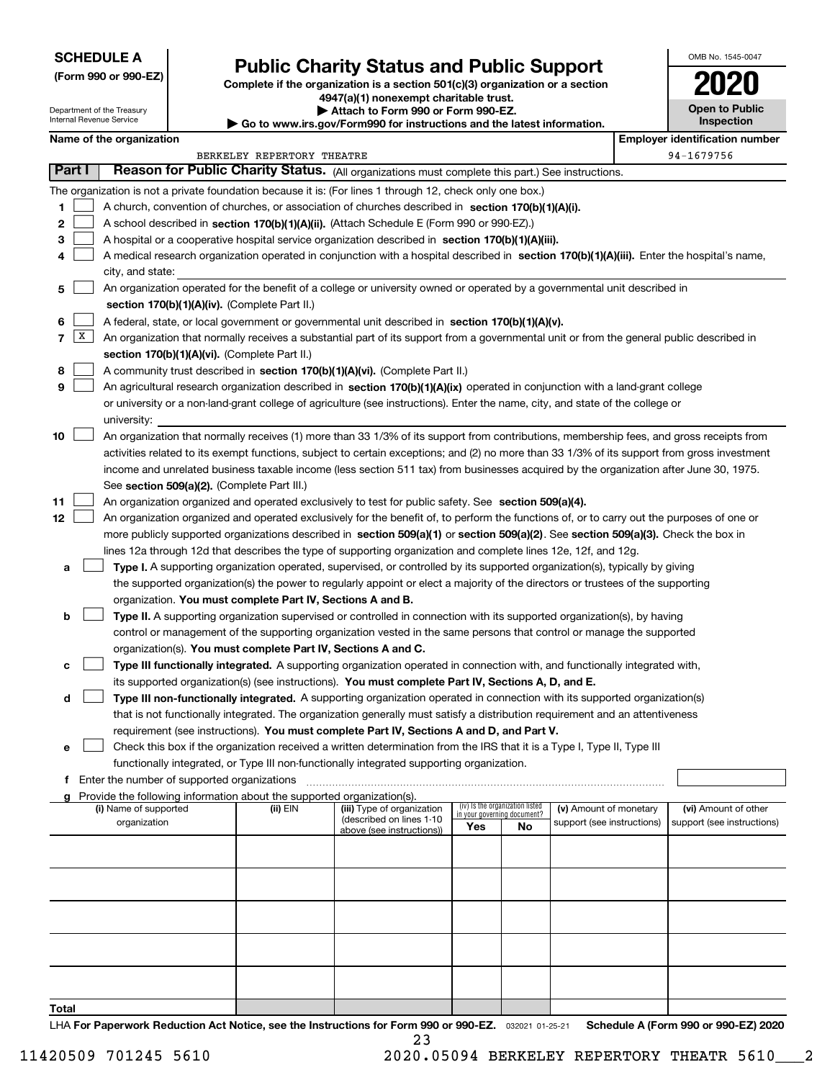Department of the Treasury Internal Revenue Service

**(Form 990 or 990-EZ)**

# **Public Charity Status and Public Support**

**Complete if the organization is a section 501(c)(3) organization or a section 4947(a)(1) nonexempt charitable trust. | Attach to Form 990 or Form 990-EZ.** 

| ▶ Go to www.irs.gov/Form990 for instructions and the latest information. |
|--------------------------------------------------------------------------|

| OMB No. 1545-0047                   |
|-------------------------------------|
| 2020                                |
| <b>Open to Public</b><br>Inspection |

|          | Name of the organization |                                                                                                                                                                                                                                                    |                            |                                                        |                                 |    |                                                      |  | <b>Employer identification number</b>              |  |
|----------|--------------------------|----------------------------------------------------------------------------------------------------------------------------------------------------------------------------------------------------------------------------------------------------|----------------------------|--------------------------------------------------------|---------------------------------|----|------------------------------------------------------|--|----------------------------------------------------|--|
|          |                          |                                                                                                                                                                                                                                                    | BERKELEY REPERTORY THEATRE |                                                        |                                 |    |                                                      |  | 94-1679756                                         |  |
| Part I   |                          | Reason for Public Charity Status. (All organizations must complete this part.) See instructions.                                                                                                                                                   |                            |                                                        |                                 |    |                                                      |  |                                                    |  |
|          |                          | The organization is not a private foundation because it is: (For lines 1 through 12, check only one box.)                                                                                                                                          |                            |                                                        |                                 |    |                                                      |  |                                                    |  |
| 1        |                          | A church, convention of churches, or association of churches described in section 170(b)(1)(A)(i).                                                                                                                                                 |                            |                                                        |                                 |    |                                                      |  |                                                    |  |
| 2        |                          | A school described in section 170(b)(1)(A)(ii). (Attach Schedule E (Form 990 or 990-EZ).)                                                                                                                                                          |                            |                                                        |                                 |    |                                                      |  |                                                    |  |
| з        |                          | A hospital or a cooperative hospital service organization described in section 170(b)(1)(A)(iii).                                                                                                                                                  |                            |                                                        |                                 |    |                                                      |  |                                                    |  |
| 4        |                          | A medical research organization operated in conjunction with a hospital described in section 170(b)(1)(A)(iii). Enter the hospital's name,                                                                                                         |                            |                                                        |                                 |    |                                                      |  |                                                    |  |
|          |                          | city, and state:                                                                                                                                                                                                                                   |                            |                                                        |                                 |    |                                                      |  |                                                    |  |
| 5        |                          | An organization operated for the benefit of a college or university owned or operated by a governmental unit described in                                                                                                                          |                            |                                                        |                                 |    |                                                      |  |                                                    |  |
|          |                          | section 170(b)(1)(A)(iv). (Complete Part II.)                                                                                                                                                                                                      |                            |                                                        |                                 |    |                                                      |  |                                                    |  |
| 6        |                          | A federal, state, or local government or governmental unit described in section 170(b)(1)(A)(v).                                                                                                                                                   |                            |                                                        |                                 |    |                                                      |  |                                                    |  |
| 7        | $\vert x \vert$          | An organization that normally receives a substantial part of its support from a governmental unit or from the general public described in                                                                                                          |                            |                                                        |                                 |    |                                                      |  |                                                    |  |
|          |                          | section 170(b)(1)(A)(vi). (Complete Part II.)                                                                                                                                                                                                      |                            |                                                        |                                 |    |                                                      |  |                                                    |  |
| 8        |                          | A community trust described in section 170(b)(1)(A)(vi). (Complete Part II.)                                                                                                                                                                       |                            |                                                        |                                 |    |                                                      |  |                                                    |  |
| 9        |                          | An agricultural research organization described in section 170(b)(1)(A)(ix) operated in conjunction with a land-grant college                                                                                                                      |                            |                                                        |                                 |    |                                                      |  |                                                    |  |
|          |                          | or university or a non-land-grant college of agriculture (see instructions). Enter the name, city, and state of the college or                                                                                                                     |                            |                                                        |                                 |    |                                                      |  |                                                    |  |
|          |                          | university:                                                                                                                                                                                                                                        |                            |                                                        |                                 |    |                                                      |  |                                                    |  |
| 10       |                          | An organization that normally receives (1) more than 33 1/3% of its support from contributions, membership fees, and gross receipts from                                                                                                           |                            |                                                        |                                 |    |                                                      |  |                                                    |  |
|          |                          | activities related to its exempt functions, subject to certain exceptions; and (2) no more than 33 1/3% of its support from gross investment                                                                                                       |                            |                                                        |                                 |    |                                                      |  |                                                    |  |
|          |                          | income and unrelated business taxable income (less section 511 tax) from businesses acquired by the organization after June 30, 1975.                                                                                                              |                            |                                                        |                                 |    |                                                      |  |                                                    |  |
|          |                          | See section 509(a)(2). (Complete Part III.)                                                                                                                                                                                                        |                            |                                                        |                                 |    |                                                      |  |                                                    |  |
| 11<br>12 |                          | An organization organized and operated exclusively to test for public safety. See section 509(a)(4).<br>An organization organized and operated exclusively for the benefit of, to perform the functions of, or to carry out the purposes of one or |                            |                                                        |                                 |    |                                                      |  |                                                    |  |
|          |                          | more publicly supported organizations described in section 509(a)(1) or section 509(a)(2). See section 509(a)(3). Check the box in                                                                                                                 |                            |                                                        |                                 |    |                                                      |  |                                                    |  |
|          |                          | lines 12a through 12d that describes the type of supporting organization and complete lines 12e, 12f, and 12g.                                                                                                                                     |                            |                                                        |                                 |    |                                                      |  |                                                    |  |
| а        |                          | Type I. A supporting organization operated, supervised, or controlled by its supported organization(s), typically by giving                                                                                                                        |                            |                                                        |                                 |    |                                                      |  |                                                    |  |
|          |                          | the supported organization(s) the power to regularly appoint or elect a majority of the directors or trustees of the supporting                                                                                                                    |                            |                                                        |                                 |    |                                                      |  |                                                    |  |
|          |                          | organization. You must complete Part IV, Sections A and B.                                                                                                                                                                                         |                            |                                                        |                                 |    |                                                      |  |                                                    |  |
| b        |                          | Type II. A supporting organization supervised or controlled in connection with its supported organization(s), by having                                                                                                                            |                            |                                                        |                                 |    |                                                      |  |                                                    |  |
|          |                          | control or management of the supporting organization vested in the same persons that control or manage the supported                                                                                                                               |                            |                                                        |                                 |    |                                                      |  |                                                    |  |
|          |                          | organization(s). You must complete Part IV, Sections A and C.                                                                                                                                                                                      |                            |                                                        |                                 |    |                                                      |  |                                                    |  |
| c        |                          | Type III functionally integrated. A supporting organization operated in connection with, and functionally integrated with,                                                                                                                         |                            |                                                        |                                 |    |                                                      |  |                                                    |  |
|          |                          | its supported organization(s) (see instructions). You must complete Part IV, Sections A, D, and E.                                                                                                                                                 |                            |                                                        |                                 |    |                                                      |  |                                                    |  |
| d        |                          | Type III non-functionally integrated. A supporting organization operated in connection with its supported organization(s)                                                                                                                          |                            |                                                        |                                 |    |                                                      |  |                                                    |  |
|          |                          | that is not functionally integrated. The organization generally must satisfy a distribution requirement and an attentiveness                                                                                                                       |                            |                                                        |                                 |    |                                                      |  |                                                    |  |
|          |                          | requirement (see instructions). You must complete Part IV, Sections A and D, and Part V.                                                                                                                                                           |                            |                                                        |                                 |    |                                                      |  |                                                    |  |
| е        |                          | Check this box if the organization received a written determination from the IRS that it is a Type I, Type II, Type III                                                                                                                            |                            |                                                        |                                 |    |                                                      |  |                                                    |  |
|          |                          | functionally integrated, or Type III non-functionally integrated supporting organization.                                                                                                                                                          |                            |                                                        |                                 |    |                                                      |  |                                                    |  |
|          |                          | f Enter the number of supported organizations                                                                                                                                                                                                      |                            |                                                        |                                 |    |                                                      |  |                                                    |  |
|          |                          | Provide the following information about the supported organization(s).                                                                                                                                                                             |                            |                                                        | (iv) Is the organization listed |    |                                                      |  |                                                    |  |
|          |                          | (i) Name of supported<br>organization                                                                                                                                                                                                              | (ii) EIN                   | (iii) Type of organization<br>(described on lines 1-10 | in your governing document?     |    | (v) Amount of monetary<br>support (see instructions) |  | (vi) Amount of other<br>support (see instructions) |  |
|          |                          |                                                                                                                                                                                                                                                    |                            | above (see instructions))                              | Yes                             | No |                                                      |  |                                                    |  |
|          |                          |                                                                                                                                                                                                                                                    |                            |                                                        |                                 |    |                                                      |  |                                                    |  |
|          |                          |                                                                                                                                                                                                                                                    |                            |                                                        |                                 |    |                                                      |  |                                                    |  |
|          |                          |                                                                                                                                                                                                                                                    |                            |                                                        |                                 |    |                                                      |  |                                                    |  |
|          |                          |                                                                                                                                                                                                                                                    |                            |                                                        |                                 |    |                                                      |  |                                                    |  |
|          |                          |                                                                                                                                                                                                                                                    |                            |                                                        |                                 |    |                                                      |  |                                                    |  |
|          |                          |                                                                                                                                                                                                                                                    |                            |                                                        |                                 |    |                                                      |  |                                                    |  |
|          |                          |                                                                                                                                                                                                                                                    |                            |                                                        |                                 |    |                                                      |  |                                                    |  |
|          |                          |                                                                                                                                                                                                                                                    |                            |                                                        |                                 |    |                                                      |  |                                                    |  |
|          |                          |                                                                                                                                                                                                                                                    |                            |                                                        |                                 |    |                                                      |  |                                                    |  |
| Total    |                          |                                                                                                                                                                                                                                                    |                            |                                                        |                                 |    |                                                      |  |                                                    |  |
|          |                          |                                                                                                                                                                                                                                                    |                            |                                                        |                                 |    |                                                      |  |                                                    |  |

LHA For Paperwork Reduction Act Notice, see the Instructions for Form 990 or 990-EZ. <sub>032021</sub> o1-25-21 Schedule A (Form 990 or 990-EZ) 2020 23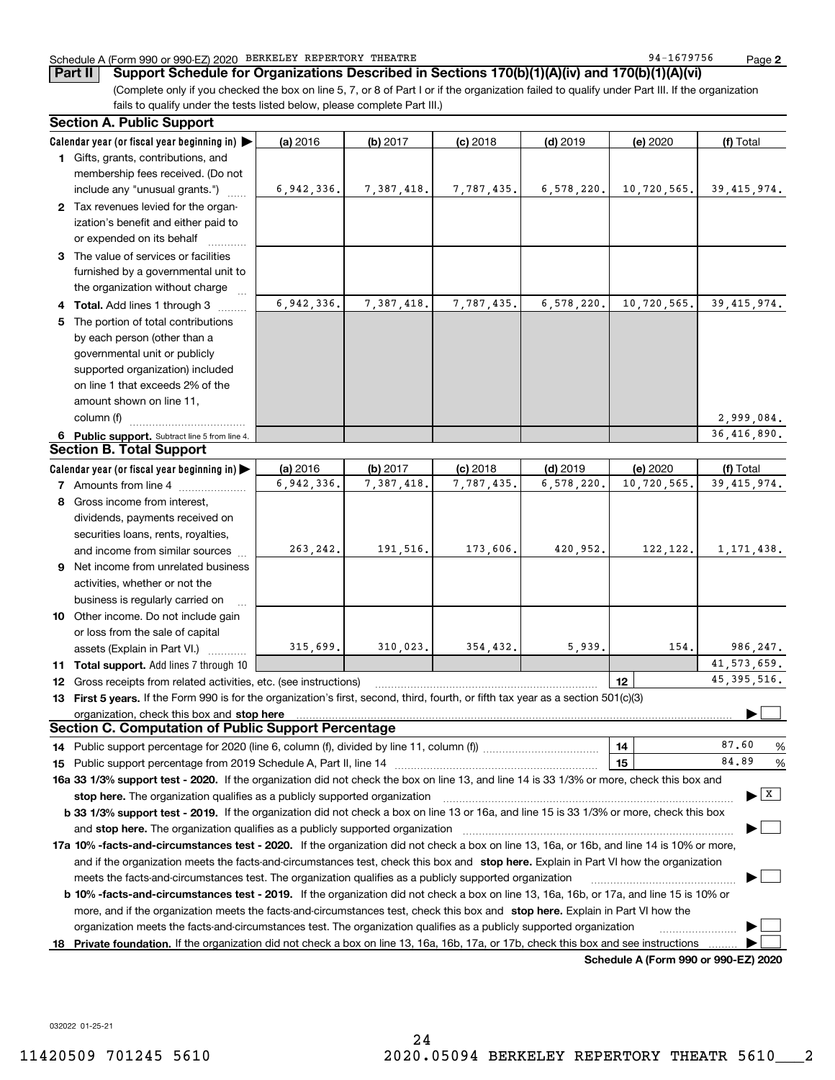### Schedule A (Form 990 or 990-EZ) 2020 Page BERKELEY REPERTORY THEATRE 94-1679756

**Part II Support Schedule for Organizations Described in Sections 170(b)(1)(A)(iv) and 170(b)(1)(A)(vi)**

(Complete only if you checked the box on line 5, 7, or 8 of Part I or if the organization failed to qualify under Part III. If the organization fails to qualify under the tests listed below, please complete Part III.)

| <b>Section A. Public Support</b>                                                                                                               |            |            |            |            |                                      |                                                  |
|------------------------------------------------------------------------------------------------------------------------------------------------|------------|------------|------------|------------|--------------------------------------|--------------------------------------------------|
| Calendar year (or fiscal year beginning in)                                                                                                    | (a) 2016   | $(b)$ 2017 | $(c)$ 2018 | $(d)$ 2019 | (e) 2020                             | (f) Total                                        |
| 1 Gifts, grants, contributions, and                                                                                                            |            |            |            |            |                                      |                                                  |
| membership fees received. (Do not                                                                                                              |            |            |            |            |                                      |                                                  |
| include any "unusual grants.")                                                                                                                 | 6,942,336. | 7,387,418. | 7,787,435. | 6,578,220. | 10,720,565.                          | 39, 415, 974.                                    |
| 2 Tax revenues levied for the organ-                                                                                                           |            |            |            |            |                                      |                                                  |
| ization's benefit and either paid to                                                                                                           |            |            |            |            |                                      |                                                  |
| or expended on its behalf                                                                                                                      |            |            |            |            |                                      |                                                  |
| 3 The value of services or facilities                                                                                                          |            |            |            |            |                                      |                                                  |
| furnished by a governmental unit to                                                                                                            |            |            |            |            |                                      |                                                  |
| the organization without charge                                                                                                                |            |            |            |            |                                      |                                                  |
| 4 Total. Add lines 1 through 3                                                                                                                 | 6,942,336. | 7,387,418. | 7,787,435. | 6,578,220. | 10,720,565.                          | 39, 415, 974.                                    |
| 5 The portion of total contributions                                                                                                           |            |            |            |            |                                      |                                                  |
| by each person (other than a                                                                                                                   |            |            |            |            |                                      |                                                  |
| governmental unit or publicly                                                                                                                  |            |            |            |            |                                      |                                                  |
| supported organization) included                                                                                                               |            |            |            |            |                                      |                                                  |
| on line 1 that exceeds 2% of the                                                                                                               |            |            |            |            |                                      |                                                  |
| amount shown on line 11,                                                                                                                       |            |            |            |            |                                      |                                                  |
| column (f)                                                                                                                                     |            |            |            |            |                                      | 2,999,084.                                       |
| 6 Public support. Subtract line 5 from line 4.                                                                                                 |            |            |            |            |                                      | 36,416,890.                                      |
| <b>Section B. Total Support</b>                                                                                                                |            |            |            |            |                                      |                                                  |
| Calendar year (or fiscal year beginning in)                                                                                                    | (a) 2016   | (b) 2017   | $(c)$ 2018 | $(d)$ 2019 | (e) 2020                             | (f) Total                                        |
| <b>7</b> Amounts from line 4                                                                                                                   | 6,942,336. | 7,387,418. | 7,787,435. | 6,578,220. | 10,720,565.                          | 39, 415, 974.                                    |
| 8 Gross income from interest,                                                                                                                  |            |            |            |            |                                      |                                                  |
| dividends, payments received on                                                                                                                |            |            |            |            |                                      |                                                  |
| securities loans, rents, royalties,                                                                                                            |            |            |            |            |                                      |                                                  |
| and income from similar sources                                                                                                                | 263, 242.  | 191,516.   | 173,606.   | 420,952.   | 122, 122.                            | 1, 171, 438.                                     |
| 9 Net income from unrelated business                                                                                                           |            |            |            |            |                                      |                                                  |
| activities, whether or not the                                                                                                                 |            |            |            |            |                                      |                                                  |
| business is regularly carried on                                                                                                               |            |            |            |            |                                      |                                                  |
| 10 Other income. Do not include gain                                                                                                           |            |            |            |            |                                      |                                                  |
| or loss from the sale of capital                                                                                                               |            |            |            |            |                                      |                                                  |
| assets (Explain in Part VI.)                                                                                                                   | 315,699.   | 310,023.   | 354,432.   | 5,939.     | 154.                                 | 986,247.                                         |
| 11 Total support. Add lines 7 through 10                                                                                                       |            |            |            |            |                                      | 41, 573, 659.                                    |
| <b>12</b> Gross receipts from related activities, etc. (see instructions)                                                                      |            |            |            |            | 12                                   | 45, 395, 516.                                    |
| 13 First 5 years. If the Form 990 is for the organization's first, second, third, fourth, or fifth tax year as a section 501(c)(3)             |            |            |            |            |                                      |                                                  |
| organization, check this box and stop here                                                                                                     |            |            |            |            |                                      |                                                  |
| <b>Section C. Computation of Public Support Percentage</b>                                                                                     |            |            |            |            |                                      |                                                  |
| 14 Public support percentage for 2020 (line 6, column (f), divided by line 11, column (f) <i>marroummaname</i>                                 |            |            |            |            | 14                                   | 87.60<br>%                                       |
|                                                                                                                                                |            |            |            |            | 15                                   | 84.89<br>%                                       |
| 16a 33 1/3% support test - 2020. If the organization did not check the box on line 13, and line 14 is 33 1/3% or more, check this box and      |            |            |            |            |                                      |                                                  |
| stop here. The organization qualifies as a publicly supported organization                                                                     |            |            |            |            |                                      | $\blacktriangleright$ $\vert \overline{x} \vert$ |
| b 33 1/3% support test - 2019. If the organization did not check a box on line 13 or 16a, and line 15 is 33 1/3% or more, check this box       |            |            |            |            |                                      |                                                  |
| and stop here. The organization qualifies as a publicly supported organization                                                                 |            |            |            |            |                                      |                                                  |
| 17a 10% -facts-and-circumstances test - 2020. If the organization did not check a box on line 13, 16a, or 16b, and line 14 is 10% or more,     |            |            |            |            |                                      |                                                  |
| and if the organization meets the facts-and-circumstances test, check this box and stop here. Explain in Part VI how the organization          |            |            |            |            |                                      |                                                  |
| meets the facts-and-circumstances test. The organization qualifies as a publicly supported organization                                        |            |            |            |            |                                      |                                                  |
| <b>b 10% -facts-and-circumstances test - 2019.</b> If the organization did not check a box on line 13, 16a, 16b, or 17a, and line 15 is 10% or |            |            |            |            |                                      |                                                  |
| more, and if the organization meets the facts-and-circumstances test, check this box and stop here. Explain in Part VI how the                 |            |            |            |            |                                      |                                                  |
| organization meets the facts-and-circumstances test. The organization qualifies as a publicly supported organization                           |            |            |            |            |                                      |                                                  |
| 18 Private foundation. If the organization did not check a box on line 13, 16a, 16b, 17a, or 17b, check this box and see instructions          |            |            |            |            |                                      |                                                  |
|                                                                                                                                                |            |            |            |            | Schedule A (Form 990 or 990-F7) 2020 |                                                  |

**Schedule A (Form 990 or 990-EZ) 2020**

032022 01-25-21

**2**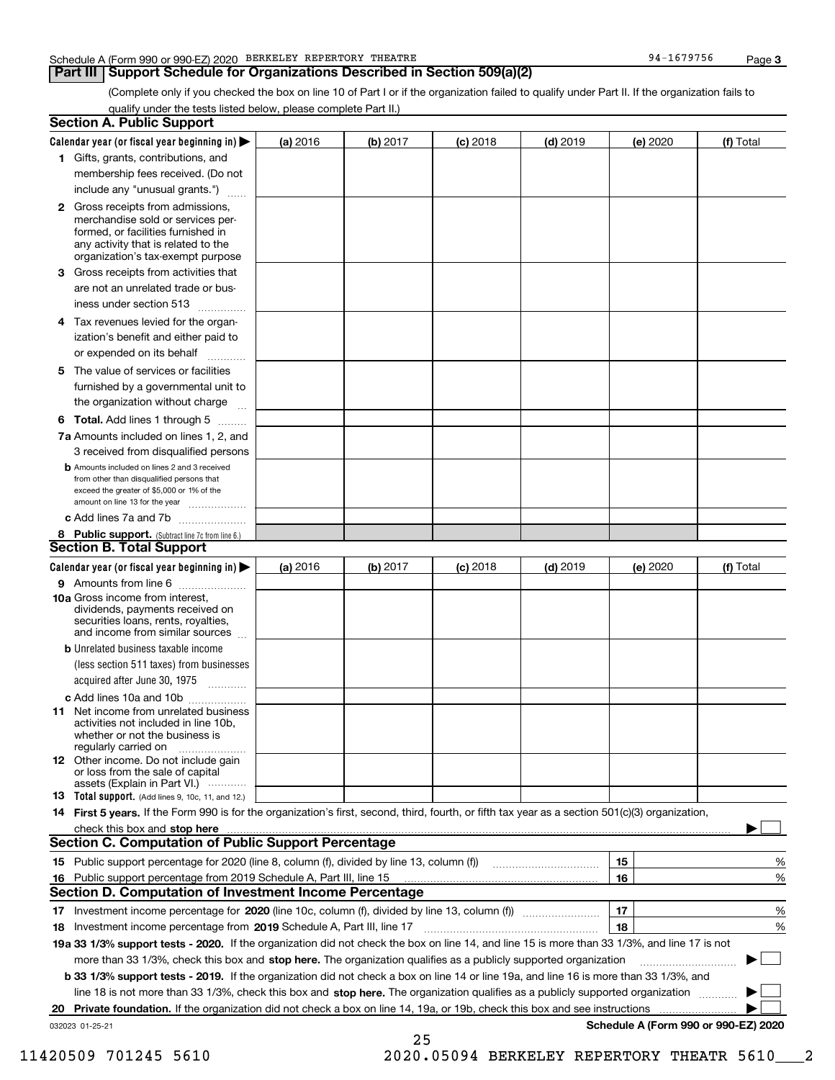#### Schedule A (Form 990 or 990-EZ) 2020 Page BERKELEY REPERTORY THEATRE 94-1679756

## **Part III Support Schedule for Organizations Described in Section 509(a)(2)**

(Complete only if you checked the box on line 10 of Part I or if the organization failed to qualify under Part II. If the organization fails to qualify under the tests listed below, please complete Part II.)

|    | <b>Section A. Public Support</b>                                                                                                                                                         |          |          |            |            |          |                                      |
|----|------------------------------------------------------------------------------------------------------------------------------------------------------------------------------------------|----------|----------|------------|------------|----------|--------------------------------------|
|    | Calendar year (or fiscal year beginning in) $\blacktriangleright$                                                                                                                        | (a) 2016 | (b) 2017 | $(c)$ 2018 | $(d)$ 2019 | (e) 2020 | (f) Total                            |
|    | 1 Gifts, grants, contributions, and                                                                                                                                                      |          |          |            |            |          |                                      |
|    | membership fees received. (Do not                                                                                                                                                        |          |          |            |            |          |                                      |
|    | include any "unusual grants.")                                                                                                                                                           |          |          |            |            |          |                                      |
|    | 2 Gross receipts from admissions,<br>merchandise sold or services per-<br>formed, or facilities furnished in<br>any activity that is related to the<br>organization's tax-exempt purpose |          |          |            |            |          |                                      |
|    | 3 Gross receipts from activities that                                                                                                                                                    |          |          |            |            |          |                                      |
|    | are not an unrelated trade or bus-                                                                                                                                                       |          |          |            |            |          |                                      |
|    | iness under section 513                                                                                                                                                                  |          |          |            |            |          |                                      |
|    | 4 Tax revenues levied for the organ-                                                                                                                                                     |          |          |            |            |          |                                      |
|    | ization's benefit and either paid to                                                                                                                                                     |          |          |            |            |          |                                      |
|    | or expended on its behalf<br>.                                                                                                                                                           |          |          |            |            |          |                                      |
|    | 5 The value of services or facilities<br>furnished by a governmental unit to                                                                                                             |          |          |            |            |          |                                      |
|    | the organization without charge                                                                                                                                                          |          |          |            |            |          |                                      |
|    | <b>6 Total.</b> Add lines 1 through 5                                                                                                                                                    |          |          |            |            |          |                                      |
|    | 7a Amounts included on lines 1, 2, and                                                                                                                                                   |          |          |            |            |          |                                      |
|    | 3 received from disqualified persons                                                                                                                                                     |          |          |            |            |          |                                      |
|    | <b>b</b> Amounts included on lines 2 and 3 received<br>from other than disqualified persons that<br>exceed the greater of \$5,000 or 1% of the<br>amount on line 13 for the year         |          |          |            |            |          |                                      |
|    | c Add lines 7a and 7b                                                                                                                                                                    |          |          |            |            |          |                                      |
|    | 8 Public support. (Subtract line 7c from line 6.)                                                                                                                                        |          |          |            |            |          |                                      |
|    | <b>Section B. Total Support</b>                                                                                                                                                          |          |          |            |            |          |                                      |
|    | Calendar year (or fiscal year beginning in) $\blacktriangleright$                                                                                                                        | (a) 2016 | (b) 2017 | $(c)$ 2018 | $(d)$ 2019 | (e) 2020 | (f) Total                            |
|    | 9 Amounts from line 6                                                                                                                                                                    |          |          |            |            |          |                                      |
|    | 10a Gross income from interest,<br>dividends, payments received on<br>securities loans, rents, royalties,<br>and income from similar sources                                             |          |          |            |            |          |                                      |
|    | <b>b</b> Unrelated business taxable income                                                                                                                                               |          |          |            |            |          |                                      |
|    | (less section 511 taxes) from businesses                                                                                                                                                 |          |          |            |            |          |                                      |
|    | acquired after June 30, 1975                                                                                                                                                             |          |          |            |            |          |                                      |
|    | c Add lines 10a and 10b                                                                                                                                                                  |          |          |            |            |          |                                      |
|    | 11 Net income from unrelated business<br>activities not included in line 10b,<br>whether or not the business is<br>regularly carried on                                                  |          |          |            |            |          |                                      |
|    | 12 Other income. Do not include gain<br>or loss from the sale of capital<br>assets (Explain in Part VI.)                                                                                 |          |          |            |            |          |                                      |
|    | <b>13</b> Total support. (Add lines 9, 10c, 11, and 12.)                                                                                                                                 |          |          |            |            |          |                                      |
|    | 14 First 5 years. If the Form 990 is for the organization's first, second, third, fourth, or fifth tax year as a section 501(c)(3) organization,                                         |          |          |            |            |          |                                      |
|    |                                                                                                                                                                                          |          |          |            |            |          |                                      |
|    | Section C. Computation of Public Support Percentage                                                                                                                                      |          |          |            |            |          |                                      |
|    | 15 Public support percentage for 2020 (line 8, column (f), divided by line 13, column (f))                                                                                               |          |          |            |            | 15       | %                                    |
|    | 16 Public support percentage from 2019 Schedule A, Part III, line 15                                                                                                                     |          |          |            |            | 16       | %                                    |
|    | <b>Section D. Computation of Investment Income Percentage</b>                                                                                                                            |          |          |            |            |          |                                      |
|    | 17 Investment income percentage for 2020 (line 10c, column (f), divided by line 13, column (f))                                                                                          |          |          |            |            | 17       | %                                    |
|    | <b>18</b> Investment income percentage from <b>2019</b> Schedule A, Part III, line 17                                                                                                    |          |          |            |            | 18       | %                                    |
|    | 19a 33 1/3% support tests - 2020. If the organization did not check the box on line 14, and line 15 is more than 33 1/3%, and line 17 is not                                             |          |          |            |            |          |                                      |
|    | more than 33 1/3%, check this box and stop here. The organization qualifies as a publicly supported organization                                                                         |          |          |            |            |          | ▶                                    |
|    | b 33 1/3% support tests - 2019. If the organization did not check a box on line 14 or line 19a, and line 16 is more than 33 1/3%, and                                                    |          |          |            |            |          |                                      |
|    | line 18 is not more than 33 1/3%, check this box and stop here. The organization qualifies as a publicly supported organization                                                          |          |          |            |            |          |                                      |
| 20 | <b>Private foundation.</b> If the organization did not check a box on line 14, 19a, or 19b, check this box and see instructions                                                          |          |          |            |            |          |                                      |
|    | 032023 01-25-21                                                                                                                                                                          |          |          |            |            |          | Schedule A (Form 990 or 990-EZ) 2020 |
|    |                                                                                                                                                                                          |          | 25       |            |            |          |                                      |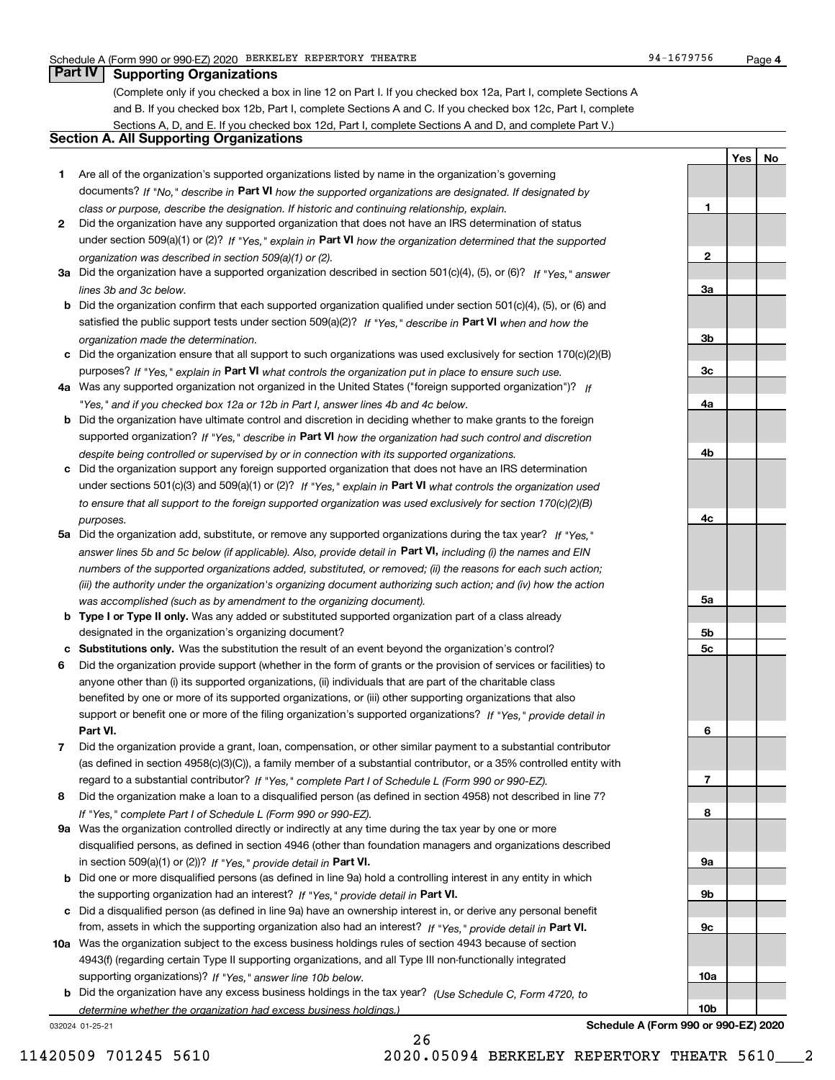**1**

**2**

**3a**

**3b**

**3c**

**4a**

**4b**

**4c**

**5a**

**5b5c**

**6**

**7**

**8**

**9a**

**9b**

**9c**

**10a**

**10b**

**YesNo**

## **Part IV Supporting Organizations**

(Complete only if you checked a box in line 12 on Part I. If you checked box 12a, Part I, complete Sections A and B. If you checked box 12b, Part I, complete Sections A and C. If you checked box 12c, Part I, complete Sections A, D, and E. If you checked box 12d, Part I, complete Sections A and D, and complete Part V.)

## **Section A. All Supporting Organizations**

- **1** Are all of the organization's supported organizations listed by name in the organization's governing documents? If "No," describe in **Part VI** how the supported organizations are designated. If designated by *class or purpose, describe the designation. If historic and continuing relationship, explain.*
- **2** Did the organization have any supported organization that does not have an IRS determination of status under section 509(a)(1) or (2)? If "Yes," explain in Part VI how the organization determined that the supported *organization was described in section 509(a)(1) or (2).*
- **3a** Did the organization have a supported organization described in section 501(c)(4), (5), or (6)? If "Yes," answer *lines 3b and 3c below.*
- **b** Did the organization confirm that each supported organization qualified under section 501(c)(4), (5), or (6) and satisfied the public support tests under section 509(a)(2)? If "Yes," describe in **Part VI** when and how the *organization made the determination.*
- **c**Did the organization ensure that all support to such organizations was used exclusively for section 170(c)(2)(B) purposes? If "Yes," explain in **Part VI** what controls the organization put in place to ensure such use.
- **4a***If* Was any supported organization not organized in the United States ("foreign supported organization")? *"Yes," and if you checked box 12a or 12b in Part I, answer lines 4b and 4c below.*
- **b** Did the organization have ultimate control and discretion in deciding whether to make grants to the foreign supported organization? If "Yes," describe in **Part VI** how the organization had such control and discretion *despite being controlled or supervised by or in connection with its supported organizations.*
- **c** Did the organization support any foreign supported organization that does not have an IRS determination under sections 501(c)(3) and 509(a)(1) or (2)? If "Yes," explain in **Part VI** what controls the organization used *to ensure that all support to the foreign supported organization was used exclusively for section 170(c)(2)(B) purposes.*
- **5a** Did the organization add, substitute, or remove any supported organizations during the tax year? If "Yes," answer lines 5b and 5c below (if applicable). Also, provide detail in **Part VI,** including (i) the names and EIN *numbers of the supported organizations added, substituted, or removed; (ii) the reasons for each such action; (iii) the authority under the organization's organizing document authorizing such action; and (iv) how the action was accomplished (such as by amendment to the organizing document).*
- **b** Type I or Type II only. Was any added or substituted supported organization part of a class already designated in the organization's organizing document?
- **cSubstitutions only.**  Was the substitution the result of an event beyond the organization's control?
- **6** Did the organization provide support (whether in the form of grants or the provision of services or facilities) to **Part VI.** *If "Yes," provide detail in* support or benefit one or more of the filing organization's supported organizations? anyone other than (i) its supported organizations, (ii) individuals that are part of the charitable class benefited by one or more of its supported organizations, or (iii) other supporting organizations that also
- **7**Did the organization provide a grant, loan, compensation, or other similar payment to a substantial contributor *If "Yes," complete Part I of Schedule L (Form 990 or 990-EZ).* regard to a substantial contributor? (as defined in section 4958(c)(3)(C)), a family member of a substantial contributor, or a 35% controlled entity with
- **8** Did the organization make a loan to a disqualified person (as defined in section 4958) not described in line 7? *If "Yes," complete Part I of Schedule L (Form 990 or 990-EZ).*
- **9a** Was the organization controlled directly or indirectly at any time during the tax year by one or more in section 509(a)(1) or (2))? If "Yes," *provide detail in* <code>Part VI.</code> disqualified persons, as defined in section 4946 (other than foundation managers and organizations described
- **b** Did one or more disqualified persons (as defined in line 9a) hold a controlling interest in any entity in which the supporting organization had an interest? If "Yes," provide detail in P**art VI**.
- **c**Did a disqualified person (as defined in line 9a) have an ownership interest in, or derive any personal benefit from, assets in which the supporting organization also had an interest? If "Yes," provide detail in P**art VI.**
- **10a** Was the organization subject to the excess business holdings rules of section 4943 because of section supporting organizations)? If "Yes," answer line 10b below. 4943(f) (regarding certain Type II supporting organizations, and all Type III non-functionally integrated
- **b** Did the organization have any excess business holdings in the tax year? (Use Schedule C, Form 4720, to *determine whether the organization had excess business holdings.)*

26

032024 01-25-21

**Schedule A (Form 990 or 990-EZ) 2020**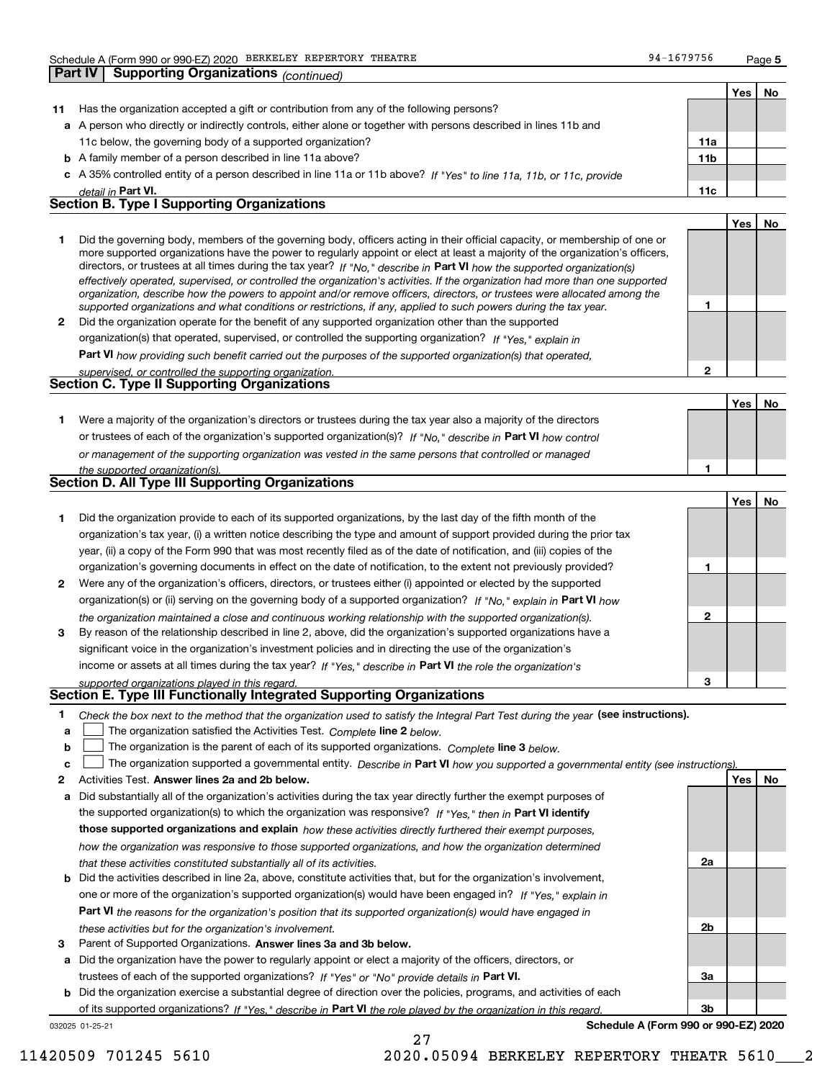**Part IV Supporting Organizations** *(continued)*

**5**

**1**

**2**

**Yes No**

**No**

**Yes**

|    |                                                                                                                                                                                                                                                             |                 | Yes | No |
|----|-------------------------------------------------------------------------------------------------------------------------------------------------------------------------------------------------------------------------------------------------------------|-----------------|-----|----|
| 11 | Has the organization accepted a gift or contribution from any of the following persons?                                                                                                                                                                     |                 |     |    |
|    | a A person who directly or indirectly controls, either alone or together with persons described in lines 11b and                                                                                                                                            |                 |     |    |
|    | 11c below, the governing body of a supported organization?                                                                                                                                                                                                  | 11a             |     |    |
|    | <b>b</b> A family member of a person described in line 11a above?                                                                                                                                                                                           | 11 <sub>b</sub> |     |    |
|    | c A 35% controlled entity of a person described in line 11a or 11b above? If "Yes" to line 11a, 11b, or 11c, provide                                                                                                                                        |                 |     |    |
|    | detail in Part VI.                                                                                                                                                                                                                                          | 11c             |     |    |
|    | <b>Section B. Type I Supporting Organizations</b>                                                                                                                                                                                                           |                 |     |    |
|    |                                                                                                                                                                                                                                                             |                 | Yes | No |
|    | Did the governing body, members of the governing body, officers acting in their official capacity, or membership of one or<br>more supported organizations have the power to regularly appoint or elect at least a majority of the organization's officers, |                 |     |    |

|                                                                                                                                | directors, or trustees at all times during the tax year? If "No," describe in Part VI how the supported organization(s)  |  |  |  |
|--------------------------------------------------------------------------------------------------------------------------------|--------------------------------------------------------------------------------------------------------------------------|--|--|--|
| effectively operated, supervised, or controlled the organization's activities. If the organization had more than one supported |                                                                                                                          |  |  |  |
|                                                                                                                                | organization, describe how the powers to appoint and/or remove officers, directors, or trustees were allocated among the |  |  |  |
|                                                                                                                                | supported organizations and what conditions or restrictions, if any, applied to such powers during the tax year.         |  |  |  |
| 2                                                                                                                              | Did the organization operate for the benefit of any supported organization other than the supported                      |  |  |  |
|                                                                                                                                | organization(s) that operated, supervised, or controlled the supporting organization? If "Yes," explain in               |  |  |  |
|                                                                                                                                | <b>Part VI</b> bour providing quab benefit earned out the purposes of the supported examination(a) that energied         |  |  |  |

**Part VI**  *how providing such benefit carried out the purposes of the supported organization(s) that operated, supervised, or controlled the supporting organization.*

| supervised. Or corrirolled the supporting organization.<br><b>Section C. Type II Supporting Organizations</b> |  |
|---------------------------------------------------------------------------------------------------------------|--|
|                                                                                                               |  |

**1**or trustees of each of the organization's supported organization(s)? If "No," describe in **Part VI** how control **1***or management of the supporting organization was vested in the same persons that controlled or managed the supported organization(s).* Were a majority of the organization's directors or trustees during the tax year also a majority of the directors

| Section D. All Type III Supporting Organizations |  |
|--------------------------------------------------|--|
|                                                  |  |

|              |                                                                                                                        |   | 1es   NO |  |
|--------------|------------------------------------------------------------------------------------------------------------------------|---|----------|--|
|              | Did the organization provide to each of its supported organizations, by the last day of the fifth month of the         |   |          |  |
|              | organization's tax year, (i) a written notice describing the type and amount of support provided during the prior tax  |   |          |  |
|              | year, (ii) a copy of the Form 990 that was most recently filed as of the date of notification, and (iii) copies of the |   |          |  |
|              | organization's governing documents in effect on the date of notification, to the extent not previously provided?       |   |          |  |
| $\mathbf{2}$ | Were any of the organization's officers, directors, or trustees either (i) appointed or elected by the supported       |   |          |  |
|              | organization(s) or (ii) serving on the governing body of a supported organization? If "No," explain in Part VI how     |   |          |  |
|              | the organization maintained a close and continuous working relationship with the supported organization(s).            | 2 |          |  |
| 3            | By reason of the relationship described in line 2, above, did the organization's supported organizations have a        |   |          |  |
|              | significant voice in the organization's investment policies and in directing the use of the organization's             |   |          |  |
|              | income or assets at all times during the tax year? If "Yes," describe in Part VI the role the organization's           |   |          |  |
|              | supported organizations played in this regard.                                                                         | з |          |  |

# *supported organizations played in this regard.* **Section E. Type III Functionally Integrated Supporting Organizations**

- **1**Check the box next to the method that the organization used to satisfy the Integral Part Test during the year (see instructions).
- **alinupy** The organization satisfied the Activities Test. Complete line 2 below.
- **b**The organization is the parent of each of its supported organizations. *Complete* line 3 *below.*  $\mathcal{L}^{\text{max}}$

|  |  |  | c <u>L</u> The organization supported a governmental entity. Describe in Part VI how you supported a governmental entity (see instructions) |  |
|--|--|--|---------------------------------------------------------------------------------------------------------------------------------------------|--|
|--|--|--|---------------------------------------------------------------------------------------------------------------------------------------------|--|

27

- **2Answer lines 2a and 2b below. Yes No** Activities Test.
- **a** Did substantially all of the organization's activities during the tax year directly further the exempt purposes of the supported organization(s) to which the organization was responsive? If "Yes," then in **Part VI identify those supported organizations and explain**  *how these activities directly furthered their exempt purposes, how the organization was responsive to those supported organizations, and how the organization determined that these activities constituted substantially all of its activities.*
- **b** Did the activities described in line 2a, above, constitute activities that, but for the organization's involvement, **Part VI**  *the reasons for the organization's position that its supported organization(s) would have engaged in* one or more of the organization's supported organization(s) would have been engaged in? If "Yes," e*xplain in these activities but for the organization's involvement.*
- **3** Parent of Supported Organizations. Answer lines 3a and 3b below.
- **a** Did the organization have the power to regularly appoint or elect a majority of the officers, directors, or trustees of each of the supported organizations? If "Yes" or "No" provide details in **Part VI.**

**b** Did the organization exercise a substantial degree of direction over the policies, programs, and activities of each of its supported organizations? If "Yes," describe in Part VI the role played by the organization in this regard.

032025 01-25-21

**Schedule A (Form 990 or 990-EZ) 2020**

**2a**

**2b**

**3a**

**3b**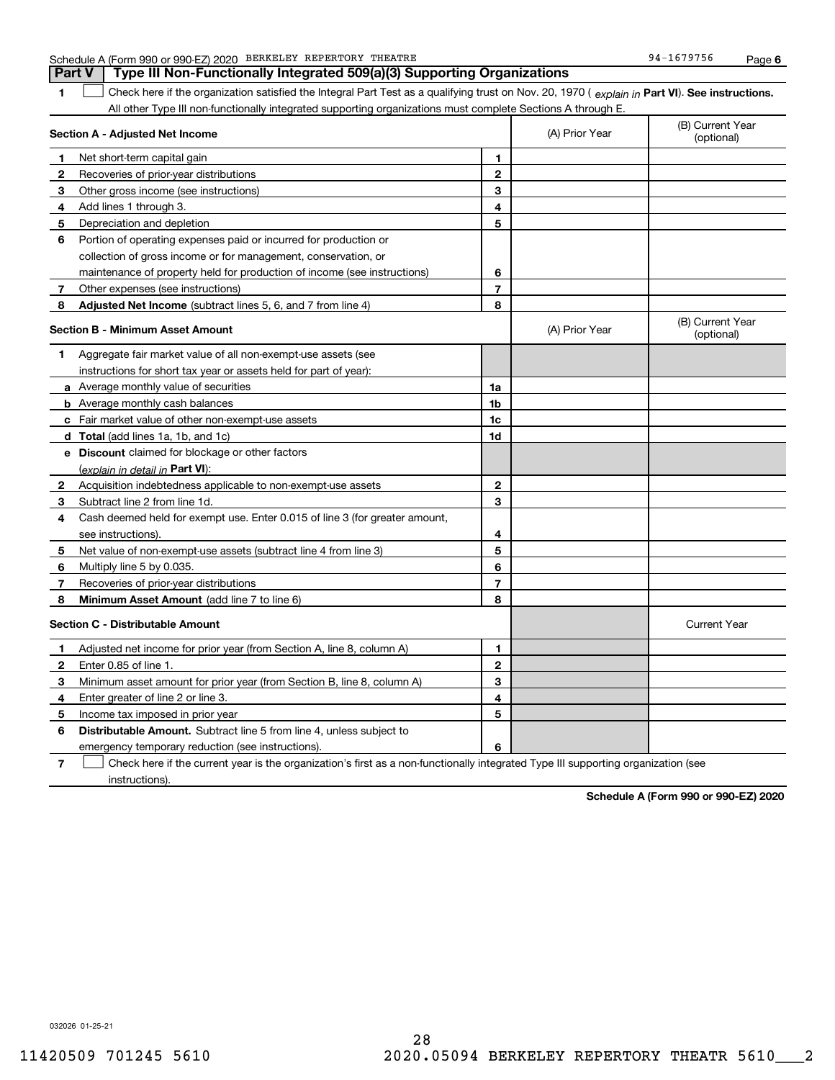| 1              | Check here if the organization satisfied the Integral Part Test as a qualifying trust on Nov. 20, 1970 (explain in Part VI). See instructions. |                |                |                                |
|----------------|------------------------------------------------------------------------------------------------------------------------------------------------|----------------|----------------|--------------------------------|
|                | All other Type III non-functionally integrated supporting organizations must complete Sections A through E.                                    |                |                |                                |
|                | Section A - Adjusted Net Income                                                                                                                |                | (A) Prior Year | (B) Current Year<br>(optional) |
| 1              | Net short-term capital gain                                                                                                                    | 1              |                |                                |
| 2              | Recoveries of prior-year distributions                                                                                                         | $\mathbf 2$    |                |                                |
| 3              | Other gross income (see instructions)                                                                                                          | 3              |                |                                |
| 4              | Add lines 1 through 3.                                                                                                                         | 4              |                |                                |
| 5              | Depreciation and depletion                                                                                                                     | 5              |                |                                |
| 6              | Portion of operating expenses paid or incurred for production or                                                                               |                |                |                                |
|                | collection of gross income or for management, conservation, or                                                                                 |                |                |                                |
|                | maintenance of property held for production of income (see instructions)                                                                       | 6              |                |                                |
| 7 <sup>7</sup> | Other expenses (see instructions)                                                                                                              | 7              |                |                                |
| 8              | Adjusted Net Income (subtract lines 5, 6, and 7 from line 4)                                                                                   | 8              |                |                                |
|                | Section B - Minimum Asset Amount                                                                                                               |                | (A) Prior Year | (B) Current Year<br>(optional) |
| 1              | Aggregate fair market value of all non-exempt-use assets (see                                                                                  |                |                |                                |
|                | instructions for short tax year or assets held for part of year):                                                                              |                |                |                                |
|                | <b>a</b> Average monthly value of securities                                                                                                   | 1a             |                |                                |
|                | <b>b</b> Average monthly cash balances                                                                                                         | 1b             |                |                                |
|                | c Fair market value of other non-exempt-use assets                                                                                             | 1c             |                |                                |
|                | d Total (add lines 1a, 1b, and 1c)                                                                                                             | 1d             |                |                                |
|                | e Discount claimed for blockage or other factors                                                                                               |                |                |                                |
|                | (explain in detail in Part VI):                                                                                                                |                |                |                                |
| 2              | Acquisition indebtedness applicable to non-exempt-use assets                                                                                   | $\mathbf 2$    |                |                                |
| 3              | Subtract line 2 from line 1d.                                                                                                                  | 3              |                |                                |
| 4              | Cash deemed held for exempt use. Enter 0.015 of line 3 (for greater amount,                                                                    |                |                |                                |
|                | see instructions).                                                                                                                             | 4              |                |                                |
| 5              | Net value of non-exempt-use assets (subtract line 4 from line 3)                                                                               | 5              |                |                                |
| 6              | Multiply line 5 by 0.035.                                                                                                                      | 6              |                |                                |
| 7              | Recoveries of prior-year distributions                                                                                                         | $\overline{7}$ |                |                                |
| 8              | Minimum Asset Amount (add line 7 to line 6)                                                                                                    | 8              |                |                                |
|                | <b>Section C - Distributable Amount</b>                                                                                                        |                |                | <b>Current Year</b>            |
| 1              | Adjusted net income for prior year (from Section A, line 8, column A)                                                                          | 1              |                |                                |
| $\mathbf{2}$   | Enter 0.85 of line 1.                                                                                                                          | $\mathbf{2}$   |                |                                |
| 3              | Minimum asset amount for prior year (from Section B, line 8, column A)                                                                         | 3              |                |                                |
| 4              | Enter greater of line 2 or line 3.                                                                                                             | 4              |                |                                |
| 5              | Income tax imposed in prior year                                                                                                               | 5              |                |                                |
| 6              | <b>Distributable Amount.</b> Subtract line 5 from line 4, unless subject to                                                                    |                |                |                                |
|                | emergency temporary reduction (see instructions).                                                                                              | 6              |                |                                |
| $\overline{7}$ | Check here if the current year is the organization's first as a non-functionally integrated Type III supporting organization (see              |                |                |                                |

## Schedule A (Form 990 or 990-EZ) 2020 Page BERKELEY REPERTORY THEATRE 94-1679756 **Part V** Type III Non-Functionally Integrated 509(a)(3) Supporting Organizations

032026 01-25-21

instructions).

**Schedule A (Form 990 or 990-EZ) 2020**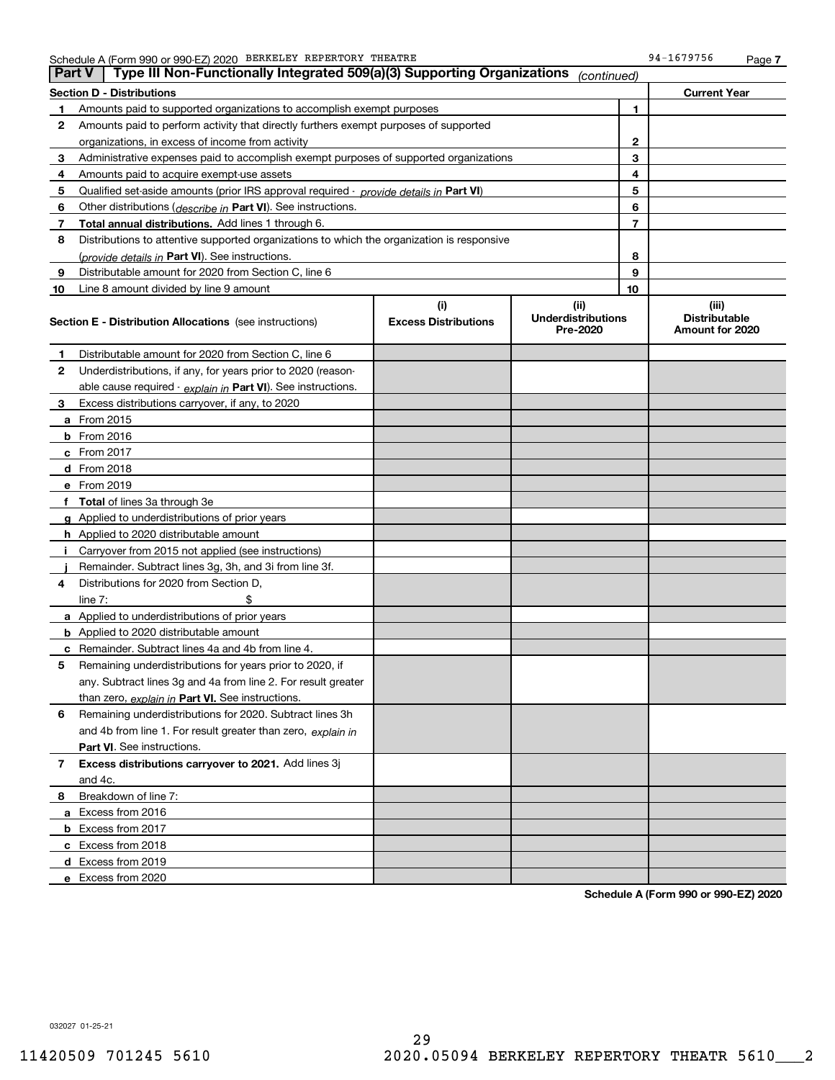|    | Type III Non-Functionally Integrated 509(a)(3) Supporting Organizations<br><b>Part V</b><br>(continued) |                             |                                       |    |                                         |  |  |
|----|---------------------------------------------------------------------------------------------------------|-----------------------------|---------------------------------------|----|-----------------------------------------|--|--|
|    | <b>Section D - Distributions</b><br><b>Current Year</b>                                                 |                             |                                       |    |                                         |  |  |
| 1  | Amounts paid to supported organizations to accomplish exempt purposes                                   | 1                           |                                       |    |                                         |  |  |
| 2  | Amounts paid to perform activity that directly furthers exempt purposes of supported                    |                             |                                       |    |                                         |  |  |
|    | organizations, in excess of income from activity                                                        | $\mathbf{2}$                |                                       |    |                                         |  |  |
| 3  | Administrative expenses paid to accomplish exempt purposes of supported organizations                   |                             |                                       | 3  |                                         |  |  |
| 4  | Amounts paid to acquire exempt-use assets                                                               |                             |                                       | 4  |                                         |  |  |
| 5  | Qualified set-aside amounts (prior IRS approval required - provide details in Part VI)                  |                             |                                       | 5  |                                         |  |  |
| 6  | Other distributions ( <i>describe in</i> Part VI). See instructions.                                    |                             |                                       | 6  |                                         |  |  |
| 7  | Total annual distributions. Add lines 1 through 6.                                                      |                             |                                       | 7  |                                         |  |  |
| 8  | Distributions to attentive supported organizations to which the organization is responsive              |                             |                                       |    |                                         |  |  |
|    | (provide details in Part VI). See instructions.                                                         |                             |                                       | 8  |                                         |  |  |
| 9  | Distributable amount for 2020 from Section C, line 6                                                    |                             |                                       | 9  |                                         |  |  |
| 10 | Line 8 amount divided by line 9 amount                                                                  |                             |                                       | 10 |                                         |  |  |
|    |                                                                                                         | (i)                         | (ii)                                  |    | (iii)                                   |  |  |
|    | <b>Section E - Distribution Allocations</b> (see instructions)                                          | <b>Excess Distributions</b> | <b>Underdistributions</b><br>Pre-2020 |    | <b>Distributable</b><br>Amount for 2020 |  |  |
| 1  | Distributable amount for 2020 from Section C, line 6                                                    |                             |                                       |    |                                         |  |  |
| 2  | Underdistributions, if any, for years prior to 2020 (reason-                                            |                             |                                       |    |                                         |  |  |
|    | able cause required - explain in Part VI). See instructions.                                            |                             |                                       |    |                                         |  |  |
| 3  | Excess distributions carryover, if any, to 2020                                                         |                             |                                       |    |                                         |  |  |
|    | a From 2015                                                                                             |                             |                                       |    |                                         |  |  |
|    | <b>b</b> From 2016                                                                                      |                             |                                       |    |                                         |  |  |
|    | $c$ From 2017                                                                                           |                             |                                       |    |                                         |  |  |
|    | d From 2018                                                                                             |                             |                                       |    |                                         |  |  |
|    | e From 2019                                                                                             |                             |                                       |    |                                         |  |  |
|    | f Total of lines 3a through 3e                                                                          |                             |                                       |    |                                         |  |  |
|    | g Applied to underdistributions of prior years                                                          |                             |                                       |    |                                         |  |  |
|    | <b>h</b> Applied to 2020 distributable amount                                                           |                             |                                       |    |                                         |  |  |
|    | Carryover from 2015 not applied (see instructions)                                                      |                             |                                       |    |                                         |  |  |
|    | Remainder. Subtract lines 3g, 3h, and 3i from line 3f.                                                  |                             |                                       |    |                                         |  |  |
| 4  | Distributions for 2020 from Section D,                                                                  |                             |                                       |    |                                         |  |  |
|    | line $7:$                                                                                               |                             |                                       |    |                                         |  |  |
|    | a Applied to underdistributions of prior years                                                          |                             |                                       |    |                                         |  |  |
|    | <b>b</b> Applied to 2020 distributable amount                                                           |                             |                                       |    |                                         |  |  |
|    | c Remainder. Subtract lines 4a and 4b from line 4.                                                      |                             |                                       |    |                                         |  |  |
| 5. | Remaining underdistributions for years prior to 2020, if                                                |                             |                                       |    |                                         |  |  |
|    | any. Subtract lines 3g and 4a from line 2. For result greater                                           |                             |                                       |    |                                         |  |  |
|    | than zero, explain in Part VI. See instructions.                                                        |                             |                                       |    |                                         |  |  |
| 6  | Remaining underdistributions for 2020. Subtract lines 3h                                                |                             |                                       |    |                                         |  |  |
|    | and 4b from line 1. For result greater than zero, explain in                                            |                             |                                       |    |                                         |  |  |
|    | <b>Part VI.</b> See instructions.                                                                       |                             |                                       |    |                                         |  |  |
| 7  | Excess distributions carryover to 2021. Add lines 3j                                                    |                             |                                       |    |                                         |  |  |
|    | and 4c.                                                                                                 |                             |                                       |    |                                         |  |  |
| 8  | Breakdown of line 7:                                                                                    |                             |                                       |    |                                         |  |  |
|    | a Excess from 2016                                                                                      |                             |                                       |    |                                         |  |  |
|    | <b>b</b> Excess from 2017                                                                               |                             |                                       |    |                                         |  |  |
|    | c Excess from 2018                                                                                      |                             |                                       |    |                                         |  |  |
|    | d Excess from 2019                                                                                      |                             |                                       |    |                                         |  |  |
|    | e Excess from 2020                                                                                      |                             |                                       |    |                                         |  |  |

**Schedule A (Form 990 or 990-EZ) 2020**

032027 01-25-21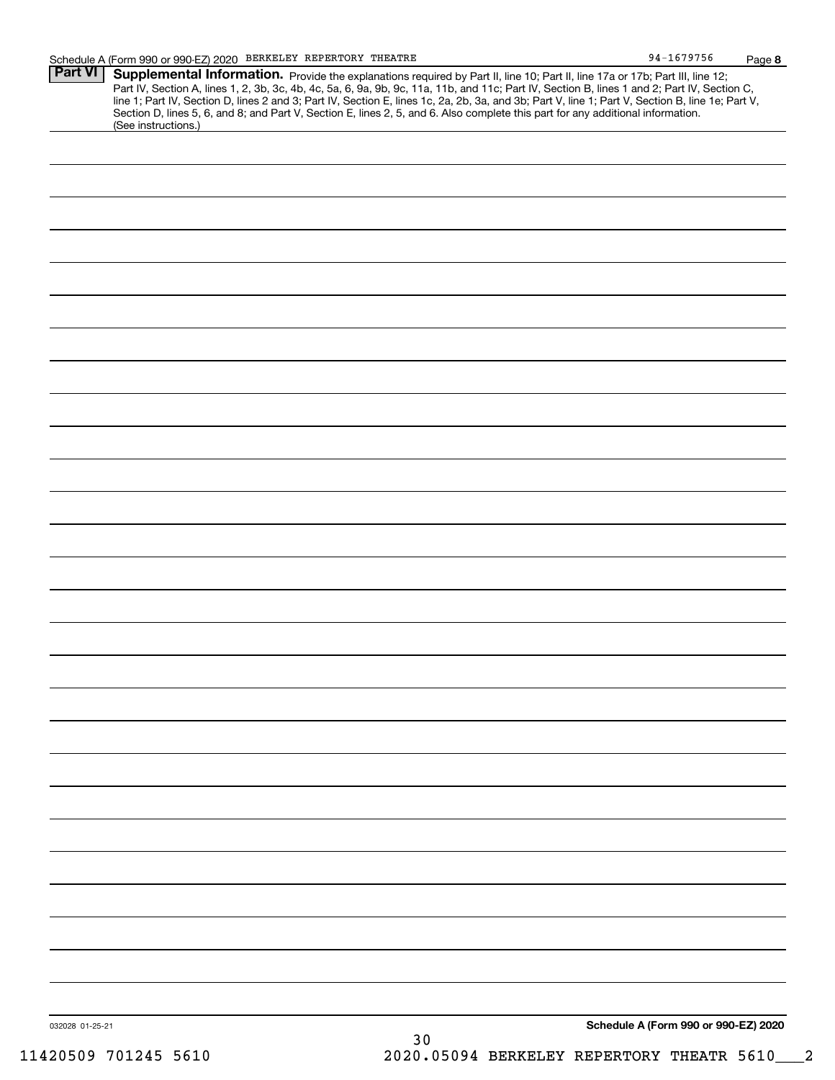| <b>Part VI</b>  | Supplemental Information. Provide the explanations required by Part II, line 10; Part II, line 17a or 17b; Part III, line 12;<br>Part IV, Section A, lines 1, 2, 3b, 3c, 4b, 4c, 5a, 6, 9a, 9b, 9c, 11a, 11b, and 11c; Part IV, Section B, lines 1 and 2; Part IV, Section C, line 1; Part IV, Section D, lines 2 and 3; Part IV, Section E, lines 1c, 2a, 2b,<br>Section D, lines 5, 6, and 8; and Part V, Section E, lines 2, 5, and 6. Also complete this part for any additional information.<br>(See instructions.) |                                      |
|-----------------|--------------------------------------------------------------------------------------------------------------------------------------------------------------------------------------------------------------------------------------------------------------------------------------------------------------------------------------------------------------------------------------------------------------------------------------------------------------------------------------------------------------------------|--------------------------------------|
|                 |                                                                                                                                                                                                                                                                                                                                                                                                                                                                                                                          |                                      |
|                 |                                                                                                                                                                                                                                                                                                                                                                                                                                                                                                                          |                                      |
|                 |                                                                                                                                                                                                                                                                                                                                                                                                                                                                                                                          |                                      |
|                 |                                                                                                                                                                                                                                                                                                                                                                                                                                                                                                                          |                                      |
|                 |                                                                                                                                                                                                                                                                                                                                                                                                                                                                                                                          |                                      |
|                 |                                                                                                                                                                                                                                                                                                                                                                                                                                                                                                                          |                                      |
|                 |                                                                                                                                                                                                                                                                                                                                                                                                                                                                                                                          |                                      |
|                 |                                                                                                                                                                                                                                                                                                                                                                                                                                                                                                                          |                                      |
|                 |                                                                                                                                                                                                                                                                                                                                                                                                                                                                                                                          |                                      |
|                 |                                                                                                                                                                                                                                                                                                                                                                                                                                                                                                                          |                                      |
|                 |                                                                                                                                                                                                                                                                                                                                                                                                                                                                                                                          |                                      |
|                 |                                                                                                                                                                                                                                                                                                                                                                                                                                                                                                                          |                                      |
|                 |                                                                                                                                                                                                                                                                                                                                                                                                                                                                                                                          |                                      |
|                 |                                                                                                                                                                                                                                                                                                                                                                                                                                                                                                                          |                                      |
|                 |                                                                                                                                                                                                                                                                                                                                                                                                                                                                                                                          |                                      |
|                 |                                                                                                                                                                                                                                                                                                                                                                                                                                                                                                                          |                                      |
|                 |                                                                                                                                                                                                                                                                                                                                                                                                                                                                                                                          |                                      |
|                 |                                                                                                                                                                                                                                                                                                                                                                                                                                                                                                                          |                                      |
|                 |                                                                                                                                                                                                                                                                                                                                                                                                                                                                                                                          |                                      |
|                 |                                                                                                                                                                                                                                                                                                                                                                                                                                                                                                                          |                                      |
|                 |                                                                                                                                                                                                                                                                                                                                                                                                                                                                                                                          |                                      |
|                 |                                                                                                                                                                                                                                                                                                                                                                                                                                                                                                                          |                                      |
|                 |                                                                                                                                                                                                                                                                                                                                                                                                                                                                                                                          |                                      |
|                 |                                                                                                                                                                                                                                                                                                                                                                                                                                                                                                                          |                                      |
|                 |                                                                                                                                                                                                                                                                                                                                                                                                                                                                                                                          |                                      |
|                 |                                                                                                                                                                                                                                                                                                                                                                                                                                                                                                                          |                                      |
|                 |                                                                                                                                                                                                                                                                                                                                                                                                                                                                                                                          |                                      |
|                 |                                                                                                                                                                                                                                                                                                                                                                                                                                                                                                                          |                                      |
|                 |                                                                                                                                                                                                                                                                                                                                                                                                                                                                                                                          |                                      |
|                 |                                                                                                                                                                                                                                                                                                                                                                                                                                                                                                                          |                                      |
|                 |                                                                                                                                                                                                                                                                                                                                                                                                                                                                                                                          |                                      |
|                 |                                                                                                                                                                                                                                                                                                                                                                                                                                                                                                                          |                                      |
|                 |                                                                                                                                                                                                                                                                                                                                                                                                                                                                                                                          |                                      |
|                 |                                                                                                                                                                                                                                                                                                                                                                                                                                                                                                                          |                                      |
|                 |                                                                                                                                                                                                                                                                                                                                                                                                                                                                                                                          |                                      |
| 032028 01-25-21 |                                                                                                                                                                                                                                                                                                                                                                                                                                                                                                                          | Schedule A (Form 990 or 990-EZ) 2020 |
|                 | 30                                                                                                                                                                                                                                                                                                                                                                                                                                                                                                                       |                                      |

**8**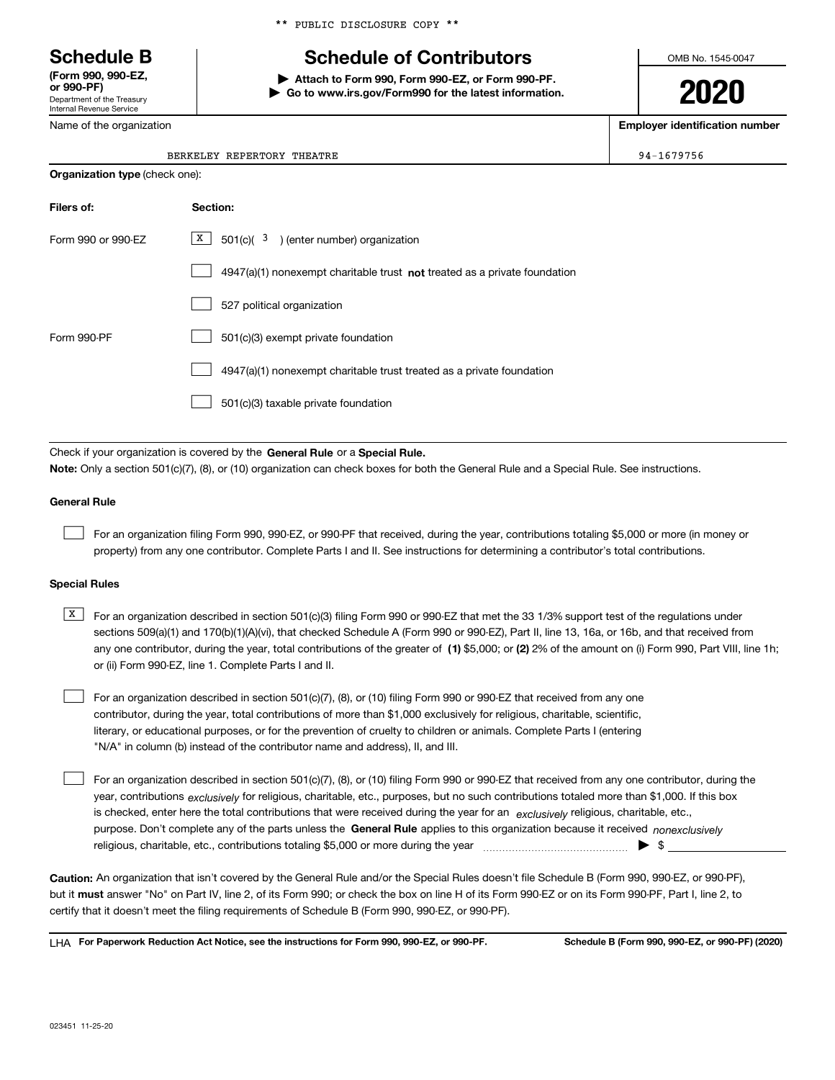Department of the Treasury Internal Revenue Service **(Form 990, 990-EZ, or 990-PF)**

Name of the organization

# **Schedule B Schedule of Contributors**

**| Attach to Form 990, Form 990-EZ, or Form 990-PF. | Go to www.irs.gov/Form990 for the latest information.** OMB No. 1545-0047

# **2020**

**Employer identification number**

94-1679756

| BERKELEY REPERTORY THEATRE |  |
|----------------------------|--|
|                            |  |

| <b>Organization type (check one):</b> |                                                                                    |  |  |  |  |
|---------------------------------------|------------------------------------------------------------------------------------|--|--|--|--|
| Filers of:                            | Section:                                                                           |  |  |  |  |
| Form 990 or 990-EZ                    | $X$ 501(c)( 3) (enter number) organization                                         |  |  |  |  |
|                                       | $4947(a)(1)$ nonexempt charitable trust <b>not</b> treated as a private foundation |  |  |  |  |
|                                       | 527 political organization                                                         |  |  |  |  |
| Form 990-PF                           | 501(c)(3) exempt private foundation                                                |  |  |  |  |
|                                       | 4947(a)(1) nonexempt charitable trust treated as a private foundation              |  |  |  |  |
|                                       | 501(c)(3) taxable private foundation                                               |  |  |  |  |

Check if your organization is covered by the **General Rule** or a **Special Rule. Note:**  Only a section 501(c)(7), (8), or (10) organization can check boxes for both the General Rule and a Special Rule. See instructions.

### **General Rule**

 $\mathcal{L}^{\text{max}}$ 

For an organization filing Form 990, 990-EZ, or 990-PF that received, during the year, contributions totaling \$5,000 or more (in money or property) from any one contributor. Complete Parts I and II. See instructions for determining a contributor's total contributions.

#### **Special Rules**

any one contributor, during the year, total contributions of the greater of  $\,$  (1) \$5,000; or **(2)** 2% of the amount on (i) Form 990, Part VIII, line 1h;  $\overline{X}$  For an organization described in section 501(c)(3) filing Form 990 or 990-EZ that met the 33 1/3% support test of the regulations under sections 509(a)(1) and 170(b)(1)(A)(vi), that checked Schedule A (Form 990 or 990-EZ), Part II, line 13, 16a, or 16b, and that received from or (ii) Form 990-EZ, line 1. Complete Parts I and II.

For an organization described in section 501(c)(7), (8), or (10) filing Form 990 or 990-EZ that received from any one contributor, during the year, total contributions of more than \$1,000 exclusively for religious, charitable, scientific, literary, or educational purposes, or for the prevention of cruelty to children or animals. Complete Parts I (entering "N/A" in column (b) instead of the contributor name and address), II, and III.  $\mathcal{L}^{\text{max}}$ 

purpose. Don't complete any of the parts unless the **General Rule** applies to this organization because it received *nonexclusively* year, contributions <sub>exclusively</sub> for religious, charitable, etc., purposes, but no such contributions totaled more than \$1,000. If this box is checked, enter here the total contributions that were received during the year for an  $\;$ exclusively religious, charitable, etc., For an organization described in section 501(c)(7), (8), or (10) filing Form 990 or 990-EZ that received from any one contributor, during the religious, charitable, etc., contributions totaling \$5,000 or more during the year  $\Box$ — $\Box$  =  $\Box$  $\mathcal{L}^{\text{max}}$ 

**Caution:**  An organization that isn't covered by the General Rule and/or the Special Rules doesn't file Schedule B (Form 990, 990-EZ, or 990-PF),  **must** but it answer "No" on Part IV, line 2, of its Form 990; or check the box on line H of its Form 990-EZ or on its Form 990-PF, Part I, line 2, to certify that it doesn't meet the filing requirements of Schedule B (Form 990, 990-EZ, or 990-PF).

**For Paperwork Reduction Act Notice, see the instructions for Form 990, 990-EZ, or 990-PF. Schedule B (Form 990, 990-EZ, or 990-PF) (2020)** LHA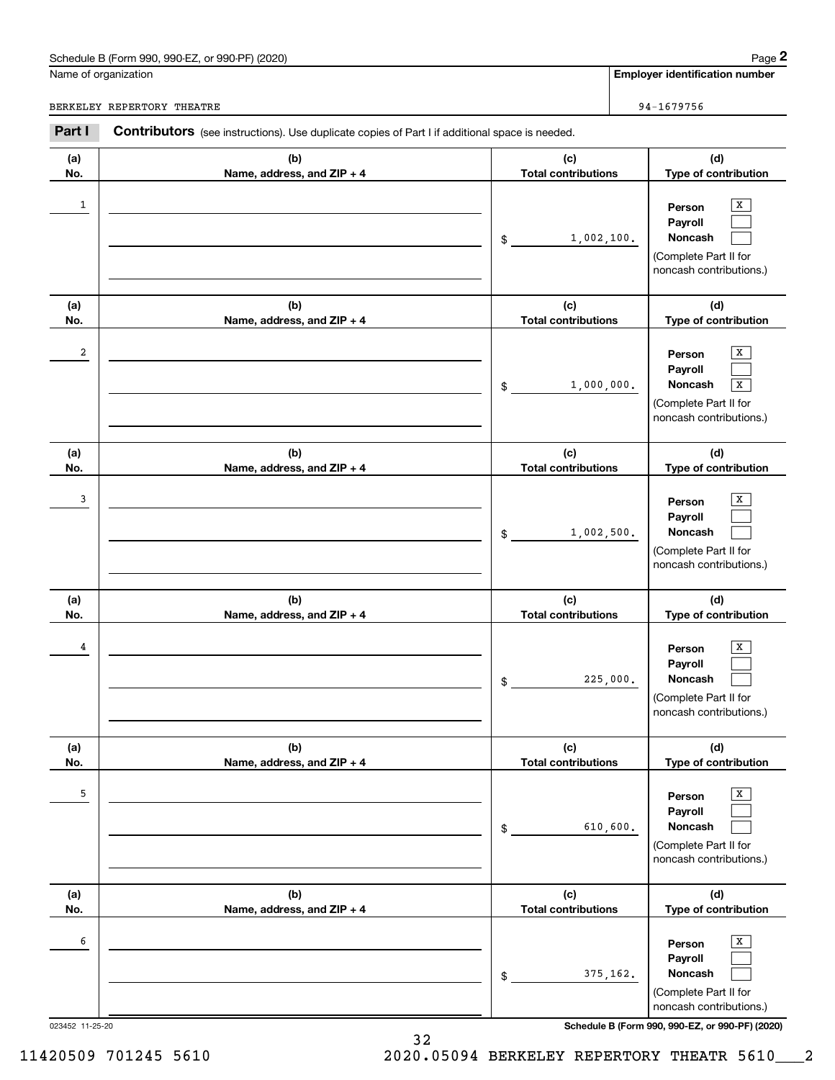# Schedule B (Form 990, 990-EZ, or 990-PF) (2020) Page 2

|                      | Schedule B (Form 990, 990-EZ, or 990-PF) (2020)                                                |                                   |            | Page 2                                                                                     |
|----------------------|------------------------------------------------------------------------------------------------|-----------------------------------|------------|--------------------------------------------------------------------------------------------|
| Name of organization |                                                                                                |                                   |            | <b>Employer identification number</b>                                                      |
|                      | BERKELEY REPERTORY THEATRE                                                                     |                                   |            | 94-1679756                                                                                 |
| Part I               | Contributors (see instructions). Use duplicate copies of Part I if additional space is needed. |                                   |            |                                                                                            |
| (a)<br>No.           | (b)<br>Name, address, and ZIP + 4                                                              | (c)<br><b>Total contributions</b> |            | (d)<br>Type of contribution                                                                |
| 1                    |                                                                                                | \$                                | 1,002,100. | x<br>Person<br>Payroll<br>Noncash<br>(Complete Part II for<br>noncash contributions.)      |
| (a)<br>No.           | (b)<br>Name, address, and ZIP + 4                                                              | (c)<br><b>Total contributions</b> |            | (d)<br>Type of contribution                                                                |
| 2                    |                                                                                                | \$                                | 1,000,000. | x<br>Person<br>Payroll<br>Noncash<br>X<br>(Complete Part II for<br>noncash contributions.) |
| (a)<br>No.           | (b)<br>Name, address, and ZIP + 4                                                              | (c)<br><b>Total contributions</b> |            | (d)<br>Type of contribution                                                                |
| 3                    |                                                                                                | \$                                | 1,002,500. | X<br>Person<br>Payroll<br>Noncash<br>(Complete Part II for<br>noncash contributions.)      |
| (a)<br>No.           | (b)<br>Name, address, and ZIP + 4                                                              | (c)<br><b>Total contributions</b> |            | (d)<br>Type of contribution                                                                |
| 4                    |                                                                                                | \$                                | 225,000.   | х<br>Person<br>Payroll<br>Noncash<br>(Complete Part II for<br>noncash contributions.)      |
| (a)<br>No.           | (b)<br>Name, address, and ZIP + 4                                                              | (c)<br><b>Total contributions</b> |            | (d)<br>Type of contribution                                                                |
| 5                    |                                                                                                | \$                                | 610,600.   | X<br>Person<br>Payroll<br>Noncash<br>(Complete Part II for<br>noncash contributions.)      |
| (a)<br>No.           | (b)<br>Name, address, and ZIP + 4                                                              | (c)<br><b>Total contributions</b> |            | (d)<br>Type of contribution                                                                |
| 6                    |                                                                                                | \$                                | 375,162.   | X<br>Person<br>Payroll<br>Noncash<br>(Complete Part II for<br>noncash contributions.)      |
| 023452 11-25-20      |                                                                                                |                                   |            | Schedule B (Form 990, 990-EZ, or 990-PF) (2020)                                            |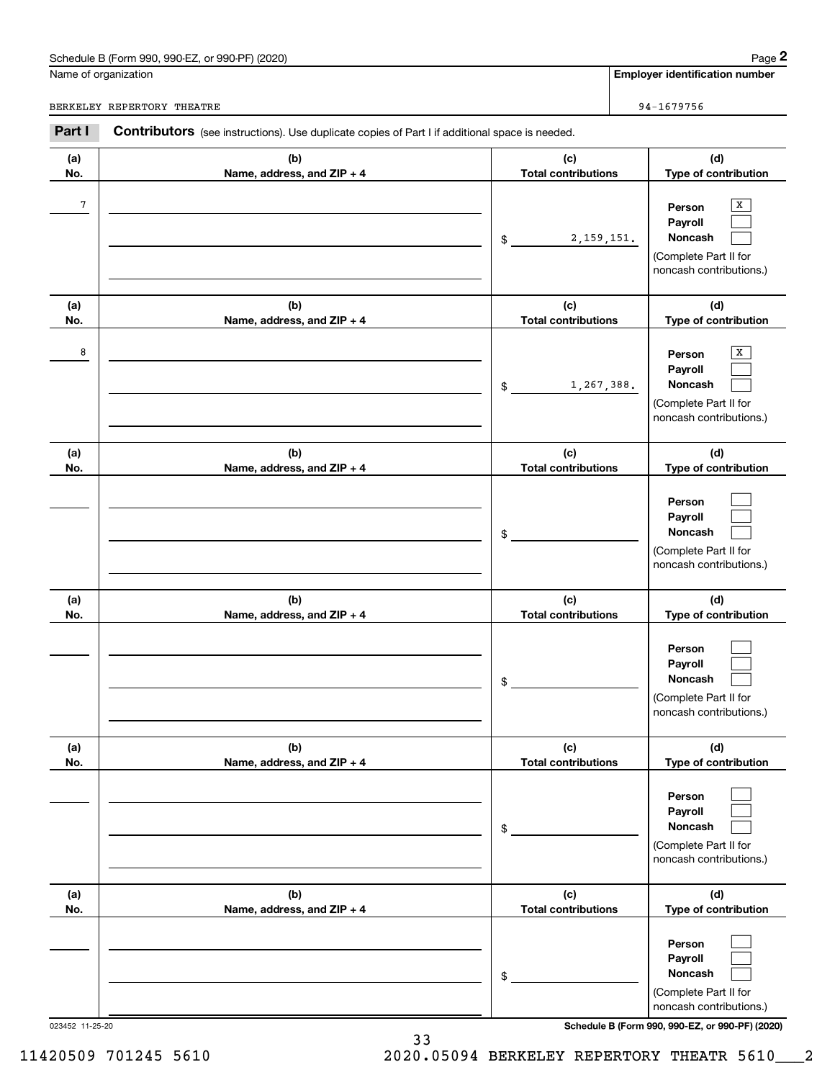# Schedule B (Form 990, 990-EZ, or 990-PF) (2020) Page 2

|            | Schedule B (Form 990, 990-EZ, or 990-PF) (2020)                                                       |                                   | Page 2                                                                                |
|------------|-------------------------------------------------------------------------------------------------------|-----------------------------------|---------------------------------------------------------------------------------------|
|            | Name of organization                                                                                  |                                   | <b>Employer identification number</b>                                                 |
|            | BERKELEY REPERTORY THEATRE                                                                            |                                   | 94-1679756                                                                            |
| Part I     | <b>Contributors</b> (see instructions). Use duplicate copies of Part I if additional space is needed. |                                   |                                                                                       |
| (a)<br>No. | (b)<br>Name, address, and ZIP + 4                                                                     | (c)<br><b>Total contributions</b> | (d)<br>Type of contribution                                                           |
| $\sqrt{7}$ |                                                                                                       | 2, 159, 151.<br>\$                | X<br>Person<br>Payroll<br>Noncash<br>(Complete Part II for<br>noncash contributions.) |
| (a)<br>No. | (b)<br>Name, address, and ZIP + 4                                                                     | (c)<br><b>Total contributions</b> | (d)<br>Type of contribution                                                           |
| 8          |                                                                                                       | 1,267,388.<br>\$                  | X<br>Person<br>Payroll<br>Noncash<br>(Complete Part II for<br>noncash contributions.) |
| (a)<br>No. | (b)<br>Name, address, and ZIP + 4                                                                     | (c)<br><b>Total contributions</b> | (d)<br>Type of contribution                                                           |
|            |                                                                                                       | \$                                | Person<br>Payroll<br>Noncash<br>(Complete Part II for<br>noncash contributions.)      |
| (a)<br>No. | (b)<br>Name, address, and ZIP + 4                                                                     | (c)<br><b>Total contributions</b> | (d)<br>Type of contribution                                                           |
|            |                                                                                                       | \$                                | Person<br>Payroll<br>Noncash<br>(Complete Part II for<br>noncash contributions.)      |
| (a)<br>No. | (b)<br>Name, address, and ZIP + 4                                                                     | (c)<br><b>Total contributions</b> | (d)<br>Type of contribution                                                           |
|            |                                                                                                       | \$                                | Person<br>Payroll<br>Noncash<br>(Complete Part II for<br>noncash contributions.)      |
| (a)<br>No. | (b)<br>Name, address, and ZIP + 4                                                                     | (c)<br><b>Total contributions</b> | (d)<br>Type of contribution                                                           |
|            |                                                                                                       | \$                                | Person<br>Payroll<br>Noncash<br>(Complete Part II for<br>noncash contributions.)      |

023452 11-25-20 **Schedule B (Form 990, 990-EZ, or 990-PF) (2020)**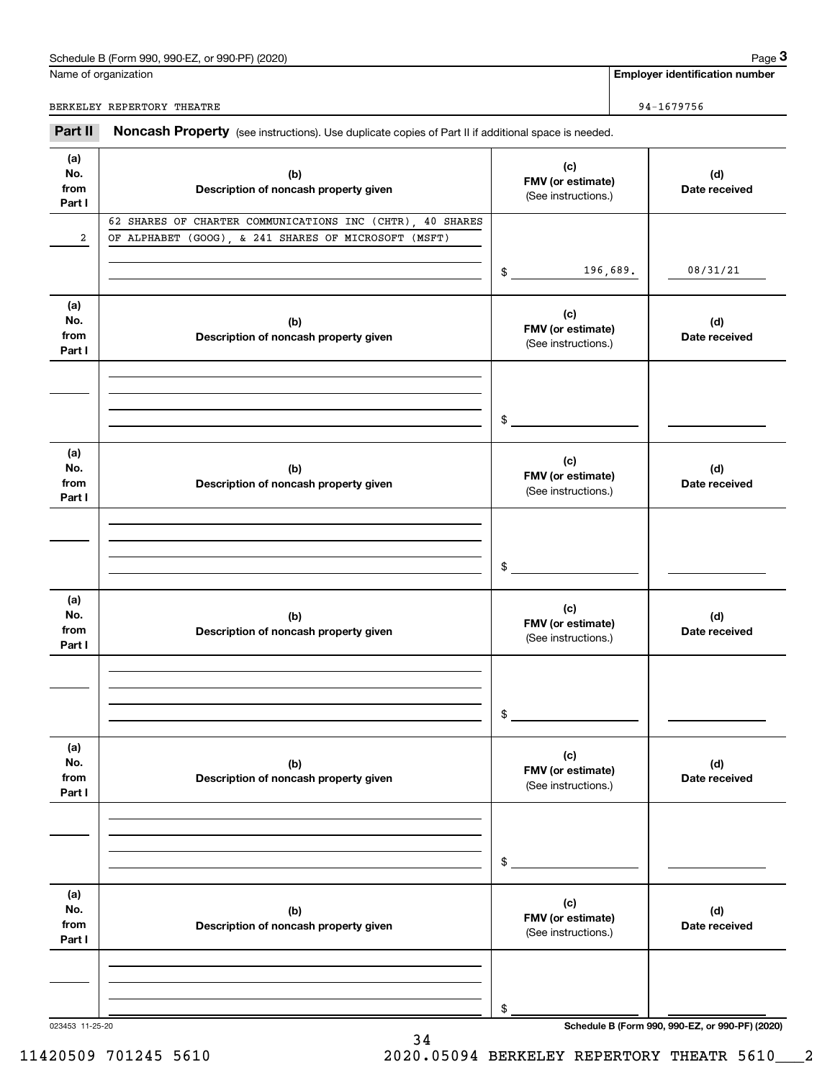## Schedule B (Form 990, 990-EZ, or 990-PF) (2020) Page 3

|                              | Schedule B (Form 990, 990-EZ, or 990-PF) (2020)                                                                   |                                                 |          | Page 3                                |
|------------------------------|-------------------------------------------------------------------------------------------------------------------|-------------------------------------------------|----------|---------------------------------------|
|                              | Name of organization                                                                                              |                                                 |          | <b>Employer identification number</b> |
|                              | BERKELEY REPERTORY THEATRE                                                                                        |                                                 |          | 94-1679756                            |
| Part II                      | Noncash Property (see instructions). Use duplicate copies of Part II if additional space is needed.               |                                                 |          |                                       |
| (a)<br>No.<br>from<br>Part I | (b)<br>Description of noncash property given                                                                      | (c)<br>FMV (or estimate)<br>(See instructions.) |          | (d)<br>Date received                  |
| 2                            | 62 SHARES OF CHARTER COMMUNICATIONS INC (CHTR), 40 SHARES<br>OF ALPHABET (GOOG), & 241 SHARES OF MICROSOFT (MSFT) | \$                                              | 196,689. | 08/31/21                              |
| (a)<br>No.<br>from<br>Part I | (b)<br>Description of noncash property given                                                                      | (c)<br>FMV (or estimate)<br>(See instructions.) |          | (d)<br>Date received                  |
|                              |                                                                                                                   | \$                                              |          |                                       |
| (a)<br>No.<br>from<br>Part I | (b)<br>Description of noncash property given                                                                      | (c)<br>FMV (or estimate)<br>(See instructions.) |          | (d)<br>Date received                  |
|                              |                                                                                                                   | \$                                              |          |                                       |
| (a)<br>No.<br>from<br>Part I | (b)<br>Description of noncash property given                                                                      | (c)<br>FMV (or estimate)<br>(See instructions.) |          | (d)<br>Date received                  |
|                              |                                                                                                                   | \$                                              |          |                                       |
| (a)<br>No.<br>from<br>Part I | (b)<br>Description of noncash property given                                                                      | (c)<br>FMV (or estimate)<br>(See instructions.) |          | (d)<br>Date received                  |
|                              |                                                                                                                   | \$                                              |          |                                       |
| (a)<br>No.<br>from<br>Part I | (b)<br>Description of noncash property given                                                                      | (c)<br>FMV (or estimate)<br>(See instructions.) |          | (d)<br>Date received                  |
|                              |                                                                                                                   | \$                                              |          |                                       |

023453 11-25-20 **Schedule B (Form 990, 990-EZ, or 990-PF) (2020)**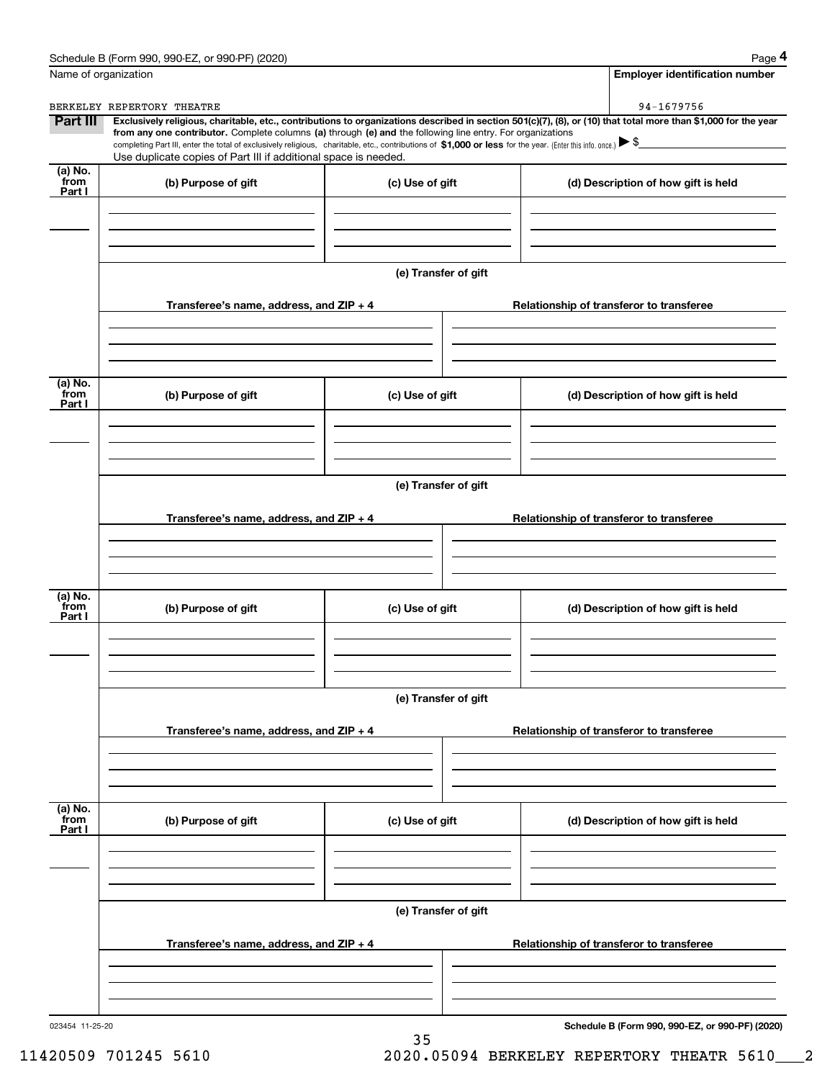|                           | Schedule B (Form 990, 990-EZ, or 990-PF) (2020)                                                                                                                                                                                                                                                            |                      |  | Page 4                                   |
|---------------------------|------------------------------------------------------------------------------------------------------------------------------------------------------------------------------------------------------------------------------------------------------------------------------------------------------------|----------------------|--|------------------------------------------|
| Name of organization      |                                                                                                                                                                                                                                                                                                            |                      |  | <b>Employer identification number</b>    |
| Part III                  | BERKELEY REPERTORY THEATRE<br>Exclusively religious, charitable, etc., contributions to organizations described in section 501(c)(7), (8), or (10) that total more than \$1,000 for the year<br>from any one contributor. Complete columns (a) through (e) and the following line entry. For organizations |                      |  | 94-1679756                               |
|                           | completing Part III, enter the total of exclusively religious, charitable, etc., contributions of \$1,000 or less for the year. (Enter this info. once.) $\blacktriangleright$ \$                                                                                                                          |                      |  |                                          |
| (a) No.<br>from           | Use duplicate copies of Part III if additional space is needed.                                                                                                                                                                                                                                            |                      |  |                                          |
| Part I                    | (b) Purpose of gift                                                                                                                                                                                                                                                                                        | (c) Use of gift      |  | (d) Description of how gift is held      |
|                           |                                                                                                                                                                                                                                                                                                            |                      |  |                                          |
|                           |                                                                                                                                                                                                                                                                                                            |                      |  |                                          |
|                           |                                                                                                                                                                                                                                                                                                            | (e) Transfer of gift |  |                                          |
|                           | Transferee's name, address, and ZIP + 4                                                                                                                                                                                                                                                                    |                      |  | Relationship of transferor to transferee |
|                           |                                                                                                                                                                                                                                                                                                            |                      |  |                                          |
| (a) No.<br>from<br>Part I | (b) Purpose of gift                                                                                                                                                                                                                                                                                        | (c) Use of gift      |  | (d) Description of how gift is held      |
|                           |                                                                                                                                                                                                                                                                                                            |                      |  |                                          |
|                           |                                                                                                                                                                                                                                                                                                            |                      |  |                                          |
|                           |                                                                                                                                                                                                                                                                                                            | (e) Transfer of gift |  |                                          |
|                           | Transferee's name, address, and ZIP + 4                                                                                                                                                                                                                                                                    |                      |  | Relationship of transferor to transferee |
|                           |                                                                                                                                                                                                                                                                                                            |                      |  |                                          |
| (a) No.<br>from<br>Part I | (b) Purpose of gift                                                                                                                                                                                                                                                                                        | (c) Use of gift      |  | (d) Description of how gift is held      |
|                           |                                                                                                                                                                                                                                                                                                            |                      |  |                                          |
|                           |                                                                                                                                                                                                                                                                                                            | (e) Transfer of gift |  |                                          |
|                           | Transferee's name, address, and $ZIP + 4$                                                                                                                                                                                                                                                                  |                      |  | Relationship of transferor to transferee |
|                           |                                                                                                                                                                                                                                                                                                            |                      |  |                                          |
| (a) No.<br>from           | (b) Purpose of gift                                                                                                                                                                                                                                                                                        | (c) Use of gift      |  | (d) Description of how gift is held      |
| Part I                    |                                                                                                                                                                                                                                                                                                            |                      |  |                                          |
|                           |                                                                                                                                                                                                                                                                                                            |                      |  |                                          |
|                           |                                                                                                                                                                                                                                                                                                            | (e) Transfer of gift |  |                                          |
|                           | Transferee's name, address, and $ZIP + 4$                                                                                                                                                                                                                                                                  |                      |  | Relationship of transferor to transferee |
|                           |                                                                                                                                                                                                                                                                                                            |                      |  |                                          |
|                           |                                                                                                                                                                                                                                                                                                            |                      |  |                                          |

35

023454 11-25-20

**Schedule B (Form 990, 990-EZ, or 990-PF) (2020)**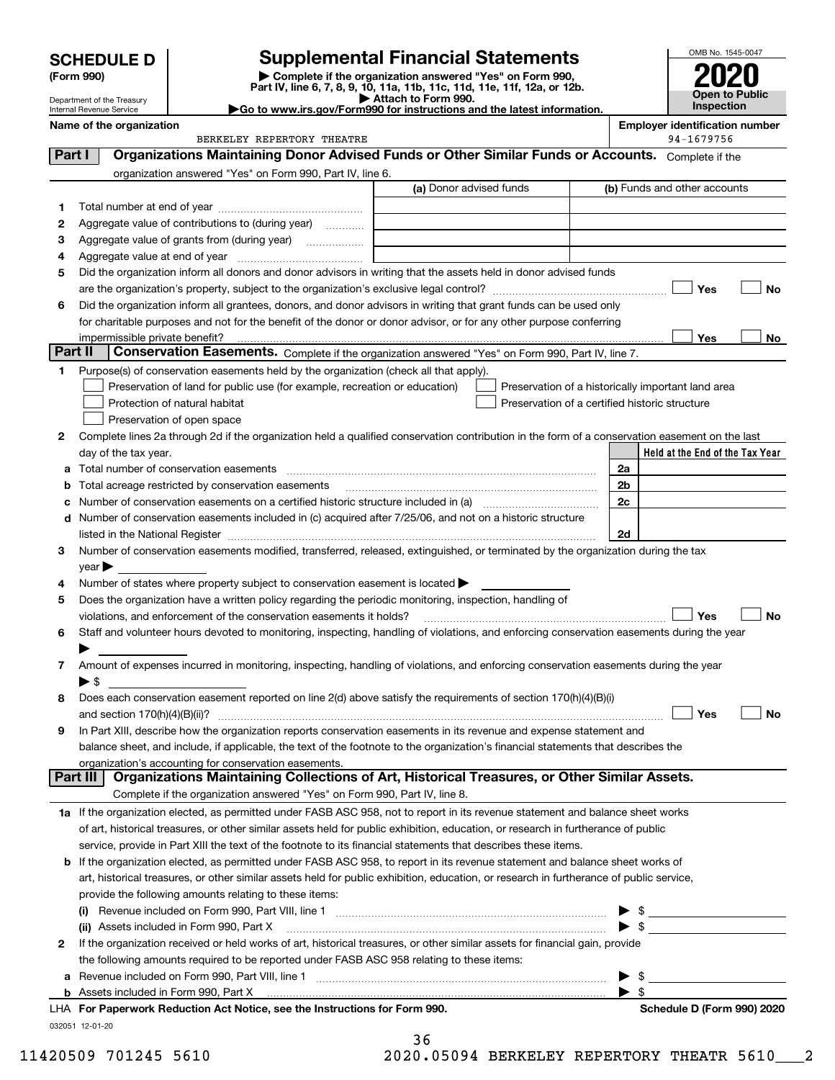|        | <b>SCHEDULE D</b>              | <b>Supplemental Financial Statements</b>                                                                                                                                                                                      |                                                |    | OMB No. 1545-0047                                   |     |
|--------|--------------------------------|-------------------------------------------------------------------------------------------------------------------------------------------------------------------------------------------------------------------------------|------------------------------------------------|----|-----------------------------------------------------|-----|
|        | (Form 990)                     | Complete if the organization answered "Yes" on Form 990,                                                                                                                                                                      |                                                |    |                                                     |     |
|        | Department of the Treasury     | Part IV, line 6, 7, 8, 9, 10, 11a, 11b, 11c, 11d, 11e, 11f, 12a, or 12b.<br>Attach to Form 990.                                                                                                                               |                                                |    | <b>Open to Public</b>                               |     |
|        | Internal Revenue Service       | Go to www.irs.gov/Form990 for instructions and the latest information.                                                                                                                                                        |                                                |    | Inspection                                          |     |
|        | Name of the organization       | BERKELEY REPERTORY THEATRE                                                                                                                                                                                                    |                                                |    | <b>Employer identification number</b><br>94-1679756 |     |
| Part I |                                | Organizations Maintaining Donor Advised Funds or Other Similar Funds or Accounts. Complete if the                                                                                                                             |                                                |    |                                                     |     |
|        |                                | organization answered "Yes" on Form 990, Part IV, line 6.                                                                                                                                                                     |                                                |    |                                                     |     |
|        |                                | (a) Donor advised funds                                                                                                                                                                                                       |                                                |    | (b) Funds and other accounts                        |     |
| 1      |                                |                                                                                                                                                                                                                               |                                                |    |                                                     |     |
| 2      |                                | Aggregate value of contributions to (during year)                                                                                                                                                                             |                                                |    |                                                     |     |
| З      |                                | Aggregate value of grants from (during year)                                                                                                                                                                                  |                                                |    |                                                     |     |
| 4      |                                |                                                                                                                                                                                                                               |                                                |    |                                                     |     |
| 5      |                                | Did the organization inform all donors and donor advisors in writing that the assets held in donor advised funds                                                                                                              |                                                |    |                                                     |     |
|        |                                |                                                                                                                                                                                                                               |                                                |    | Yes                                                 | No  |
| 6      |                                | Did the organization inform all grantees, donors, and donor advisors in writing that grant funds can be used only                                                                                                             |                                                |    |                                                     |     |
|        |                                | for charitable purposes and not for the benefit of the donor or donor advisor, or for any other purpose conferring                                                                                                            |                                                |    |                                                     |     |
|        | impermissible private benefit? |                                                                                                                                                                                                                               |                                                |    | Yes                                                 | No. |
|        | Part II                        | Conservation Easements. Complete if the organization answered "Yes" on Form 990, Part IV, line 7.                                                                                                                             |                                                |    |                                                     |     |
| 1      |                                | Purpose(s) of conservation easements held by the organization (check all that apply).                                                                                                                                         |                                                |    |                                                     |     |
|        |                                | Preservation of land for public use (for example, recreation or education)                                                                                                                                                    |                                                |    | Preservation of a historically important land area  |     |
|        |                                | Protection of natural habitat                                                                                                                                                                                                 | Preservation of a certified historic structure |    |                                                     |     |
|        |                                | Preservation of open space                                                                                                                                                                                                    |                                                |    |                                                     |     |
| 2      |                                | Complete lines 2a through 2d if the organization held a qualified conservation contribution in the form of a conservation easement on the last                                                                                |                                                |    |                                                     |     |
|        | day of the tax year.           |                                                                                                                                                                                                                               |                                                |    | Held at the End of the Tax Year                     |     |
| a      |                                |                                                                                                                                                                                                                               |                                                | 2a |                                                     |     |
| b      |                                | Total acreage restricted by conservation easements                                                                                                                                                                            |                                                | 2b |                                                     |     |
| c      |                                |                                                                                                                                                                                                                               |                                                | 2c |                                                     |     |
| d      |                                | Number of conservation easements included in (c) acquired after 7/25/06, and not on a historic structure                                                                                                                      |                                                |    |                                                     |     |
|        |                                | listed in the National Register [111] Marshall Register [11] Marshall Register [11] Marshall Register [11] Marshall Register [11] Marshall Register [11] Marshall Register [11] Marshall Register [11] Marshall Register [11] |                                                | 2d |                                                     |     |
| 3      |                                | Number of conservation easements modified, transferred, released, extinguished, or terminated by the organization during the tax                                                                                              |                                                |    |                                                     |     |
|        | $\gamma$ ear                   |                                                                                                                                                                                                                               |                                                |    |                                                     |     |
| 4      |                                | Number of states where property subject to conservation easement is located ><br>Does the organization have a written policy regarding the periodic monitoring, inspection, handling of                                       |                                                |    |                                                     |     |
| 5      |                                |                                                                                                                                                                                                                               |                                                |    | Yes                                                 |     |
| 6      |                                | violations, and enforcement of the conservation easements it holds?<br>Staff and volunteer hours devoted to monitoring, inspecting, handling of violations, and enforcing conservation easements during the year              |                                                |    |                                                     | No  |
|        |                                |                                                                                                                                                                                                                               |                                                |    |                                                     |     |
| 7      |                                | Amount of expenses incurred in monitoring, inspecting, handling of violations, and enforcing conservation easements during the year                                                                                           |                                                |    |                                                     |     |
|        | $\blacktriangleright$ \$       |                                                                                                                                                                                                                               |                                                |    |                                                     |     |
| 8      |                                | Does each conservation easement reported on line 2(d) above satisfy the requirements of section 170(h)(4)(B)(i)                                                                                                               |                                                |    | Yes                                                 | No  |
| 9      |                                | In Part XIII, describe how the organization reports conservation easements in its revenue and expense statement and                                                                                                           |                                                |    |                                                     |     |
|        |                                | balance sheet, and include, if applicable, the text of the footnote to the organization's financial statements that describes the                                                                                             |                                                |    |                                                     |     |
|        |                                | organization's accounting for conservation easements.                                                                                                                                                                         |                                                |    |                                                     |     |
|        |                                | Part III   Organizations Maintaining Collections of Art, Historical Treasures, or Other Similar Assets.                                                                                                                       |                                                |    |                                                     |     |

- Complete if the organization answered "Yes" on Form 990, Part IV, line 8.
- **1a** If the organization elected, as permitted under FASB ASC 958, not to report in its revenue statement and balance sheet works of art, historical treasures, or other similar assets held for public exhibition, education, or research in furtherance of public service, provide in Part XIII the text of the footnote to its financial statements that describes these items.

#### **b** If the organization elected, as permitted under FASB ASC 958, to report in its revenue statement and balance sheet works of **(i)**Revenue included on Form 990, Part VIII, line 1 art, historical treasures, or other similar assets held for public exhibition, education, or research in furtherance of public service, provide the following amounts relating to these items:  $\ldots$   $\blacktriangleright$  \$

|   | <br>110 VUNDI MUNUQUQ UN FUNDI 000, F QI C VIII, IIITO T                                                                     |  |  |
|---|------------------------------------------------------------------------------------------------------------------------------|--|--|
|   | (ii) Assets included in Form 990, Part X [11] [12] Assets included in Form 990, Part X                                       |  |  |
| 2 | If the organization received or held works of art, historical treasures, or other similar assets for financial gain, provide |  |  |
|   | the following amounts required to be reported under FASB ASC 958 relating to these items:                                    |  |  |
|   | a Revenue included on Form 990, Part VIII, line 1                                                                            |  |  |
|   |                                                                                                                              |  |  |
|   |                                                                                                                              |  |  |

032051 12-01-20 **For Paperwork Reduction Act Notice, see the Instructions for Form 990. Schedule D (Form 990) 2020** LHA

36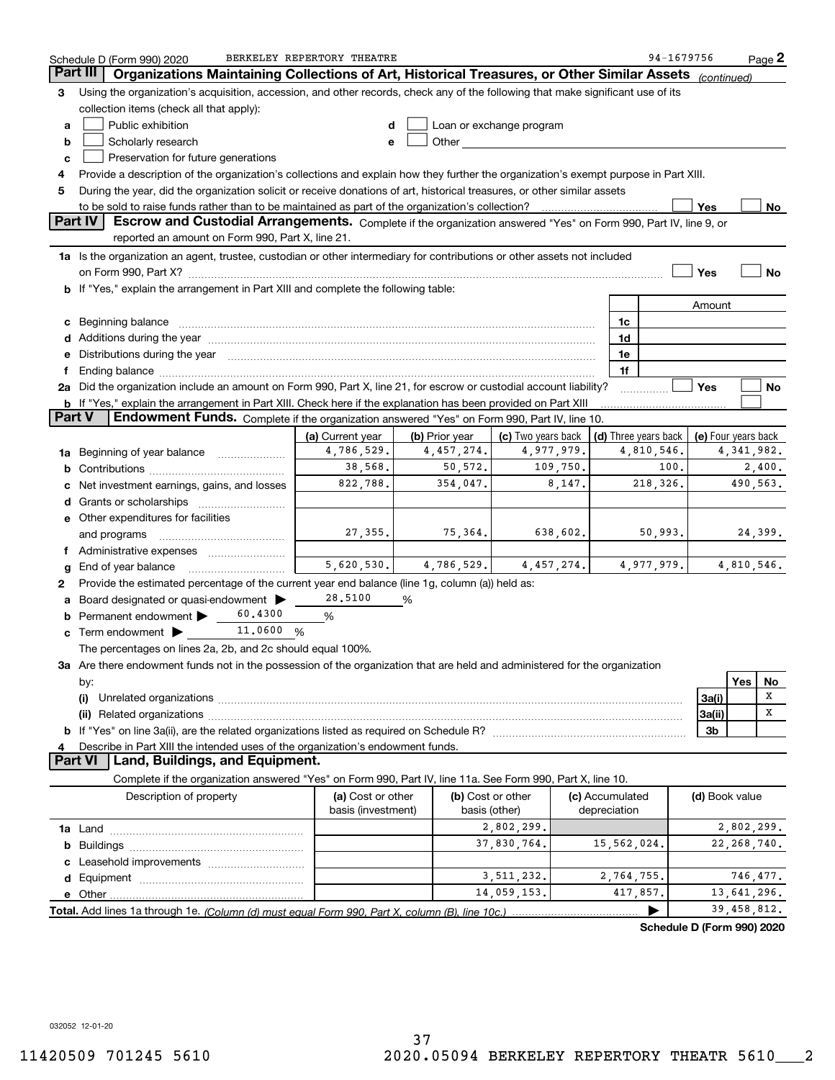|                 | Schedule D (Form 990) 2020                                                                                                                                                                                                           | BERKELEY REPERTORY THEATRE |                |                                                                                                                                                                                                                                |                      | 94-1679756                 | $Page$ 2            |    |
|-----------------|--------------------------------------------------------------------------------------------------------------------------------------------------------------------------------------------------------------------------------------|----------------------------|----------------|--------------------------------------------------------------------------------------------------------------------------------------------------------------------------------------------------------------------------------|----------------------|----------------------------|---------------------|----|
| <b>Part III</b> | Organizations Maintaining Collections of Art, Historical Treasures, or Other Similar Assets                                                                                                                                          |                            |                |                                                                                                                                                                                                                                |                      | (continued)                |                     |    |
| 3               | Using the organization's acquisition, accession, and other records, check any of the following that make significant use of its                                                                                                      |                            |                |                                                                                                                                                                                                                                |                      |                            |                     |    |
|                 | collection items (check all that apply):                                                                                                                                                                                             |                            |                |                                                                                                                                                                                                                                |                      |                            |                     |    |
| a               | Public exhibition                                                                                                                                                                                                                    | d                          |                | Loan or exchange program                                                                                                                                                                                                       |                      |                            |                     |    |
| b               | Scholarly research                                                                                                                                                                                                                   | e                          |                | Other the contract of the contract of the contract of the contract of the contract of the contract of the contract of the contract of the contract of the contract of the contract of the contract of the contract of the cont |                      |                            |                     |    |
| с               | Preservation for future generations                                                                                                                                                                                                  |                            |                |                                                                                                                                                                                                                                |                      |                            |                     |    |
| 4               | Provide a description of the organization's collections and explain how they further the organization's exempt purpose in Part XIII.                                                                                                 |                            |                |                                                                                                                                                                                                                                |                      |                            |                     |    |
| 5               | During the year, did the organization solicit or receive donations of art, historical treasures, or other similar assets                                                                                                             |                            |                |                                                                                                                                                                                                                                |                      |                            |                     |    |
|                 | to be sold to raise funds rather than to be maintained as part of the organization's collection?                                                                                                                                     |                            |                |                                                                                                                                                                                                                                |                      | Yes                        |                     | No |
|                 | Part IV<br>Escrow and Custodial Arrangements. Complete if the organization answered "Yes" on Form 990, Part IV, line 9, or                                                                                                           |                            |                |                                                                                                                                                                                                                                |                      |                            |                     |    |
|                 | reported an amount on Form 990, Part X, line 21.                                                                                                                                                                                     |                            |                |                                                                                                                                                                                                                                |                      |                            |                     |    |
|                 | 1a Is the organization an agent, trustee, custodian or other intermediary for contributions or other assets not included                                                                                                             |                            |                |                                                                                                                                                                                                                                |                      |                            |                     |    |
|                 |                                                                                                                                                                                                                                      |                            |                |                                                                                                                                                                                                                                |                      | Yes                        |                     | No |
|                 |                                                                                                                                                                                                                                      |                            |                |                                                                                                                                                                                                                                |                      |                            |                     |    |
| b               | If "Yes," explain the arrangement in Part XIII and complete the following table:                                                                                                                                                     |                            |                |                                                                                                                                                                                                                                |                      |                            |                     |    |
|                 |                                                                                                                                                                                                                                      |                            |                |                                                                                                                                                                                                                                |                      | Amount                     |                     |    |
| c               | Beginning balance <b>contract the contract of the contract of the contract of the contract of the contract of the contract of the contract of the contract of the contract of the contract of the contract of the contract of th</b> |                            |                |                                                                                                                                                                                                                                | 1c                   |                            |                     |    |
|                 | Additions during the year manufactured and an according to the year manufactured and according the year manufactured and according the year manufactured and according the year manufactured and according the year manufactur       |                            |                |                                                                                                                                                                                                                                | 1d                   |                            |                     |    |
| е               | Distributions during the year manufactured and an account of the year manufactured and the year manufactured and the year manufactured and the year manufactured and the year manufactured and the year manufactured and the y       |                            |                |                                                                                                                                                                                                                                | 1e                   |                            |                     |    |
| f               | Ending balance manufactured and contract the contract of the contract of the contract of the contract of the contract of the contract of the contract of the contract of the contract of the contract of the contract of the c       |                            |                |                                                                                                                                                                                                                                | 1f                   |                            |                     |    |
|                 | 2a Did the organization include an amount on Form 990, Part X, line 21, for escrow or custodial account liability?                                                                                                                   |                            |                |                                                                                                                                                                                                                                |                      | Yes                        |                     | No |
|                 | b If "Yes," explain the arrangement in Part XIII. Check here if the explanation has been provided on Part XIII                                                                                                                       |                            |                |                                                                                                                                                                                                                                |                      |                            |                     |    |
| <b>Part V</b>   | Endowment Funds. Complete if the organization answered "Yes" on Form 990, Part IV, line 10.                                                                                                                                          |                            |                |                                                                                                                                                                                                                                |                      |                            |                     |    |
|                 |                                                                                                                                                                                                                                      | (a) Current year           | (b) Prior year | (c) Two years back                                                                                                                                                                                                             | (d) Three years back |                            | (e) Four years back |    |
| 1a              | Beginning of year balance                                                                                                                                                                                                            | 4,786,529.                 | 4,457,274.     | 4,977,979.                                                                                                                                                                                                                     | 4,810,546.           |                            | 4, 341, 982.        |    |
| b               |                                                                                                                                                                                                                                      | 38,568.                    | 50, 572.       | 109,750.                                                                                                                                                                                                                       |                      | 100.                       | 2,400.              |    |
| с               | Net investment earnings, gains, and losses                                                                                                                                                                                           | 822,788.                   | 354,047.       | 8,147.                                                                                                                                                                                                                         | 218,326.             |                            | 490,563.            |    |
| d               |                                                                                                                                                                                                                                      |                            |                |                                                                                                                                                                                                                                |                      |                            |                     |    |
|                 | e Other expenditures for facilities                                                                                                                                                                                                  |                            |                |                                                                                                                                                                                                                                |                      |                            |                     |    |
|                 | and programs                                                                                                                                                                                                                         | 27,355.                    | 75,364.        | 638,602.                                                                                                                                                                                                                       | 50,993.              |                            | 24,399.             |    |
|                 | f Administrative expenses                                                                                                                                                                                                            |                            |                |                                                                                                                                                                                                                                |                      |                            |                     |    |
| g               | End of year balance                                                                                                                                                                                                                  | 5,620,530.                 | 4,786,529.     | 4,457,274.                                                                                                                                                                                                                     | 4,977,979.           |                            | 4,810,546.          |    |
| 2               | Provide the estimated percentage of the current year end balance (line 1g, column (a)) held as:                                                                                                                                      |                            |                |                                                                                                                                                                                                                                |                      |                            |                     |    |
| а               | Board designated or quasi-endowment                                                                                                                                                                                                  | 28,5100                    | %              |                                                                                                                                                                                                                                |                      |                            |                     |    |
| b               | 60.4300<br>Permanent endowment >                                                                                                                                                                                                     | %                          |                |                                                                                                                                                                                                                                |                      |                            |                     |    |
| c               | 11.0600 %<br>Term endowment $\blacktriangleright$                                                                                                                                                                                    |                            |                |                                                                                                                                                                                                                                |                      |                            |                     |    |
|                 | The percentages on lines 2a, 2b, and 2c should equal 100%.                                                                                                                                                                           |                            |                |                                                                                                                                                                                                                                |                      |                            |                     |    |
|                 | 3a Are there endowment funds not in the possession of the organization that are held and administered for the organization                                                                                                           |                            |                |                                                                                                                                                                                                                                |                      |                            |                     |    |
|                 | by:                                                                                                                                                                                                                                  |                            |                |                                                                                                                                                                                                                                |                      |                            | Yes<br>No           |    |
|                 | (i)                                                                                                                                                                                                                                  |                            |                |                                                                                                                                                                                                                                |                      | 3a(i)                      | х                   |    |
|                 |                                                                                                                                                                                                                                      |                            |                |                                                                                                                                                                                                                                |                      |                            | х                   |    |
|                 |                                                                                                                                                                                                                                      |                            |                |                                                                                                                                                                                                                                |                      | 3a(ii)                     |                     |    |
|                 |                                                                                                                                                                                                                                      |                            |                |                                                                                                                                                                                                                                |                      | 3b                         |                     |    |
|                 | Describe in Part XIII the intended uses of the organization's endowment funds.<br><b>Part VI</b><br>Land, Buildings, and Equipment.                                                                                                  |                            |                |                                                                                                                                                                                                                                |                      |                            |                     |    |
|                 |                                                                                                                                                                                                                                      |                            |                |                                                                                                                                                                                                                                |                      |                            |                     |    |
|                 | Complete if the organization answered "Yes" on Form 990, Part IV, line 11a. See Form 990, Part X, line 10.                                                                                                                           |                            |                |                                                                                                                                                                                                                                |                      |                            |                     |    |
|                 | Description of property                                                                                                                                                                                                              | (a) Cost or other          |                | (b) Cost or other                                                                                                                                                                                                              | (c) Accumulated      | (d) Book value             |                     |    |
|                 |                                                                                                                                                                                                                                      | basis (investment)         |                | basis (other)                                                                                                                                                                                                                  | depreciation         |                            |                     |    |
|                 |                                                                                                                                                                                                                                      |                            |                | 2,802,299.                                                                                                                                                                                                                     |                      |                            | 2,802,299.          |    |
| b               |                                                                                                                                                                                                                                      |                            |                | 37,830,764.                                                                                                                                                                                                                    | 15,562,024.          |                            | 22, 268, 740.       |    |
|                 |                                                                                                                                                                                                                                      |                            |                |                                                                                                                                                                                                                                |                      |                            |                     |    |
|                 |                                                                                                                                                                                                                                      |                            |                | 3, 511, 232.                                                                                                                                                                                                                   | 2,764,755.           |                            | 746,477.            |    |
|                 |                                                                                                                                                                                                                                      |                            |                | 14,059,153.                                                                                                                                                                                                                    | 417,857.             |                            | 13,641,296.         |    |
|                 |                                                                                                                                                                                                                                      |                            |                |                                                                                                                                                                                                                                |                      |                            | 39,458,812.         |    |
|                 |                                                                                                                                                                                                                                      |                            |                |                                                                                                                                                                                                                                |                      | Schedule D (Form 990) 2020 |                     |    |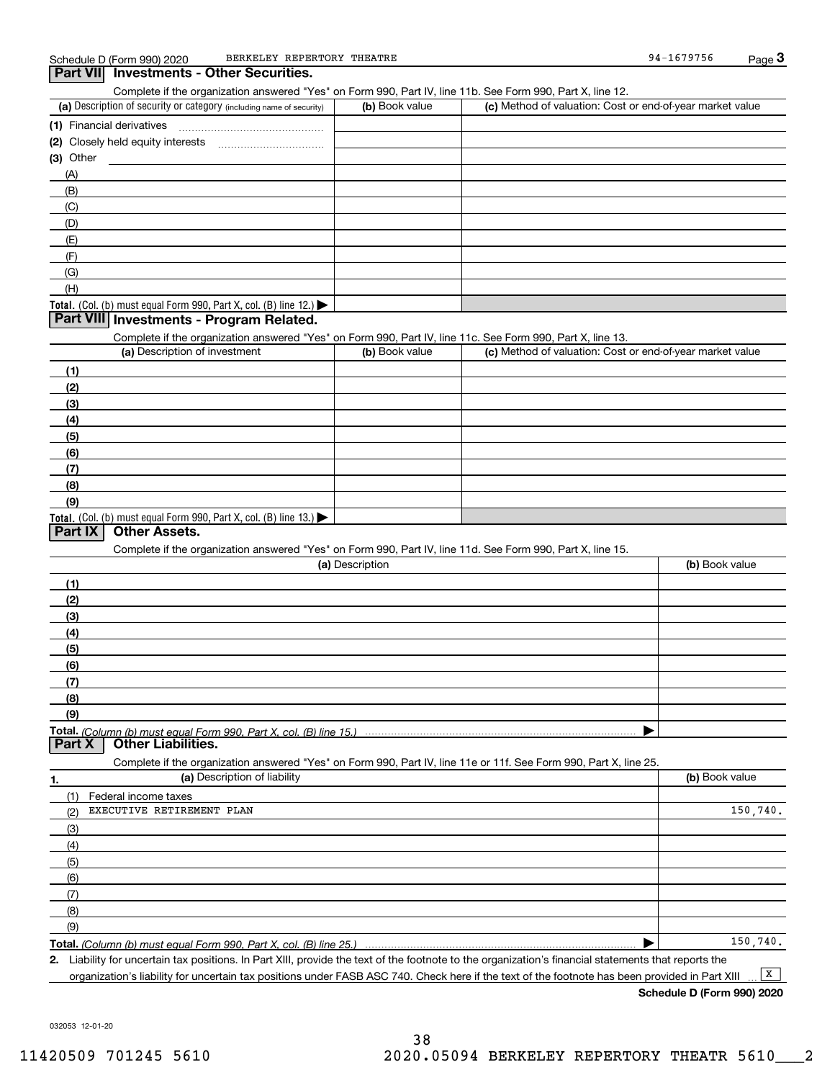### (a) Description of security or category (including name of security)  $\vert$  (b) Book value  $\vert$  (c) Total. (Col. (b) must equal Form 990, Part X, col. (B) line 12.) Total. (Col. (b) must equal Form 990, Part X, col. (B) line 13.) **(1)** Financial derivatives ~~~~~~~~~~~~~~~**(2)** Closely held equity interests **(3)** Other (a) Description of investment **b (b)** Book value **(1)(2) (3)(4) (5) (6)(7)(8)(9)(a) (b)**  Description**(1)(2) (3)(4)(5) (6)(7) (8)(9)Total.**  *(Column (b) must equal Form 990, Part X, col. (B) line 15.)* Schedule D (Form 990) 2020 BERKELEY REPERTORY THEATRE SERVICE SERVICE RESERVED BY A 1679756 Page 3 Complete if the organization answered "Yes" on Form 990, Part IV, line 11b. See Form 990, Part X, line 12.  $(b)$  Book value  $\vert$  (c) Method of valuation: Cost or end-of-year market value (A)(B)(C)(D)(E)(F)(G)(H)Complete if the organization answered "Yes" on Form 990, Part IV, line 11c. See Form 990, Part X, line 13. (c) Method of valuation: Cost or end-of-year market value Complete if the organization answered "Yes" on Form 990, Part IV, line 11d. See Form 990, Part X, line 15. (b) Book value  $\blacktriangleright$ **Part VII Investments - Other Securities. Part VIII Investments - Program Related. Part IX Other Assets. Part X Other Liabilities.** BERKELEY REPERTORY THEATRE 94-1679756

**1.(a)** Description of liability **Book value** Book value Book value Book value Book value **Total.**  *(Column (b) must equal Form 990, Part X, col. (B) line 25.)* Complete if the organization answered "Yes" on Form 990, Part IV, line 11e or 11f. See Form 990, Part X, line 25. (1)(2)(3)(4)(5)(6)(7)(8)(9)Federal income taxes  $\blacktriangleright$ EXECUTIVE RETIREMENT PLAN 150,740. 150,740.

**2.**Liability for uncertain tax positions. In Part XIII, provide the text of the footnote to the organization's financial statements that reports the organization's liability for uncertain tax positions under FASB ASC 740. Check here if the text of the footnote has been provided in Part XIII  $\boxed{\mathbf{X}}$ 

**Schedule D (Form 990) 2020**

032053 12-01-20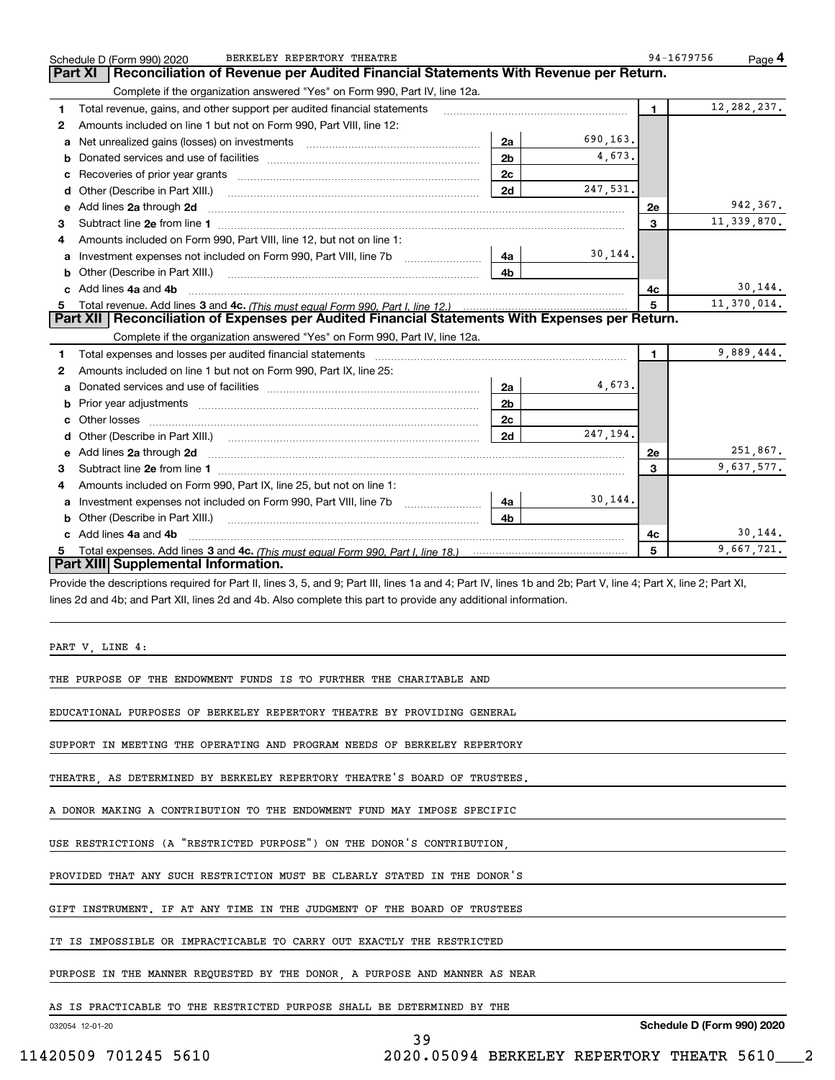|   | BERKELEY REPERTORY THEATRE<br>Schedule D (Form 990) 2020                                                                                                                                             |                |          | 94-1679756   | Page 4        |
|---|------------------------------------------------------------------------------------------------------------------------------------------------------------------------------------------------------|----------------|----------|--------------|---------------|
|   | Reconciliation of Revenue per Audited Financial Statements With Revenue per Return.<br>Part XI                                                                                                       |                |          |              |               |
|   | Complete if the organization answered "Yes" on Form 990, Part IV, line 12a.                                                                                                                          |                |          |              |               |
| 1 | Total revenue, gains, and other support per audited financial statements                                                                                                                             |                |          | $\mathbf{1}$ | 12, 282, 237. |
| 2 | Amounts included on line 1 but not on Form 990, Part VIII, line 12:                                                                                                                                  |                |          |              |               |
| a | Net unrealized gains (losses) on investments [11] matter contracts and the unrealized gains (losses) on investments                                                                                  | 2a             | 690,163. |              |               |
| b |                                                                                                                                                                                                      | 2 <sub>b</sub> | 4,673.   |              |               |
| с |                                                                                                                                                                                                      | 2c             |          |              |               |
| d | Other (Describe in Part XIII.)                                                                                                                                                                       | 2d             | 247,531. |              |               |
| е | Add lines 2a through 2d                                                                                                                                                                              |                |          | 2e           | 942.367.      |
| 3 |                                                                                                                                                                                                      |                |          | 3            | 11, 339, 870. |
| 4 | Amounts included on Form 990, Part VIII, line 12, but not on line 1:                                                                                                                                 |                |          |              |               |
| а |                                                                                                                                                                                                      | 4a             | 30,144.  |              |               |
| b | Other (Describe in Part XIII.)                                                                                                                                                                       | 4b             |          |              |               |
| c | Add lines 4a and 4b                                                                                                                                                                                  |                |          | 4c           | 30,144.       |
|   | Total revenue. Add lines 3 and 4c. (This must equal Form 990. Part I. line 12.)                                                                                                                      |                |          | 5            | 11,370,014.   |
|   | Part XII   Reconciliation of Expenses per Audited Financial Statements With Expenses per Return.                                                                                                     |                |          |              |               |
|   | Complete if the organization answered "Yes" on Form 990, Part IV, line 12a.                                                                                                                          |                |          |              |               |
| 1 | Total expenses and losses per audited financial statements [11] [12] Total expenses and losses per audited financial statements [11] [12] Total expenses and losses per audited financial statements |                |          | 1            | 9,889,444.    |
| 2 | Amounts included on line 1 but not on Form 990, Part IX, line 25:                                                                                                                                    |                |          |              |               |
| a |                                                                                                                                                                                                      | 2a             | 4,673.   |              |               |
| b |                                                                                                                                                                                                      | 2 <sub>b</sub> |          |              |               |
| c | Other losses                                                                                                                                                                                         | 2c             |          |              |               |
| d |                                                                                                                                                                                                      | 2d             | 247,194. |              |               |
| е | Add lines 2a through 2d                                                                                                                                                                              |                |          | 2e           | 251,867.      |
| 3 |                                                                                                                                                                                                      |                |          | 3            | 9,637,577.    |
| 4 | Amounts included on Form 990, Part IX, line 25, but not on line 1:                                                                                                                                   |                |          |              |               |
| a |                                                                                                                                                                                                      | 4a             | 30,144.  |              |               |
| b | Other (Describe in Part XIII.)                                                                                                                                                                       | 4b             |          |              |               |
| c | Add lines 4a and 4b                                                                                                                                                                                  |                |          | 4c           | 30,144.       |
| 5 |                                                                                                                                                                                                      |                |          | 5            | 9,667,721.    |
|   | Part XIII Supplemental Information.                                                                                                                                                                  |                |          |              |               |
|   | Provide the descriptions required for Part II, lines 3, 5, and 9; Part III, lines 1a and 4; Part IV, lines 1b and 2b; Part V, line 4; Part X, line 2; Part XI,                                       |                |          |              |               |
|   | lines 2d and 4b; and Part XII, lines 2d and 4b. Also complete this part to provide any additional information.                                                                                       |                |          |              |               |
|   |                                                                                                                                                                                                      |                |          |              |               |
|   |                                                                                                                                                                                                      |                |          |              |               |
|   | PART V, LINE 4:                                                                                                                                                                                      |                |          |              |               |
|   |                                                                                                                                                                                                      |                |          |              |               |
|   | THE PURPOSE OF THE ENDOWMENT FUNDS IS TO FURTHER THE CHARITABLE AND                                                                                                                                  |                |          |              |               |
|   | EDUCATIONAL PURPOSES OF BERKELEY REPERTORY THEATRE BY PROVIDING GENERAL                                                                                                                              |                |          |              |               |
|   |                                                                                                                                                                                                      |                |          |              |               |
|   | SUPPORT IN MEETING THE OPERATING AND PROGRAM NEEDS OF BERKELEY REPERTORY                                                                                                                             |                |          |              |               |
|   |                                                                                                                                                                                                      |                |          |              |               |
|   | THEATRE, AS DETERMINED BY BERKELEY REPERTORY THEATRE'S BOARD OF TRUSTEES.                                                                                                                            |                |          |              |               |
|   |                                                                                                                                                                                                      |                |          |              |               |
|   | A DONOR MAKING A CONTRIBUTION TO THE ENDOWMENT FUND MAY IMPOSE SPECIFIC                                                                                                                              |                |          |              |               |
|   |                                                                                                                                                                                                      |                |          |              |               |
|   | USE RESTRICTIONS (A "RESTRICTED PURPOSE") ON THE DONOR'S CONTRIBUTION,                                                                                                                               |                |          |              |               |
|   |                                                                                                                                                                                                      |                |          |              |               |
|   | PROVIDED THAT ANY SUCH RESTRICTION MUST BE CLEARLY STATED IN THE DONOR'S                                                                                                                             |                |          |              |               |
|   | GIFT INSTRUMENT. IF AT ANY TIME IN THE JUDGMENT OF THE BOARD OF TRUSTEES                                                                                                                             |                |          |              |               |
|   |                                                                                                                                                                                                      |                |          |              |               |

39

IT IS IMPOSSIBLE OR IMPRACTICABLE TO CARRY OUT EXACTLY THE RESTRICTED

PURPOSE IN THE MANNER REQUESTED BY THE DONOR, A PURPOSE AND MANNER AS NEAR

AS IS PRACTICABLE TO THE RESTRICTED PURPOSE SHALL BE DETERMINED BY THE

032054 12-01-20

**Schedule D (Form 990) 2020**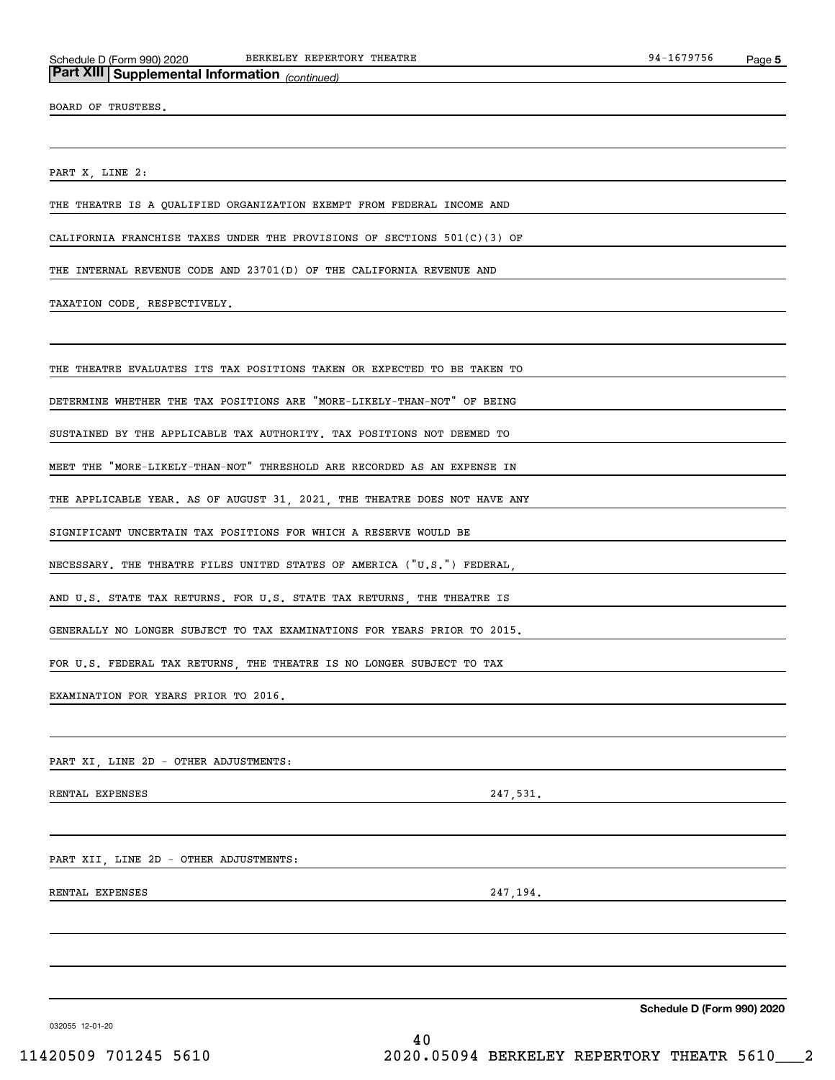## *(continued)* **Part XIII Supplemental Information**

BOARD OF TRUSTEES.

PART X, LINE 2:

THE THEATRE IS A QUALIFIED ORGANIZATION EXEMPT FROM FEDERAL INCOME AND

CALIFORNIA FRANCHISE TAXES UNDER THE PROVISIONS OF SECTIONS 501(C)(3) OF

THE INTERNAL REVENUE CODE AND 23701(D) OF THE CALIFORNIA REVENUE AND

TAXATION CODE, RESPECTIVELY.

THE THEATRE EVALUATES ITS TAX POSITIONS TAKEN OR EXPECTED TO BE TAKEN TO

DETERMINE WHETHER THE TAX POSITIONS ARE "MORE-LIKELY-THAN-NOT" OF BEING

SUSTAINED BY THE APPLICABLE TAX AUTHORITY. TAX POSITIONS NOT DEEMED TO

MEET THE "MORE-LIKELY-THAN-NOT" THRESHOLD ARE RECORDED AS AN EXPENSE IN

THE APPLICABLE YEAR. AS OF AUGUST 31, 2021, THE THEATRE DOES NOT HAVE ANY

SIGNIFICANT UNCERTAIN TAX POSITIONS FOR WHICH A RESERVE WOULD BE

NECESSARY. THE THEATRE FILES UNITED STATES OF AMERICA ("U.S.") FEDERAL,

AND U.S. STATE TAX RETURNS. FOR U.S. STATE TAX RETURNS, THE THEATRE IS

GENERALLY NO LONGER SUBJECT TO TAX EXAMINATIONS FOR YEARS PRIOR TO 2015.

FOR U.S. FEDERAL TAX RETURNS, THE THEATRE IS NO LONGER SUBJECT TO TAX

EXAMINATION FOR YEARS PRIOR TO 2016.

PART XI, LINE 2D - OTHER ADJUSTMENTS:

RENTAL EXPENSES 247,531.

PART XII, LINE 2D - OTHER ADJUSTMENTS:

RENTAL EXPENSES 247, 194.

**Schedule D (Form 990) 2020**

032055 12-01-20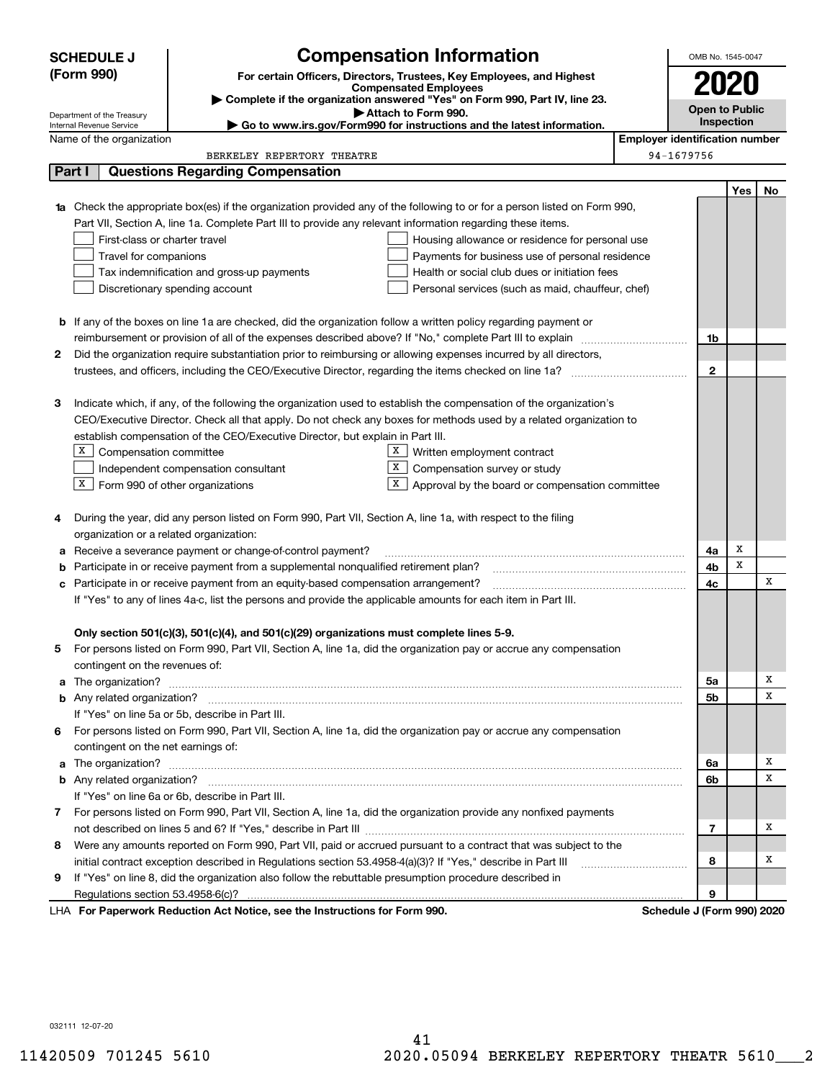|   | <b>SCHEDULE J</b>                                                                                                                                                                                                          | <b>Compensation Information</b>                                                                                           |                                                   |                                       | OMB No. 1545-0047     |            |    |
|---|----------------------------------------------------------------------------------------------------------------------------------------------------------------------------------------------------------------------------|---------------------------------------------------------------------------------------------------------------------------|---------------------------------------------------|---------------------------------------|-----------------------|------------|----|
|   | (Form 990)                                                                                                                                                                                                                 | For certain Officers, Directors, Trustees, Key Employees, and Highest                                                     |                                                   |                                       |                       |            |    |
|   |                                                                                                                                                                                                                            | <b>Compensated Employees</b>                                                                                              |                                                   |                                       | 2020                  |            |    |
|   |                                                                                                                                                                                                                            | Complete if the organization answered "Yes" on Form 990, Part IV, line 23.<br>Attach to Form 990.                         |                                                   |                                       | <b>Open to Public</b> |            |    |
|   | Department of the Treasury<br>Internal Revenue Service                                                                                                                                                                     | Go to www.irs.gov/Form990 for instructions and the latest information.                                                    |                                                   |                                       |                       | Inspection |    |
|   | Name of the organization                                                                                                                                                                                                   |                                                                                                                           |                                                   | <b>Employer identification number</b> |                       |            |    |
|   |                                                                                                                                                                                                                            | BERKELEY REPERTORY THEATRE                                                                                                |                                                   | 94-1679756                            |                       |            |    |
|   | Part I                                                                                                                                                                                                                     | <b>Questions Regarding Compensation</b>                                                                                   |                                                   |                                       |                       |            |    |
|   |                                                                                                                                                                                                                            |                                                                                                                           |                                                   |                                       |                       | Yes        | No |
|   |                                                                                                                                                                                                                            | 1a Check the appropriate box(es) if the organization provided any of the following to or for a person listed on Form 990, |                                                   |                                       |                       |            |    |
|   |                                                                                                                                                                                                                            | Part VII, Section A, line 1a. Complete Part III to provide any relevant information regarding these items.                |                                                   |                                       |                       |            |    |
|   | First-class or charter travel                                                                                                                                                                                              |                                                                                                                           | Housing allowance or residence for personal use   |                                       |                       |            |    |
|   | Travel for companions                                                                                                                                                                                                      |                                                                                                                           | Payments for business use of personal residence   |                                       |                       |            |    |
|   |                                                                                                                                                                                                                            | Tax indemnification and gross-up payments                                                                                 | Health or social club dues or initiation fees     |                                       |                       |            |    |
|   |                                                                                                                                                                                                                            | Discretionary spending account                                                                                            | Personal services (such as maid, chauffeur, chef) |                                       |                       |            |    |
|   |                                                                                                                                                                                                                            |                                                                                                                           |                                                   |                                       |                       |            |    |
|   |                                                                                                                                                                                                                            | <b>b</b> If any of the boxes on line 1a are checked, did the organization follow a written policy regarding payment or    |                                                   |                                       |                       |            |    |
|   |                                                                                                                                                                                                                            | reimbursement or provision of all of the expenses described above? If "No," complete Part III to explain                  |                                                   |                                       | 1b                    |            |    |
| 2 |                                                                                                                                                                                                                            | Did the organization require substantiation prior to reimbursing or allowing expenses incurred by all directors,          |                                                   |                                       |                       |            |    |
|   |                                                                                                                                                                                                                            |                                                                                                                           |                                                   |                                       | 2                     |            |    |
|   |                                                                                                                                                                                                                            |                                                                                                                           |                                                   |                                       |                       |            |    |
| З |                                                                                                                                                                                                                            | Indicate which, if any, of the following the organization used to establish the compensation of the organization's        |                                                   |                                       |                       |            |    |
|   |                                                                                                                                                                                                                            | CEO/Executive Director. Check all that apply. Do not check any boxes for methods used by a related organization to        |                                                   |                                       |                       |            |    |
|   |                                                                                                                                                                                                                            | establish compensation of the CEO/Executive Director, but explain in Part III.                                            |                                                   |                                       |                       |            |    |
|   | $X$ Compensation committee                                                                                                                                                                                                 | X                                                                                                                         | Written employment contract                       |                                       |                       |            |    |
|   |                                                                                                                                                                                                                            | X<br>Independent compensation consultant                                                                                  | Compensation survey or study                      |                                       |                       |            |    |
|   | $X$ Form 990 of other organizations                                                                                                                                                                                        | X                                                                                                                         | Approval by the board or compensation committee   |                                       |                       |            |    |
|   |                                                                                                                                                                                                                            |                                                                                                                           |                                                   |                                       |                       |            |    |
| 4 |                                                                                                                                                                                                                            | During the year, did any person listed on Form 990, Part VII, Section A, line 1a, with respect to the filing              |                                                   |                                       |                       |            |    |
|   | organization or a related organization:                                                                                                                                                                                    |                                                                                                                           |                                                   |                                       |                       |            |    |
| а |                                                                                                                                                                                                                            | Receive a severance payment or change-of-control payment?                                                                 |                                                   |                                       | 4a                    | х          |    |
| b |                                                                                                                                                                                                                            | Participate in or receive payment from a supplemental nonqualified retirement plan?                                       |                                                   |                                       | 4b                    | x          |    |
| с |                                                                                                                                                                                                                            | Participate in or receive payment from an equity-based compensation arrangement?                                          |                                                   |                                       | 4с                    |            | x  |
|   |                                                                                                                                                                                                                            | If "Yes" to any of lines 4a-c, list the persons and provide the applicable amounts for each item in Part III.             |                                                   |                                       |                       |            |    |
|   |                                                                                                                                                                                                                            |                                                                                                                           |                                                   |                                       |                       |            |    |
|   |                                                                                                                                                                                                                            | Only section 501(c)(3), 501(c)(4), and 501(c)(29) organizations must complete lines 5-9.                                  |                                                   |                                       |                       |            |    |
|   |                                                                                                                                                                                                                            | For persons listed on Form 990, Part VII, Section A, line 1a, did the organization pay or accrue any compensation         |                                                   |                                       |                       |            |    |
|   | contingent on the revenues of:                                                                                                                                                                                             |                                                                                                                           |                                                   |                                       |                       |            | х  |
|   |                                                                                                                                                                                                                            |                                                                                                                           |                                                   |                                       | 5a                    |            | х  |
|   |                                                                                                                                                                                                                            |                                                                                                                           |                                                   |                                       | 5b                    |            |    |
|   |                                                                                                                                                                                                                            | If "Yes" on line 5a or 5b, describe in Part III.                                                                          |                                                   |                                       |                       |            |    |
|   | contingent on the net earnings of:                                                                                                                                                                                         | 6 For persons listed on Form 990, Part VII, Section A, line 1a, did the organization pay or accrue any compensation       |                                                   |                                       |                       |            |    |
|   |                                                                                                                                                                                                                            |                                                                                                                           |                                                   |                                       |                       |            | х  |
|   |                                                                                                                                                                                                                            |                                                                                                                           |                                                   |                                       | 6a<br>6b              |            | х  |
|   |                                                                                                                                                                                                                            | If "Yes" on line 6a or 6b, describe in Part III.                                                                          |                                                   |                                       |                       |            |    |
|   |                                                                                                                                                                                                                            | 7 For persons listed on Form 990, Part VII, Section A, line 1a, did the organization provide any nonfixed payments        |                                                   |                                       |                       |            |    |
|   |                                                                                                                                                                                                                            |                                                                                                                           |                                                   |                                       | 7                     |            | x  |
|   |                                                                                                                                                                                                                            | 8 Were any amounts reported on Form 990, Part VII, paid or accrued pursuant to a contract that was subject to the         |                                                   |                                       |                       |            |    |
|   |                                                                                                                                                                                                                            |                                                                                                                           |                                                   |                                       | 8                     |            | х  |
|   | initial contract exception described in Regulations section 53.4958-4(a)(3)? If "Yes," describe in Part III<br>If "Yes" on line 8, did the organization also follow the rebuttable presumption procedure described in<br>9 |                                                                                                                           |                                                   |                                       |                       |            |    |
|   | 9                                                                                                                                                                                                                          |                                                                                                                           |                                                   |                                       |                       |            |    |
|   |                                                                                                                                                                                                                            | LHA For Paperwork Reduction Act Notice, see the Instructions for Form 990.                                                |                                                   | Schedule J (Form 990) 2020            |                       |            |    |
|   |                                                                                                                                                                                                                            |                                                                                                                           |                                                   |                                       |                       |            |    |

032111 12-07-20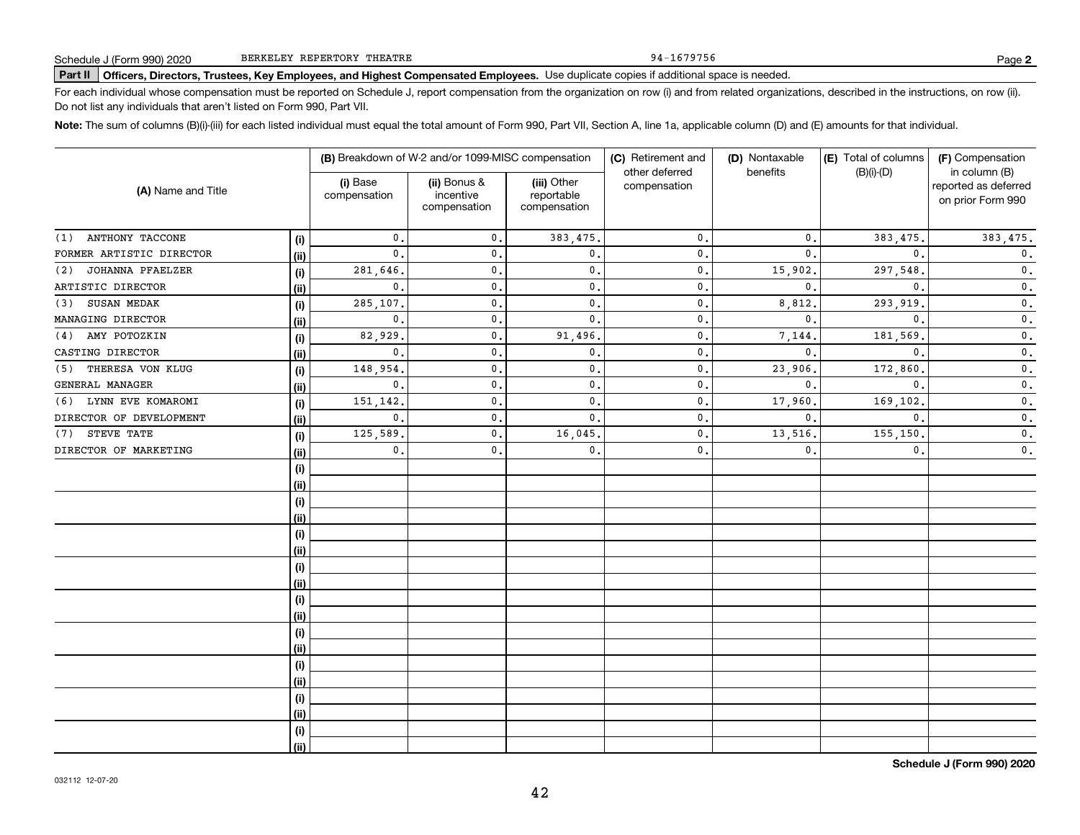94-1679756

# **Part II Officers, Directors, Trustees, Key Employees, and Highest Compensated Employees.**  Schedule J (Form 990) 2020 Page Use duplicate copies if additional space is needed.

For each individual whose compensation must be reported on Schedule J, report compensation from the organization on row (i) and from related organizations, described in the instructions, on row (ii). Do not list any individuals that aren't listed on Form 990, Part VII.

**Note:**  The sum of columns (B)(i)-(iii) for each listed individual must equal the total amount of Form 990, Part VII, Section A, line 1a, applicable column (D) and (E) amounts for that individual.

|                                |            |                          | (B) Breakdown of W-2 and/or 1099-MISC compensation |                                           | (C) Retirement and             | (D) Nontaxable | (E) Total of columns | (F) Compensation                                           |
|--------------------------------|------------|--------------------------|----------------------------------------------------|-------------------------------------------|--------------------------------|----------------|----------------------|------------------------------------------------------------|
| (A) Name and Title             |            | (i) Base<br>compensation | (ii) Bonus &<br>incentive<br>compensation          | (iii) Other<br>reportable<br>compensation | other deferred<br>compensation | benefits       | $(B)(i)-(D)$         | in column (B)<br>reported as deferred<br>on prior Form 990 |
| ANTHONY TACCONE<br>(1)         | (i)        | 0.                       | $\mathbf{0}$ .                                     | 383,475.                                  | $\mathbf{0}$ .                 | $\mathbf{0}$ . | 383, 475.            | 383, 475.                                                  |
| FORMER ARTISTIC DIRECTOR       | (ii)       | $\mathbf{0}$ .           | $\mathbf 0$ .                                      | $\mathbf{0}$ .                            | $\mathbf{0}$ .                 | $\mathbf{0}$ . | $\mathbf{0}$ .       | $\mathbf 0$ .                                              |
| <b>JOHANNA PFAELZER</b><br>(2) | (i)        | 281,646.                 | $\mathbf 0$ .                                      | 0.                                        | 0.                             | 15,902         | 297,548              | $\mathbf 0$ .                                              |
| ARTISTIC DIRECTOR              | (ii)       | 0.                       | $\mathbf 0$ .                                      | 0.                                        | 0.                             | $\mathbf{0}$ . | 0.                   | $\mathbf 0$ .                                              |
| SUSAN MEDAK<br>(3)             | (i)        | 285,107.                 | $\mathbf 0$ .                                      | $\mathbf{0}$ .                            | $\mathbf{0}$ .                 | 8,812          | 293,919              | $\overline{\mathbf{0}}$ .                                  |
| MANAGING DIRECTOR              | (ii)       | $\mathbf{0}$ .           | $\mathbf 0$ .                                      | $\mathbf{0}$ .                            | $\mathbf{0}$ .                 | $\mathbf{0}$ . | $\mathbf{0}$ .       | $\overline{\mathbf{0}}$ .                                  |
| AMY POTOZKIN<br>(4)            | (i)        | 82,929                   | $\mathbf 0$ .                                      | 91,496.                                   | $\mathbf{0}$ .                 | 7,144.         | 181,569              | $\mathbf 0$ .                                              |
| CASTING DIRECTOR               | (ii)       | $\mathbf{0}$ .           | $\mathbf 0$ .                                      | 0.                                        | 0.                             | $\mathbf{0}$ . | $\mathbf{0}$ .       | $\mathbf 0$ .                                              |
| THERESA VON KLUG<br>(5)        | (i)        | 148,954.                 | $\mathbf 0$ .                                      | 0.                                        | 0.                             | 23,906.        | 172,860              | $\mathbf 0$ .                                              |
| GENERAL MANAGER                | (ii)       | $\mathbf{0}$ .           | $\mathbf{0}$                                       | $\mathbf{0}$ .                            | $\mathbf{0}$ .                 | $\mathbf{0}$ . | $\mathbf{0}$         | $\mathbf 0$ .                                              |
| LYNN EVE KOMAROMI<br>(6)       | (i)        | 151,142                  | $\mathbf{0}$                                       | 0.                                        | $\mathbf{0}$ .                 | 17,960.        | 169,102.             | $\mathbf 0$ .                                              |
| DIRECTOR OF DEVELOPMENT        | (ii)       | $\mathbf{0}$ .           | $\mathbf 0$ .                                      | $\mathbf{0}$ .                            | $\mathbf{0}$ .                 | $\mathbf{0}$ . | $\mathbf{0}$ .       | $\mathbf 0$ .                                              |
| STEVE TATE<br>(7)              | (i)        | 125,589.                 | $\mathbf 0$ .                                      | 16,045.                                   | $\mathbf{0}$ .                 | 13,516.        | 155,150              | 0.                                                         |
| DIRECTOR OF MARKETING          | (ii)       | $\mathbf{0}$ .           | $\mathbf 0$ .                                      | 0.                                        | $\mathbf{0}$ .                 | 0.             | $\mathbf{0}$ .       | 0.                                                         |
|                                | (i)        |                          |                                                    |                                           |                                |                |                      |                                                            |
|                                | (ii)       |                          |                                                    |                                           |                                |                |                      |                                                            |
|                                | (i)        |                          |                                                    |                                           |                                |                |                      |                                                            |
|                                | (ii)       |                          |                                                    |                                           |                                |                |                      |                                                            |
|                                | (i)        |                          |                                                    |                                           |                                |                |                      |                                                            |
|                                | (ii)       |                          |                                                    |                                           |                                |                |                      |                                                            |
|                                | (i)        |                          |                                                    |                                           |                                |                |                      |                                                            |
|                                | (ii)       |                          |                                                    |                                           |                                |                |                      |                                                            |
|                                | (i)        |                          |                                                    |                                           |                                |                |                      |                                                            |
|                                | (ii)       |                          |                                                    |                                           |                                |                |                      |                                                            |
|                                | (i)        |                          |                                                    |                                           |                                |                |                      |                                                            |
|                                | (ii)       |                          |                                                    |                                           |                                |                |                      |                                                            |
|                                | (i)        |                          |                                                    |                                           |                                |                |                      |                                                            |
|                                | (ii)       |                          |                                                    |                                           |                                |                |                      |                                                            |
|                                | (i)        |                          |                                                    |                                           |                                |                |                      |                                                            |
|                                | (ii)       |                          |                                                    |                                           |                                |                |                      |                                                            |
|                                | $(\sf{i})$ |                          |                                                    |                                           |                                |                |                      |                                                            |
|                                | (ii)       |                          |                                                    |                                           |                                |                |                      |                                                            |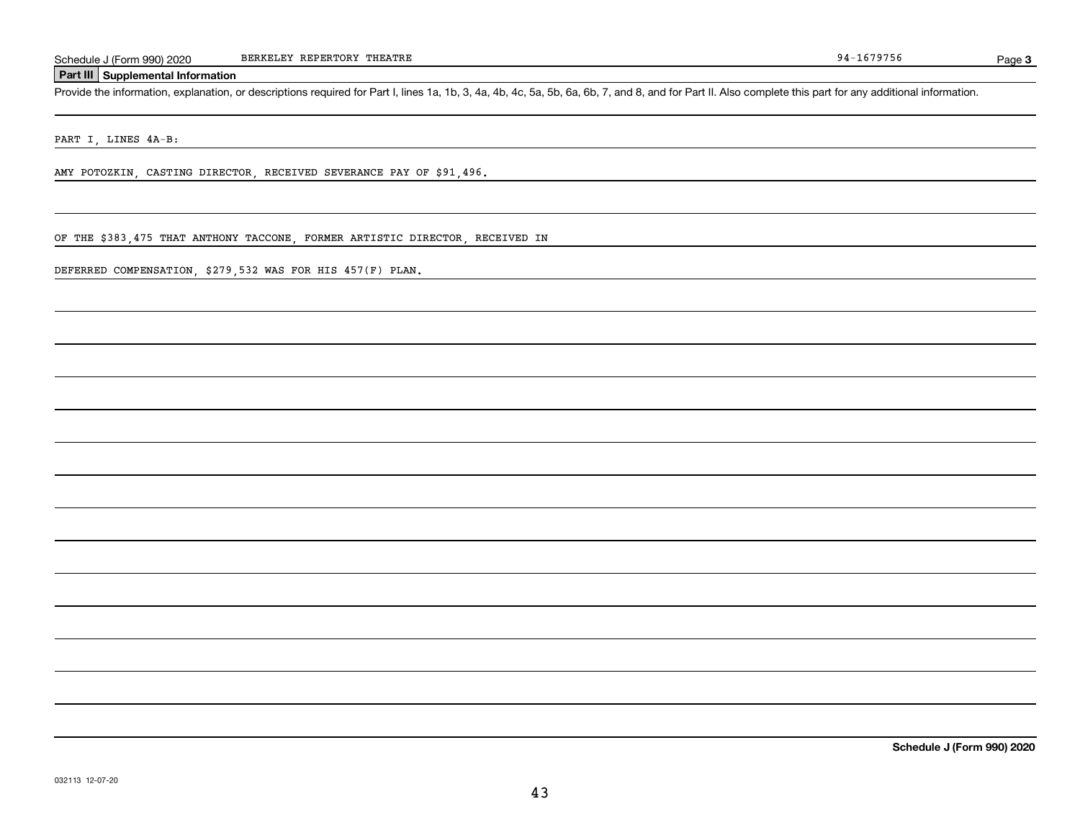Page 3

#### **Part III Supplemental Information**

Schedule J (Form 990) 2020 BERKELEY REPERTORY THEATRE<br>Part III Supplemental Information<br>Provide the information, explanation, or descriptions required for Part I, lines 1a, 1b, 3, 4a, 4b, 4c, 5a, 5b, 6a, 6b, 7, and 8, and

PART I, LINES 4A-B:

AMY POTOZKIN, CASTING DIRECTOR, RECEIVED SEVERANCE PAY OF \$91,496.

OF THE \$383,475 THAT ANTHONY TACCONE, FORMER ARTISTIC DIRECTOR, RECEIVED IN

DEFERRED COMPENSATION, \$279,532 WAS FOR HIS 457(F) PLAN.

**Schedule J (Form 990) 2020**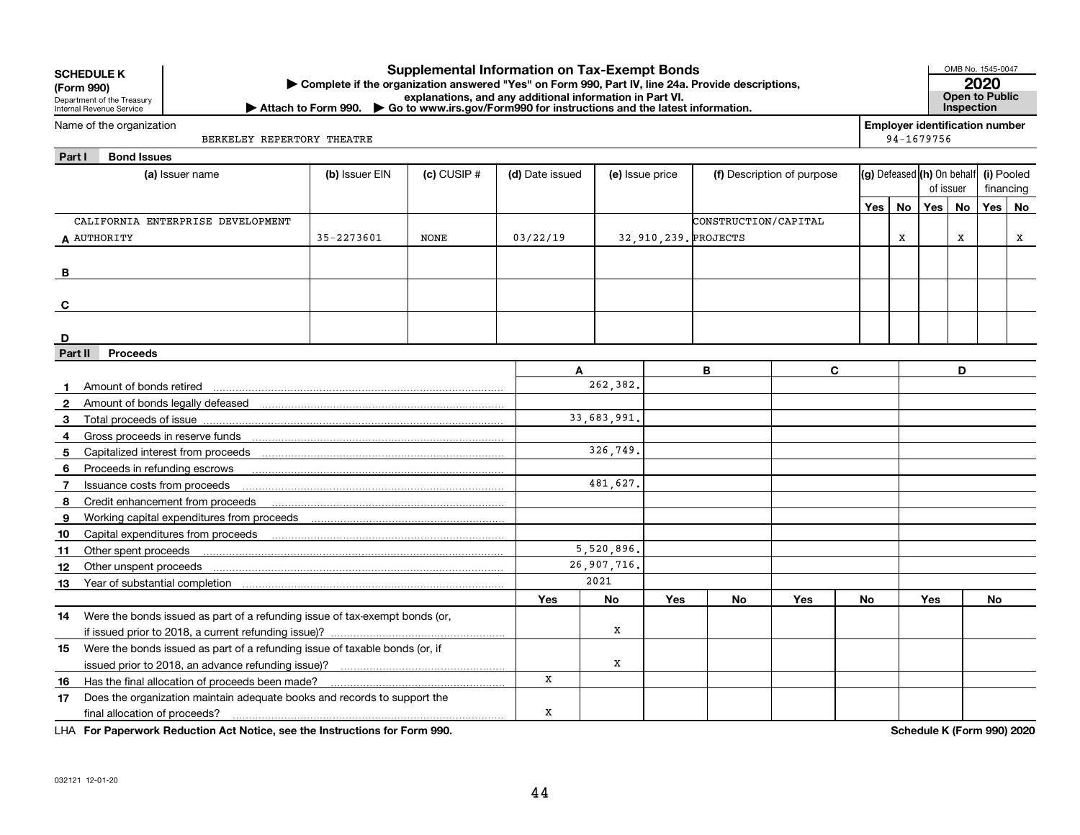| JUNLDULL N<br>(Form 990) | Department of the Treasury<br>Internal Revenue Service |                                                                                                                                                                                                                                | Complete if the organization answered "Yes" on Form 990, Part IV, line 24a. Provide descriptions,<br>Attach to Form 990. Go to www.irs.gov/Form990 for instructions and the latest information. |                 | explanations, and any additional information in Part VI. |                 |     |                      |                            |            |    |                                                     | Inspection | 2020<br><b>Open to Public</b> |   |
|--------------------------|--------------------------------------------------------|--------------------------------------------------------------------------------------------------------------------------------------------------------------------------------------------------------------------------------|-------------------------------------------------------------------------------------------------------------------------------------------------------------------------------------------------|-----------------|----------------------------------------------------------|-----------------|-----|----------------------|----------------------------|------------|----|-----------------------------------------------------|------------|-------------------------------|---|
|                          | Name of the organization                               | BERKELEY REPERTORY THEATRE                                                                                                                                                                                                     |                                                                                                                                                                                                 |                 |                                                          |                 |     |                      |                            |            |    | <b>Employer identification number</b><br>94-1679756 |            |                               |   |
| Part I                   | <b>Bond Issues</b>                                     |                                                                                                                                                                                                                                |                                                                                                                                                                                                 |                 |                                                          |                 |     |                      |                            |            |    |                                                     |            |                               |   |
|                          |                                                        | (a) Issuer name                                                                                                                                                                                                                | (b) Issuer EIN                                                                                                                                                                                  | $(c)$ CUSIP $#$ | (d) Date issued                                          | (e) Issue price |     |                      | (f) Description of purpose |            |    | $(g)$ Defeased $(h)$ On behalf<br>of issuer         |            | (i) Pooled<br>financing       |   |
|                          |                                                        |                                                                                                                                                                                                                                |                                                                                                                                                                                                 |                 |                                                          |                 |     |                      |                            | <b>Yes</b> | No | <b>Yes</b>                                          | No         | Yes No                        |   |
|                          |                                                        | CALIFORNIA ENTERPRISE DEVELOPMENT                                                                                                                                                                                              |                                                                                                                                                                                                 |                 |                                                          |                 |     | CONSTRUCTION/CAPITAL |                            |            |    |                                                     |            |                               |   |
|                          | A AUTHORITY                                            |                                                                                                                                                                                                                                | 35-2273601                                                                                                                                                                                      | <b>NONE</b>     | 03/22/19                                                 |                 |     | 32.910.239. PROJECTS |                            |            | X  |                                                     | x          |                               | x |
|                          |                                                        |                                                                                                                                                                                                                                |                                                                                                                                                                                                 |                 |                                                          |                 |     |                      |                            |            |    |                                                     |            |                               |   |
| В                        |                                                        |                                                                                                                                                                                                                                |                                                                                                                                                                                                 |                 |                                                          |                 |     |                      |                            |            |    |                                                     |            |                               |   |
|                          |                                                        |                                                                                                                                                                                                                                |                                                                                                                                                                                                 |                 |                                                          |                 |     |                      |                            |            |    |                                                     |            |                               |   |
| C                        |                                                        |                                                                                                                                                                                                                                |                                                                                                                                                                                                 |                 |                                                          |                 |     |                      |                            |            |    |                                                     |            |                               |   |
| D                        |                                                        |                                                                                                                                                                                                                                |                                                                                                                                                                                                 |                 |                                                          |                 |     |                      |                            |            |    |                                                     |            |                               |   |
| Part II                  | <b>Proceeds</b>                                        |                                                                                                                                                                                                                                |                                                                                                                                                                                                 |                 |                                                          |                 |     |                      |                            |            |    |                                                     |            |                               |   |
|                          |                                                        |                                                                                                                                                                                                                                |                                                                                                                                                                                                 |                 | A                                                        |                 |     | B                    | C                          |            |    |                                                     | D          |                               |   |
|                          | Amount of bonds retired                                |                                                                                                                                                                                                                                |                                                                                                                                                                                                 |                 |                                                          | 262,382.        |     |                      |                            |            |    |                                                     |            |                               |   |
| 2                        |                                                        |                                                                                                                                                                                                                                |                                                                                                                                                                                                 |                 |                                                          |                 |     |                      |                            |            |    |                                                     |            |                               |   |
| 3                        | Total proceeds of issue                                |                                                                                                                                                                                                                                |                                                                                                                                                                                                 |                 |                                                          | 33,683,991.     |     |                      |                            |            |    |                                                     |            |                               |   |
| 4                        |                                                        | Gross proceeds in reserve funds                                                                                                                                                                                                |                                                                                                                                                                                                 |                 |                                                          |                 |     |                      |                            |            |    |                                                     |            |                               |   |
| 5                        |                                                        |                                                                                                                                                                                                                                |                                                                                                                                                                                                 |                 |                                                          | 326.749.        |     |                      |                            |            |    |                                                     |            |                               |   |
| 6                        | Proceeds in refunding escrows                          |                                                                                                                                                                                                                                |                                                                                                                                                                                                 |                 |                                                          |                 |     |                      |                            |            |    |                                                     |            |                               |   |
| 7                        | Issuance costs from proceeds                           |                                                                                                                                                                                                                                |                                                                                                                                                                                                 |                 |                                                          | 481,627.        |     |                      |                            |            |    |                                                     |            |                               |   |
| 8                        |                                                        |                                                                                                                                                                                                                                |                                                                                                                                                                                                 |                 |                                                          |                 |     |                      |                            |            |    |                                                     |            |                               |   |
| 9                        |                                                        |                                                                                                                                                                                                                                |                                                                                                                                                                                                 |                 |                                                          |                 |     |                      |                            |            |    |                                                     |            |                               |   |
| 10                       |                                                        |                                                                                                                                                                                                                                |                                                                                                                                                                                                 |                 |                                                          |                 |     |                      |                            |            |    |                                                     |            |                               |   |
| 11                       | Other spent proceeds                                   |                                                                                                                                                                                                                                |                                                                                                                                                                                                 |                 |                                                          | 5,520,896.      |     |                      |                            |            |    |                                                     |            |                               |   |
| 12                       | Other unspent proceeds                                 |                                                                                                                                                                                                                                |                                                                                                                                                                                                 |                 |                                                          | 26,907,716.     |     |                      |                            |            |    |                                                     |            |                               |   |
| 13                       |                                                        | Year of substantial completion [11] [12] March 2014 of Substantial Completion [11] [12] March 2014 of Substantial Completion [12] March 2014 of Substantial Completion [12] March 2014 of Substantial Completion [12] March 20 |                                                                                                                                                                                                 |                 |                                                          | 2021            |     |                      |                            |            |    |                                                     |            |                               |   |
|                          |                                                        |                                                                                                                                                                                                                                |                                                                                                                                                                                                 |                 | Yes                                                      | No              | Yes | No                   | Yes                        | No         |    | Yes                                                 |            | No                            |   |
| 14                       |                                                        | Were the bonds issued as part of a refunding issue of tax-exempt bonds (or,                                                                                                                                                    |                                                                                                                                                                                                 |                 |                                                          |                 |     |                      |                            |            |    |                                                     |            |                               |   |
|                          |                                                        |                                                                                                                                                                                                                                |                                                                                                                                                                                                 |                 |                                                          | x               |     |                      |                            |            |    |                                                     |            |                               |   |
| 15                       |                                                        | Were the bonds issued as part of a refunding issue of taxable bonds (or, if                                                                                                                                                    |                                                                                                                                                                                                 |                 |                                                          |                 |     |                      |                            |            |    |                                                     |            |                               |   |
|                          |                                                        |                                                                                                                                                                                                                                |                                                                                                                                                                                                 |                 |                                                          | х               |     |                      |                            |            |    |                                                     |            |                               |   |
| 16                       |                                                        | Has the final allocation of proceeds been made?                                                                                                                                                                                |                                                                                                                                                                                                 |                 | x                                                        |                 |     |                      |                            |            |    |                                                     |            |                               |   |
| 17                       |                                                        | Does the organization maintain adequate books and records to support the                                                                                                                                                       |                                                                                                                                                                                                 |                 |                                                          |                 |     |                      |                            |            |    |                                                     |            |                               |   |
|                          | final allocation of proceeds?                          |                                                                                                                                                                                                                                |                                                                                                                                                                                                 |                 | x                                                        |                 |     |                      |                            |            |    |                                                     |            |                               |   |

**Supplemental Information on Tax-Exempt Bonds**

**For Paperwork Reduction Act Notice, see the Instructions for Form 990. Schedule K (Form 990) 2020** LHA

OMB No. 1545-0047

**SCHEDULE K**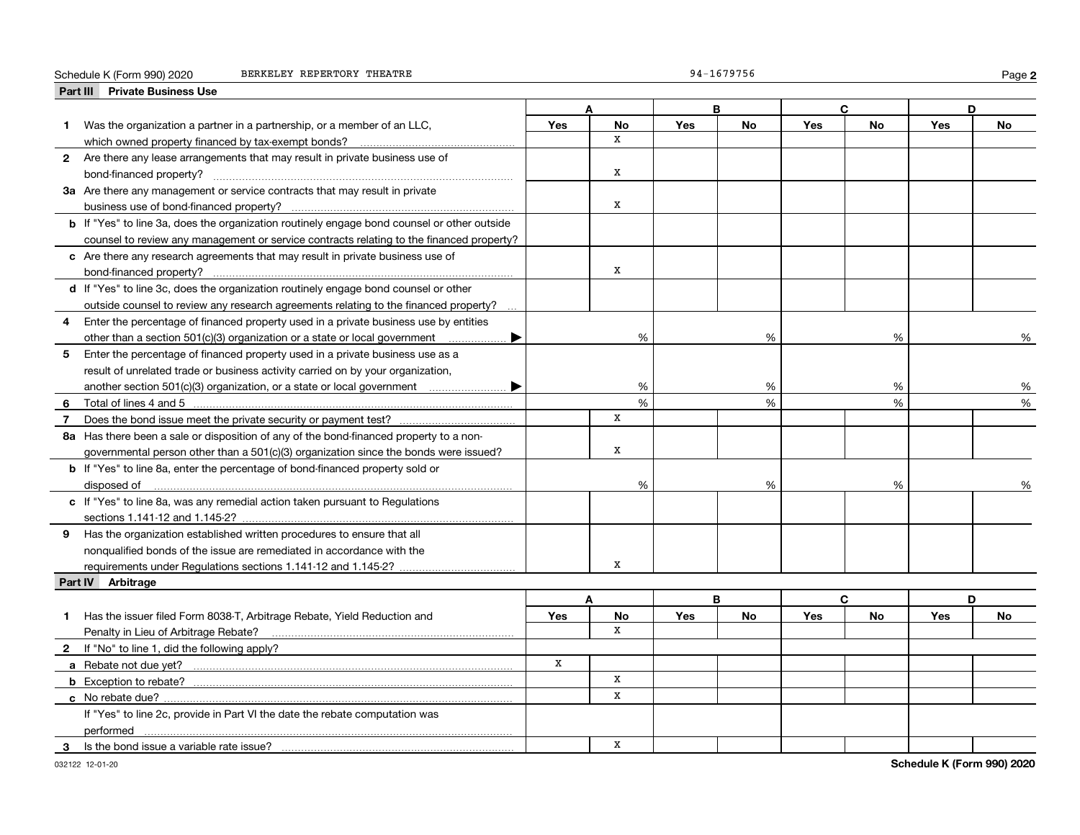#### Schedule K (Form 990) 2020 BERKELEY REPERTORY THEATRE

|  | 94-1679756 |  |  |  |  |
|--|------------|--|--|--|--|
|  |            |  |  |  |  |

**2**

|                | Part III Private Business Use                                                                                                                                                                                                 |             |             |            |           |            |           |            |    |
|----------------|-------------------------------------------------------------------------------------------------------------------------------------------------------------------------------------------------------------------------------|-------------|-------------|------------|-----------|------------|-----------|------------|----|
|                |                                                                                                                                                                                                                               |             |             | B          |           |            | C         |            | D  |
| 1.             | Was the organization a partner in a partnership, or a member of an LLC,                                                                                                                                                       | <b>Yes</b>  | <b>No</b>   | Yes        | <b>No</b> | <b>Yes</b> | <b>No</b> | Yes        | No |
|                | which owned property financed by tax-exempt bonds?                                                                                                                                                                            |             | X           |            |           |            |           |            |    |
|                | 2 Are there any lease arrangements that may result in private business use of                                                                                                                                                 |             |             |            |           |            |           |            |    |
|                | bond-financed property?                                                                                                                                                                                                       |             | $\mathbf x$ |            |           |            |           |            |    |
|                | 3a Are there any management or service contracts that may result in private                                                                                                                                                   |             |             |            |           |            |           |            |    |
|                |                                                                                                                                                                                                                               |             | x           |            |           |            |           |            |    |
|                | <b>b</b> If "Yes" to line 3a, does the organization routinely engage bond counsel or other outside                                                                                                                            |             |             |            |           |            |           |            |    |
|                | counsel to review any management or service contracts relating to the financed property?                                                                                                                                      |             |             |            |           |            |           |            |    |
|                | c Are there any research agreements that may result in private business use of                                                                                                                                                |             |             |            |           |            |           |            |    |
|                |                                                                                                                                                                                                                               |             | X           |            |           |            |           |            |    |
|                | d If "Yes" to line 3c, does the organization routinely engage bond counsel or other                                                                                                                                           |             |             |            |           |            |           |            |    |
|                | outside counsel to review any research agreements relating to the financed property?                                                                                                                                          |             |             |            |           |            |           |            |    |
| 4              | Enter the percentage of financed property used in a private business use by entities                                                                                                                                          |             |             |            |           |            |           |            |    |
|                | other than a section 501(c)(3) organization or a state or local government<br>▶                                                                                                                                               |             | %           |            | %         |            | %         |            | %  |
|                | 5 Enter the percentage of financed property used in a private business use as a                                                                                                                                               |             |             |            |           |            |           |            |    |
|                | result of unrelated trade or business activity carried on by your organization,                                                                                                                                               |             |             |            |           |            |           |            |    |
|                | another section 501(c)(3) organization, or a state or local government manu-manu-<br>▶                                                                                                                                        |             | %           |            | %         |            | %         |            | %  |
| 6              | Total of lines 4 and 5 [11, 2010] Total of lines 4 and 5 [11, 2010] Total of lines 4 and 5 [11, 2010] Total and Total and Total and Total and Total and Total and Total and Total and Total and Total and Total and Total and |             | %           |            | %<br>%    |            |           |            | %  |
| $\overline{7}$ |                                                                                                                                                                                                                               |             | X           |            |           |            |           |            |    |
|                | 8a Has there been a sale or disposition of any of the bond-financed property to a non-                                                                                                                                        |             |             |            |           |            |           |            |    |
|                | governmental person other than a 501(c)(3) organization since the bonds were issued?                                                                                                                                          |             | X           |            |           |            |           |            |    |
|                | <b>b</b> If "Yes" to line 8a, enter the percentage of bond-financed property sold or                                                                                                                                          |             |             |            |           |            |           |            |    |
|                | disposed of                                                                                                                                                                                                                   |             | %           |            | %         |            | %         |            |    |
|                | c If "Yes" to line 8a, was any remedial action taken pursuant to Regulations                                                                                                                                                  |             |             |            |           |            |           |            |    |
|                |                                                                                                                                                                                                                               |             |             |            |           |            |           |            |    |
|                | 9 Has the organization established written procedures to ensure that all                                                                                                                                                      |             |             |            |           |            |           |            |    |
|                | nonqualified bonds of the issue are remediated in accordance with the                                                                                                                                                         |             |             |            |           |            |           |            |    |
|                |                                                                                                                                                                                                                               |             | x           |            |           |            |           |            |    |
|                | Part IV Arbitrage                                                                                                                                                                                                             |             |             |            |           |            |           |            |    |
|                |                                                                                                                                                                                                                               |             | A           | B          |           |            | C         |            | D  |
| 1.             | Has the issuer filed Form 8038-T, Arbitrage Rebate, Yield Reduction and                                                                                                                                                       | <b>Yes</b>  | No          | <b>Yes</b> | <b>No</b> | <b>Yes</b> | No        | <b>Yes</b> | No |
|                | Penalty in Lieu of Arbitrage Rebate?                                                                                                                                                                                          |             | X           |            |           |            |           |            |    |
|                | 2 If "No" to line 1, did the following apply?                                                                                                                                                                                 |             |             |            |           |            |           |            |    |
|                |                                                                                                                                                                                                                               | $\mathbf x$ |             |            |           |            |           |            |    |
|                |                                                                                                                                                                                                                               |             | $\mathbf X$ |            |           |            |           |            |    |
|                | c No rebate due?                                                                                                                                                                                                              |             | x           |            |           |            |           |            |    |
|                | If "Yes" to line 2c, provide in Part VI the date the rebate computation was                                                                                                                                                   |             |             |            |           |            |           |            |    |
|                | performed                                                                                                                                                                                                                     |             |             |            |           |            |           |            |    |
| 3              | Is the bond issue a variable rate issue?                                                                                                                                                                                      |             | x           |            |           |            |           |            |    |
|                |                                                                                                                                                                                                                               |             |             |            |           |            |           |            |    |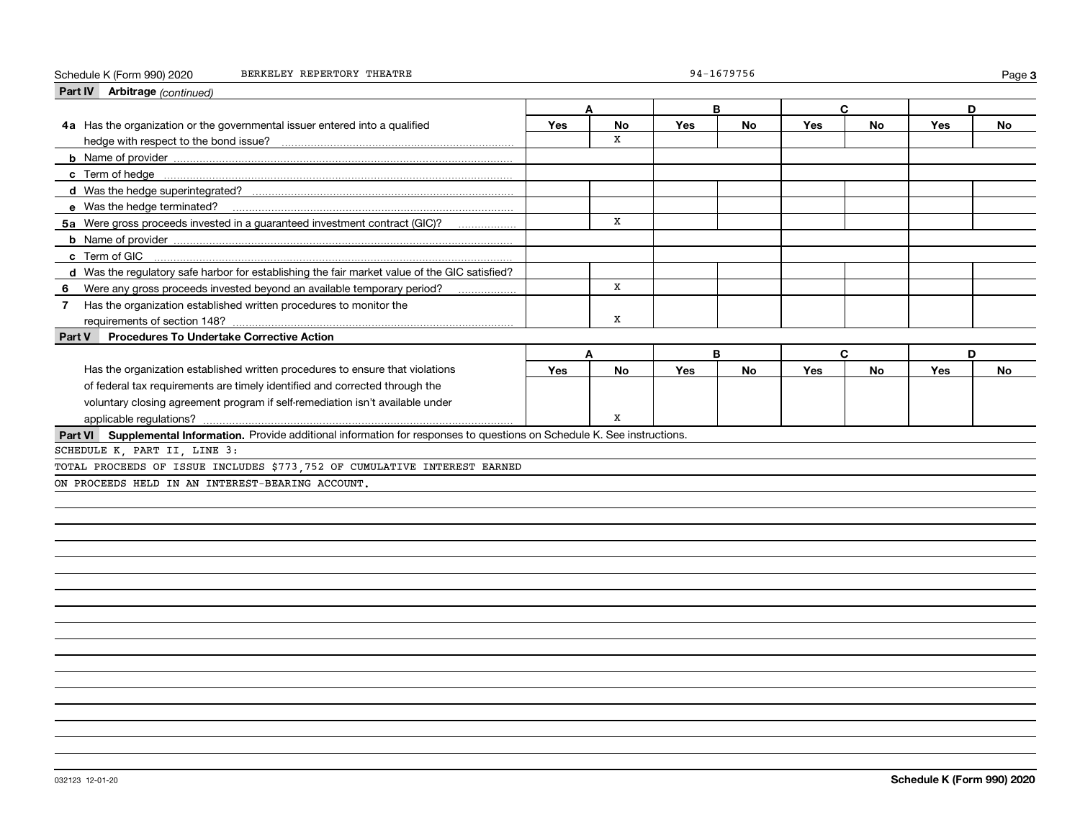#### Schedule K (Form 990) 2020 BERKELEY REPERTORY THEATRE 94-1679756 Page

| Part IV Arbitrage (continued)                                                                                                |     |           |            |           |            |           |     |           |
|------------------------------------------------------------------------------------------------------------------------------|-----|-----------|------------|-----------|------------|-----------|-----|-----------|
|                                                                                                                              |     | Δ         | B          |           |            | C         | D.  |           |
| 4a Has the organization or the governmental issuer entered into a qualified                                                  | Yes | <b>No</b> | Yes        | No        | <b>Yes</b> | <b>No</b> | Yes | No        |
|                                                                                                                              |     | X         |            |           |            |           |     |           |
|                                                                                                                              |     |           |            |           |            |           |     |           |
|                                                                                                                              |     |           |            |           |            |           |     |           |
|                                                                                                                              |     |           |            |           |            |           |     |           |
|                                                                                                                              |     |           |            |           |            |           |     |           |
| 5a Were gross proceeds invested in a quaranteed investment contract (GIC)?                                                   |     | X         |            |           |            |           |     |           |
|                                                                                                                              |     |           |            |           |            |           |     |           |
|                                                                                                                              |     |           |            |           |            |           |     |           |
| d Was the regulatory safe harbor for establishing the fair market value of the GIC satisfied?                                |     |           |            |           |            |           |     |           |
| 6 Were any gross proceeds invested beyond an available temporary period?                                                     |     | x         |            |           |            |           |     |           |
| Has the organization established written procedures to monitor the<br>7 <sup>7</sup>                                         |     |           |            |           |            |           |     |           |
| requirements of section 148?                                                                                                 |     | x         |            |           |            |           |     |           |
| <b>Procedures To Undertake Corrective Action</b><br>Part V                                                                   |     |           |            |           |            |           |     |           |
|                                                                                                                              |     | A         |            | B         |            | C.        | D   |           |
| Has the organization established written procedures to ensure that violations                                                | Yes | <b>No</b> | <b>Yes</b> | <b>No</b> | Yes        | <b>No</b> | Yes | <b>No</b> |
| of federal tax requirements are timely identified and corrected through the                                                  |     |           |            |           |            |           |     |           |
| voluntary closing agreement program if self-remediation isn't available under                                                |     |           |            |           |            |           |     |           |
|                                                                                                                              |     | x         |            |           |            |           |     |           |
| Part VI Supplemental Information. Provide additional information for responses to questions on Schedule K. See instructions. |     |           |            |           |            |           |     |           |
| SCHEDULE K, PART II, LINE 3:                                                                                                 |     |           |            |           |            |           |     |           |
| TOTAL PROCEEDS OF ISSUE INCLUDES \$773,752 OF CUMULATIVE INTEREST EARNED                                                     |     |           |            |           |            |           |     |           |
| ON PROCEEDS HELD IN AN INTEREST-BEARING ACCOUNT.                                                                             |     |           |            |           |            |           |     |           |
|                                                                                                                              |     |           |            |           |            |           |     |           |
|                                                                                                                              |     |           |            |           |            |           |     |           |
|                                                                                                                              |     |           |            |           |            |           |     |           |
|                                                                                                                              |     |           |            |           |            |           |     |           |
|                                                                                                                              |     |           |            |           |            |           |     |           |
|                                                                                                                              |     |           |            |           |            |           |     |           |
|                                                                                                                              |     |           |            |           |            |           |     |           |
|                                                                                                                              |     |           |            |           |            |           |     |           |
|                                                                                                                              |     |           |            |           |            |           |     |           |
|                                                                                                                              |     |           |            |           |            |           |     |           |
|                                                                                                                              |     |           |            |           |            |           |     |           |
|                                                                                                                              |     |           |            |           |            |           |     |           |

**3**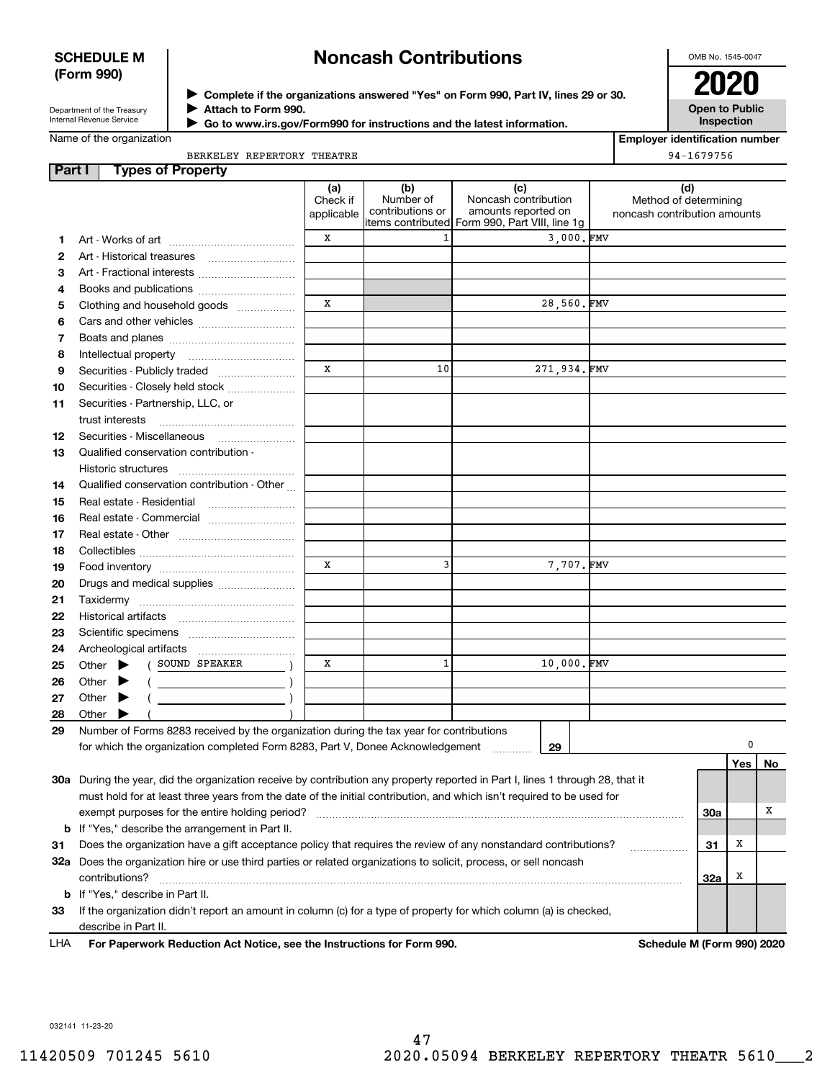## **SCHEDULE M (Form 990)**

# **Noncash Contributions**

OMB No. 1545-0047

Department of the Treasury Internal Revenue Service

**Complete if the organizations answered "Yes" on Form 990, Part IV, lines 29 or 30.** <sup>J</sup>**2020 Attach to Form 990.** J

**Open to Public Inspection**

| Internal Revenue Service | Go to www.irs.gov/Form990 for instructions and the latest information. |
|--------------------------|------------------------------------------------------------------------|
| Name of the organization |                                                                        |

 $\blacksquare$ 

**Employer identification number** 94-1679756

| BERKELEY REPERTORY THEATRE |  |
|----------------------------|--|
|                            |  |
|                            |  |

| Part I | <b>Types of Property</b>                                                                                                       |            |                               |                                                |                              |     |     |    |
|--------|--------------------------------------------------------------------------------------------------------------------------------|------------|-------------------------------|------------------------------------------------|------------------------------|-----|-----|----|
|        |                                                                                                                                | (a)        | (b)                           | (c)                                            | (d)                          |     |     |    |
|        |                                                                                                                                | Check if   | Number of<br>contributions or | Noncash contribution<br>amounts reported on    | Method of determining        |     |     |    |
|        |                                                                                                                                | applicable |                               | items contributed Form 990, Part VIII, line 1g | noncash contribution amounts |     |     |    |
| 1      |                                                                                                                                | x          | 1                             | 3.000.FMV                                      |                              |     |     |    |
| 2      | Art - Historical treasures                                                                                                     |            |                               |                                                |                              |     |     |    |
| з      | Art - Fractional interests                                                                                                     |            |                               |                                                |                              |     |     |    |
| 4      | Books and publications                                                                                                         |            |                               |                                                |                              |     |     |    |
| 5      | Clothing and household goods                                                                                                   | X          |                               | 28,560.FMV                                     |                              |     |     |    |
| 6      |                                                                                                                                |            |                               |                                                |                              |     |     |    |
| 7      |                                                                                                                                |            |                               |                                                |                              |     |     |    |
|        |                                                                                                                                |            |                               |                                                |                              |     |     |    |
| 8      | Intellectual property                                                                                                          | X          | 10                            | 271,934.FMV                                    |                              |     |     |    |
| 9      | Securities - Publicly traded                                                                                                   |            |                               |                                                |                              |     |     |    |
| 10     | Securities - Closely held stock                                                                                                |            |                               |                                                |                              |     |     |    |
| 11     | Securities - Partnership, LLC, or                                                                                              |            |                               |                                                |                              |     |     |    |
|        | trust interests                                                                                                                |            |                               |                                                |                              |     |     |    |
| 12     | Securities - Miscellaneous                                                                                                     |            |                               |                                                |                              |     |     |    |
| 13     | Qualified conservation contribution -                                                                                          |            |                               |                                                |                              |     |     |    |
|        | Historic structures                                                                                                            |            |                               |                                                |                              |     |     |    |
| 14     | Qualified conservation contribution - Other                                                                                    |            |                               |                                                |                              |     |     |    |
| 15     | Real estate - Residential                                                                                                      |            |                               |                                                |                              |     |     |    |
| 16     | Real estate - Commercial                                                                                                       |            |                               |                                                |                              |     |     |    |
| 17     |                                                                                                                                |            |                               |                                                |                              |     |     |    |
| 18     |                                                                                                                                |            |                               |                                                |                              |     |     |    |
| 19     |                                                                                                                                | X          | 3                             | 7,707.FMV                                      |                              |     |     |    |
| 20     | Drugs and medical supplies                                                                                                     |            |                               |                                                |                              |     |     |    |
| 21     | Taxidermy                                                                                                                      |            |                               |                                                |                              |     |     |    |
| 22     |                                                                                                                                |            |                               |                                                |                              |     |     |    |
| 23     |                                                                                                                                |            |                               |                                                |                              |     |     |    |
| 24     | Archeological artifacts                                                                                                        |            |                               |                                                |                              |     |     |    |
| 25     | ( SOUND SPEAKER<br>Other $\blacktriangleright$                                                                                 | X          | 1                             | 10,000.FMV                                     |                              |     |     |    |
| 26     | Other<br>$\begin{array}{c c} \hline \hline \end{array}$                                                                        |            |                               |                                                |                              |     |     |    |
| 27     | Other                                                                                                                          |            |                               |                                                |                              |     |     |    |
| 28     | Other                                                                                                                          |            |                               |                                                |                              |     |     |    |
| 29     | Number of Forms 8283 received by the organization during the tax year for contributions                                        |            |                               |                                                |                              |     |     |    |
|        | for which the organization completed Form 8283, Part V, Donee Acknowledgement                                                  |            |                               | 29                                             |                              |     | 0   |    |
|        |                                                                                                                                |            |                               |                                                |                              |     |     |    |
|        |                                                                                                                                |            |                               |                                                |                              |     | Yes | No |
|        | 30a During the year, did the organization receive by contribution any property reported in Part I, lines 1 through 28, that it |            |                               |                                                |                              |     |     |    |
|        | must hold for at least three years from the date of the initial contribution, and which isn't required to be used for          |            |                               |                                                |                              |     |     | х  |
|        | exempt purposes for the entire holding period?                                                                                 |            |                               |                                                |                              | 30a |     |    |
|        | <b>b</b> If "Yes," describe the arrangement in Part II.                                                                        |            |                               |                                                |                              |     |     |    |
| 31     | Does the organization have a gift acceptance policy that requires the review of any nonstandard contributions?                 |            |                               |                                                | 31                           | X   |     |    |
|        | 32a Does the organization hire or use third parties or related organizations to solicit, process, or sell noncash              |            |                               |                                                |                              |     |     |    |
|        | contributions?                                                                                                                 |            |                               |                                                |                              | 32a | x   |    |
|        | <b>b</b> If "Yes," describe in Part II.                                                                                        |            |                               |                                                |                              |     |     |    |
| 33     | If the organization didn't report an amount in column (c) for a type of property for which column (a) is checked,              |            |                               |                                                |                              |     |     |    |
|        | describe in Part II.                                                                                                           |            |                               |                                                |                              |     |     |    |
| I HA   | For Paperwork Reduction Act Notice, see the Instructions for Form 990.                                                         |            |                               |                                                | Schedule M (Form 990) 2020   |     |     |    |

**For Paperwork Reduction Act Notice, see the Instructions for Form 990. Schedule M (Form 990) 2020**

032141 11-23-20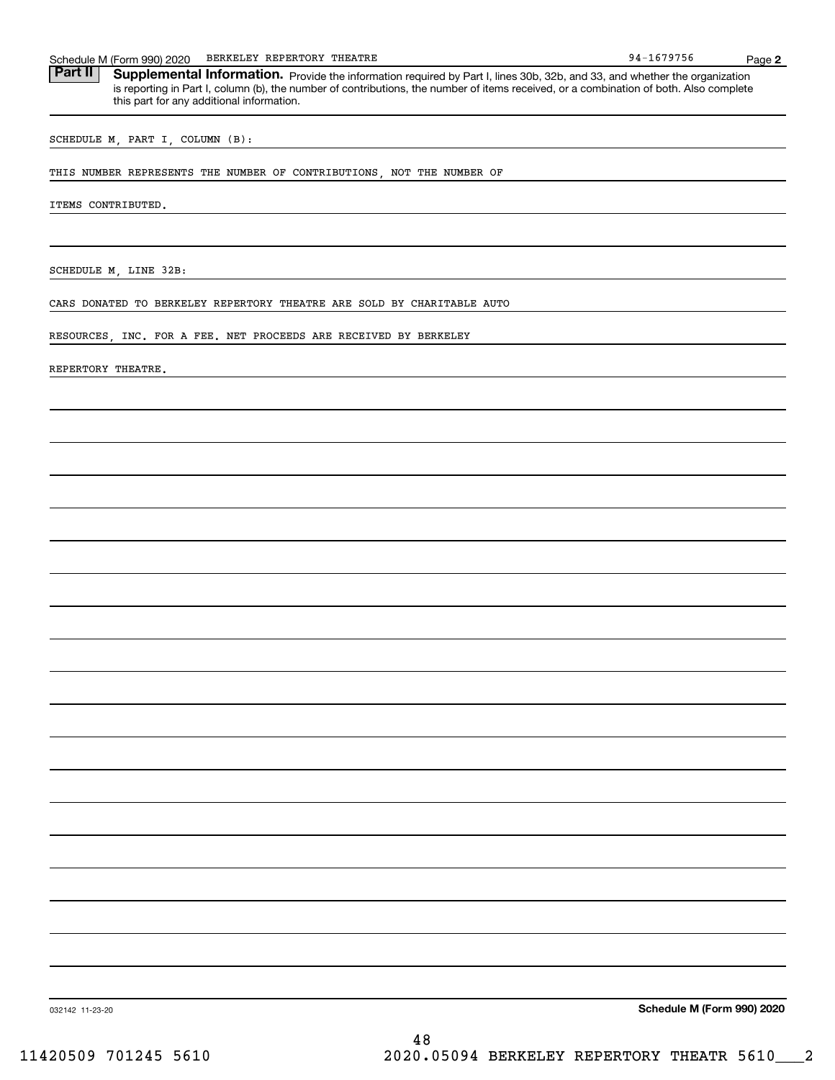| Schedule | M (Form 990) 2020 | REPERTORY<br>BERKELEY | THEATRE | $\epsilon$ - $\epsilon$ - $\epsilon$<br>ч л.<br>756<br>ິດ. | Page |  |
|----------|-------------------|-----------------------|---------|------------------------------------------------------------|------|--|
|----------|-------------------|-----------------------|---------|------------------------------------------------------------|------|--|

Part II | Supplemental Information. Provide the information required by Part I, lines 30b, 32b, and 33, and whether the organization is reporting in Part I, column (b), the number of contributions, the number of items received, or a combination of both. Also complete this part for any additional information.

SCHEDULE M, PART I, COLUMN (B):

THIS NUMBER REPRESENTS THE NUMBER OF CONTRIBUTIONS, NOT THE NUMBER OF

ITEMS CONTRIBUTED.

SCHEDULE M, LINE 32B:

CARS DONATED TO BERKELEY REPERTORY THEATRE ARE SOLD BY CHARITABLE AUTO

RESOURCES, INC. FOR A FEE. NET PROCEEDS ARE RECEIVED BY BERKELEY

REPERTORY THEATRE.

**Schedule M (Form 990) 2020**

032142 11-23-20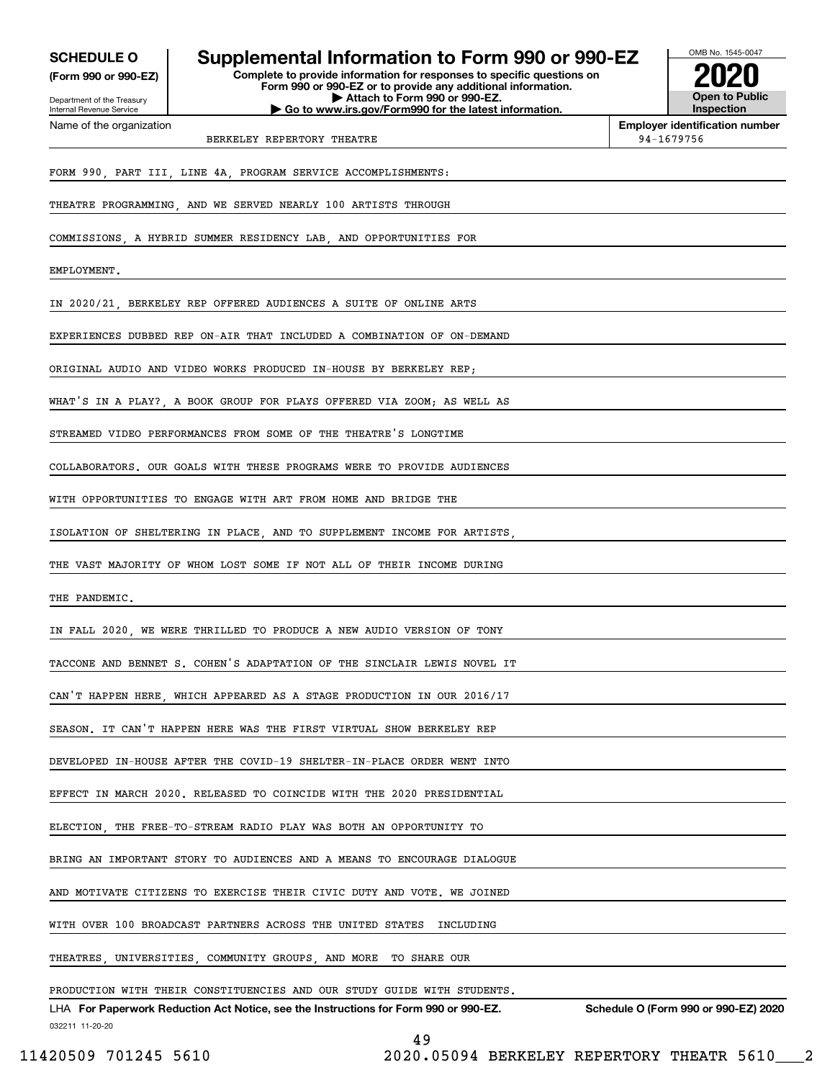**(Form 990 or 990-EZ)**

Department of the Treasury Internal Revenue Service Name of the organization

## **SCHEDULE O Supplemental Information to Form 990 or 990-EZ**

**Complete to provide information for responses to specific questions on Form 990 or 990-EZ or to provide any additional information. | Attach to Form 990 or 990-EZ. | Go to www.irs.gov/Form990 for the latest information.**



**Employer identification number**

# BERKELEY REPERTORY THEATRE **1998** CHARGE 1994-1679756

FORM 990, PART III, LINE 4A, PROGRAM SERVICE ACCOMPLISHMENTS:

THEATRE PROGRAMMING, AND WE SERVED NEARLY 100 ARTISTS THROUGH

COMMISSIONS, A HYBRID SUMMER RESIDENCY LAB, AND OPPORTUNITIES FOR

EMPLOYMENT.

IN 2020/21, BERKELEY REP OFFERED AUDIENCES A SUITE OF ONLINE ARTS

EXPERIENCES DUBBED REP ON-AIR THAT INCLUDED A COMBINATION OF ON-DEMAND

ORIGINAL AUDIO AND VIDEO WORKS PRODUCED IN-HOUSE BY BERKELEY REP;

WHAT'S IN A PLAY? A BOOK GROUP FOR PLAYS OFFERED VIA ZOOM: AS WELL AS

STREAMED VIDEO PERFORMANCES FROM SOME OF THE THEATRE'S LONGTIME

COLLABORATORS. OUR GOALS WITH THESE PROGRAMS WERE TO PROVIDE AUDIENCES

WITH OPPORTUNITIES TO ENGAGE WITH ART FROM HOME AND BRIDGE THE

ISOLATION OF SHELTERING IN PLACE, AND TO SUPPLEMENT INCOME FOR ARTISTS,

THE VAST MAJORITY OF WHOM LOST SOME IF NOT ALL OF THEIR INCOME DURING

THE PANDEMIC.

IN FALL 2020, WE WERE THRILLED TO PRODUCE A NEW AUDIO VERSION OF TONY

TACCONE AND BENNET S. COHEN'S ADAPTATION OF THE SINCLAIR LEWIS NOVEL IT

CAN'T HAPPEN HERE, WHICH APPEARED AS A STAGE PRODUCTION IN OUR 2016/17

SEASON. IT CAN'T HAPPEN HERE WAS THE FIRST VIRTUAL SHOW BERKELEY REP

DEVELOPED IN-HOUSE AFTER THE COVID-19 SHELTER-IN-PLACE ORDER WENT INTO

EFFECT IN MARCH 2020. RELEASED TO COINCIDE WITH THE 2020 PRESIDENTIAL

ELECTION, THE FREE-TO-STREAM RADIO PLAY WAS BOTH AN OPPORTUNITY TO

BRING AN IMPORTANT STORY TO AUDIENCES AND A MEANS TO ENCOURAGE DIALOGUE

AND MOTIVATE CITIZENS TO EXERCISE THEIR CIVIC DUTY AND VOTE. WE JOINED

WITH OVER 100 BROADCAST PARTNERS ACROSS THE UNITED STATES INCLUDING

THEATRES, UNIVERSITIES, COMMUNITY GROUPS, AND MORE TO SHARE OUR

PRODUCTION WITH THEIR CONSTITUENCIES AND OUR STUDY GUIDE WITH STUDENTS.

032211 11-20-20 LHA For Paperwork Reduction Act Notice, see the Instructions for Form 990 or 990-EZ. Schedule O (Form 990 or 990-EZ) 2020

49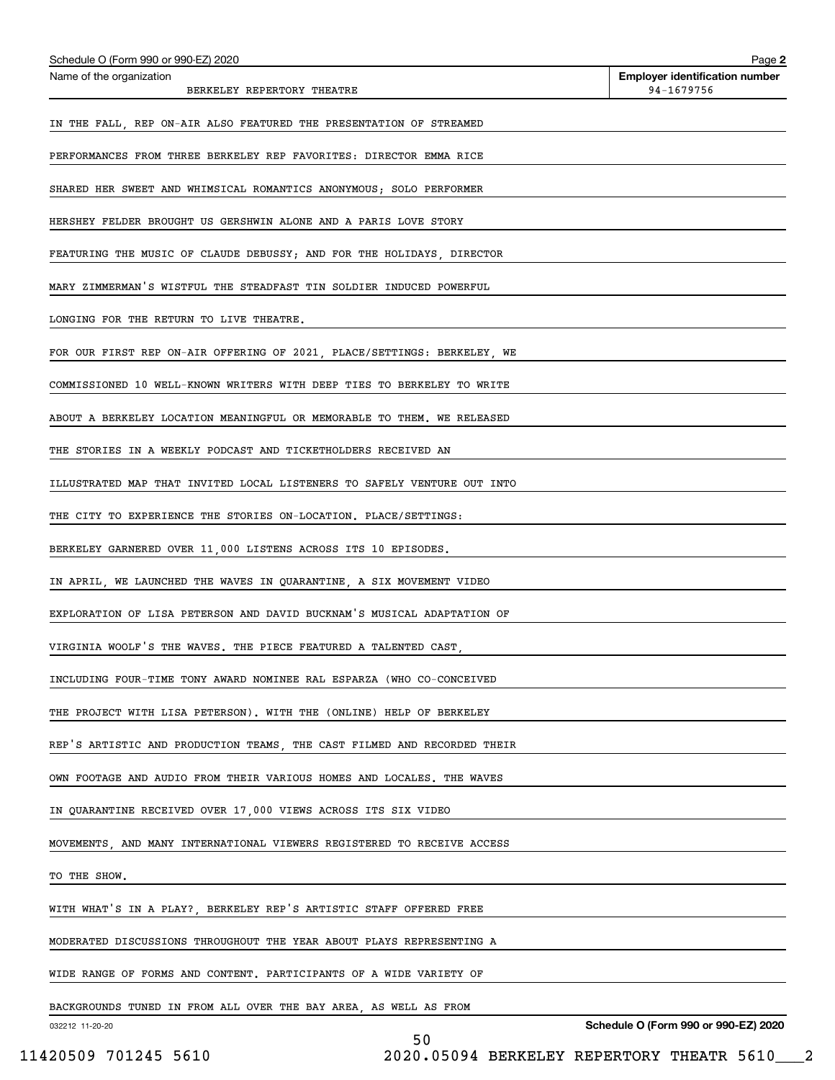| Schedule O (Form 990 or 990-EZ) 2020                                    | Page 2                                              |
|-------------------------------------------------------------------------|-----------------------------------------------------|
| Name of the organization<br>BERKELEY REPERTORY THEATRE                  | <b>Employer identification number</b><br>94-1679756 |
| IN THE FALL, REP ON-AIR ALSO FEATURED THE PRESENTATION OF STREAMED      |                                                     |
| PERFORMANCES FROM THREE BERKELEY REP FAVORITES: DIRECTOR EMMA RICE      |                                                     |
| SHARED HER SWEET AND WHIMSICAL ROMANTICS ANONYMOUS; SOLO PERFORMER      |                                                     |
| HERSHEY FELDER BROUGHT US GERSHWIN ALONE AND A PARIS LOVE STORY         |                                                     |
| FEATURING THE MUSIC OF CLAUDE DEBUSSY; AND FOR THE HOLIDAYS, DIRECTOR   |                                                     |
| MARY ZIMMERMAN'S WISTFUL THE STEADFAST TIN SOLDIER INDUCED POWERFUL     |                                                     |
| LONGING FOR THE RETURN TO LIVE THEATRE.                                 |                                                     |
| FOR OUR FIRST REP ON-AIR OFFERING OF 2021, PLACE/SETTINGS: BERKELEY, WE |                                                     |
| COMMISSIONED 10 WELL-KNOWN WRITERS WITH DEEP TIES TO BERKELEY TO WRITE  |                                                     |
| ABOUT A BERKELEY LOCATION MEANINGFUL OR MEMORABLE TO THEM. WE RELEASED  |                                                     |
| THE STORIES IN A WEEKLY PODCAST AND TICKETHOLDERS RECEIVED AN           |                                                     |
| ILLUSTRATED MAP THAT INVITED LOCAL LISTENERS TO SAFELY VENTURE OUT INTO |                                                     |
| THE CITY TO EXPERIENCE THE STORIES ON-LOCATION. PLACE/SETTINGS:         |                                                     |
| BERKELEY GARNERED OVER 11,000 LISTENS ACROSS ITS 10 EPISODES.           |                                                     |
| IN APRIL, WE LAUNCHED THE WAVES IN QUARANTINE, A SIX MOVEMENT VIDEO     |                                                     |
| EXPLORATION OF LISA PETERSON AND DAVID BUCKNAM'S MUSICAL ADAPTATION OF  |                                                     |
| VIRGINIA WOOLF'S THE WAVES. THE PIECE FEATURED A TALENTED CAST,         |                                                     |
| INCLUDING FOUR-TIME TONY AWARD NOMINEE RAL ESPARZA (WHO CO-CONCEIVED    |                                                     |
| THE PROJECT WITH LISA PETERSON). WITH THE (ONLINE) HELP OF BERKELEY     |                                                     |
| REP'S ARTISTIC AND PRODUCTION TEAMS, THE CAST FILMED AND RECORDED THEIR |                                                     |
| OWN FOOTAGE AND AUDIO FROM THEIR VARIOUS HOMES AND LOCALES. THE WAVES   |                                                     |
| IN QUARANTINE RECEIVED OVER 17,000 VIEWS ACROSS ITS SIX VIDEO           |                                                     |
| MOVEMENTS, AND MANY INTERNATIONAL VIEWERS REGISTERED TO RECEIVE ACCESS  |                                                     |
| TO THE SHOW.                                                            |                                                     |
| WITH WHAT'S IN A PLAY?, BERKELEY REP'S ARTISTIC STAFF OFFERED FREE      |                                                     |
| MODERATED DISCUSSIONS THROUGHOUT THE YEAR ABOUT PLAYS REPRESENTING A    |                                                     |
| WIDE RANGE OF FORMS AND CONTENT. PARTICIPANTS OF A WIDE VARIETY OF      |                                                     |
| BACKGROUNDS TUNED IN FROM ALL OVER THE BAY AREA, AS WELL AS FROM        |                                                     |
| 032212 11-20-20<br>50                                                   | Schedule O (Form 990 or 990-EZ) 2020                |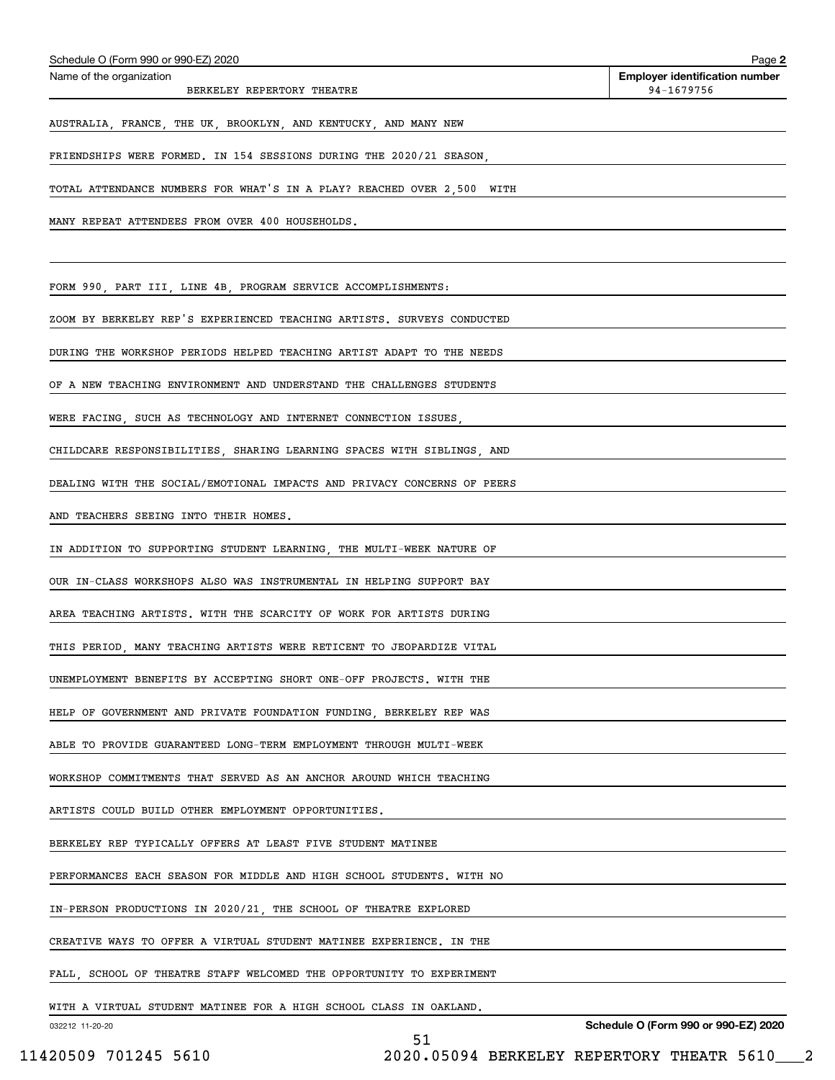|                 | FRIENDSHIPS WERE FORMED. IN 154 SESSIONS DURING THE 2020/21 SEASON.     |
|-----------------|-------------------------------------------------------------------------|
|                 | TOTAL ATTENDANCE NUMBERS FOR WHAT'S IN A PLAY? REACHED OVER 2,500 WITH  |
|                 | MANY REPEAT ATTENDEES FROM OVER 400 HOUSEHOLDS.                         |
|                 |                                                                         |
|                 | FORM 990, PART III, LINE 4B, PROGRAM SERVICE ACCOMPLISHMENTS:           |
|                 | ZOOM BY BERKELEY REP'S EXPERIENCED TEACHING ARTISTS. SURVEYS CONDUCTED  |
|                 | DURING THE WORKSHOP PERIODS HELPED TEACHING ARTIST ADAPT TO THE NEEDS   |
|                 | OF A NEW TEACHING ENVIRONMENT AND UNDERSTAND THE CHALLENGES STUDENTS    |
|                 | WERE FACING, SUCH AS TECHNOLOGY AND INTERNET CONNECTION ISSUES,         |
|                 | CHILDCARE RESPONSIBILITIES, SHARING LEARNING SPACES WITH SIBLINGS, AND  |
|                 | DEALING WITH THE SOCIAL/EMOTIONAL IMPACTS AND PRIVACY CONCERNS OF PEERS |
|                 | AND TEACHERS SEEING INTO THEIR HOMES.                                   |
|                 | IN ADDITION TO SUPPORTING STUDENT LEARNING, THE MULTI-WEEK NATURE OF    |
|                 | OUR IN-CLASS WORKSHOPS ALSO WAS INSTRUMENTAL IN HELPING SUPPORT BAY     |
|                 | AREA TEACHING ARTISTS. WITH THE SCARCITY OF WORK FOR ARTISTS DURING     |
|                 | THIS PERIOD, MANY TEACHING ARTISTS WERE RETICENT TO JEOPARDIZE VITAL    |
|                 | UNEMPLOYMENT BENEFITS BY ACCEPTING SHORT ONE-OFF PROJECTS. WITH THE     |
|                 | HELP OF GOVERNMENT AND PRIVATE FOUNDATION FUNDING BERKELEY REP WAS      |
|                 | ABLE TO PROVIDE GUARANTEED LONG-TERM EMPLOYMENT THROUGH MULTI-WEEK      |
|                 | WORKSHOP COMMITMENTS THAT SERVED AS AN ANCHOR AROUND WHICH TEACHING     |
|                 | ARTISTS COULD BUILD OTHER EMPLOYMENT OPPORTUNITIES.                     |
|                 | BERKELEY REP TYPICALLY OFFERS AT LEAST FIVE STUDENT MATINEE             |
|                 | PERFORMANCES EACH SEASON FOR MIDDLE AND HIGH SCHOOL STUDENTS. WITH NO   |
|                 | IN-PERSON PRODUCTIONS IN 2020/21, THE SCHOOL OF THEATRE EXPLORED        |
|                 | CREATIVE WAYS TO OFFER A VIRTUAL STUDENT MATINEE EXPERIENCE. IN THE     |
|                 | FALL, SCHOOL OF THEATRE STAFF WELCOMED THE OPPORTUNITY TO EXPERIMENT    |
|                 | WITH A VIRTUAL STUDENT MATINEE FOR A HIGH SCHOOL CLASS IN OAKLAND.      |
| 032212 11-20-20 | Schedule O (Form 990 or 990-EZ) 2020<br>51                              |

# Schedule O (Form 990 or 990-EZ) 2020<br>Name of the organization

BERKELEY REPERTORY THEATRE

**2 Employer identification number**<br>94-1679756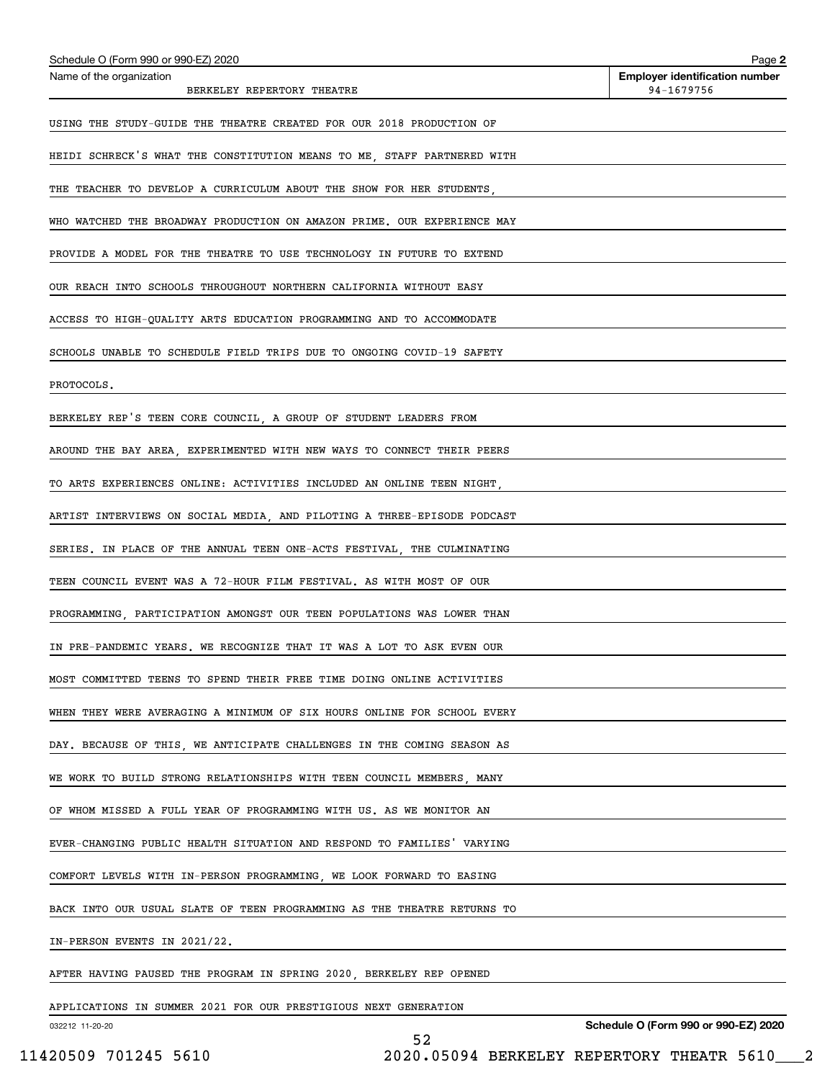| Schedule O (Form 990 or 990-EZ) 2020                                    | Page 2                                              |
|-------------------------------------------------------------------------|-----------------------------------------------------|
| Name of the organization<br>BERKELEY REPERTORY THEATRE                  | <b>Employer identification number</b><br>94-1679756 |
| USING THE STUDY-GUIDE THE THEATRE CREATED FOR OUR 2018 PRODUCTION OF    |                                                     |
| HEIDI SCHRECK'S WHAT THE CONSTITUTION MEANS TO ME, STAFF PARTNERED WITH |                                                     |
| THE TEACHER TO DEVELOP A CURRICULUM ABOUT THE SHOW FOR HER STUDENTS,    |                                                     |
| WHO WATCHED THE BROADWAY PRODUCTION ON AMAZON PRIME. OUR EXPERIENCE MAY |                                                     |
| PROVIDE A MODEL FOR THE THEATRE TO USE TECHNOLOGY IN FUTURE TO EXTEND   |                                                     |
| OUR REACH INTO SCHOOLS THROUGHOUT NORTHERN CALIFORNIA WITHOUT EASY      |                                                     |
| ACCESS TO HIGH-QUALITY ARTS EDUCATION PROGRAMMING AND TO ACCOMMODATE    |                                                     |
| SCHOOLS UNABLE TO SCHEDULE FIELD TRIPS DUE TO ONGOING COVID-19 SAFETY   |                                                     |
| PROTOCOLS.                                                              |                                                     |
| BERKELEY REP'S TEEN CORE COUNCIL, A GROUP OF STUDENT LEADERS FROM       |                                                     |
| AROUND THE BAY AREA, EXPERIMENTED WITH NEW WAYS TO CONNECT THEIR PEERS  |                                                     |
| TO ARTS EXPERIENCES ONLINE: ACTIVITIES INCLUDED AN ONLINE TEEN NIGHT,   |                                                     |
| ARTIST INTERVIEWS ON SOCIAL MEDIA, AND PILOTING A THREE-EPISODE PODCAST |                                                     |
| SERIES. IN PLACE OF THE ANNUAL TEEN ONE-ACTS FESTIVAL, THE CULMINATING  |                                                     |
| TEEN COUNCIL EVENT WAS A 72-HOUR FILM FESTIVAL. AS WITH MOST OF OUR     |                                                     |
| PROGRAMMING, PARTICIPATION AMONGST OUR TEEN POPULATIONS WAS LOWER THAN  |                                                     |
| IN PRE-PANDEMIC YEARS. WE RECOGNIZE THAT IT WAS A LOT TO ASK EVEN OUR   |                                                     |
| MOST COMMITTED TEENS TO SPEND THEIR FREE TIME DOING ONLINE ACTIVITIES   |                                                     |
| WHEN THEY WERE AVERAGING A MINIMUM OF SIX HOURS ONLINE FOR SCHOOL EVERY |                                                     |
| DAY. BECAUSE OF THIS, WE ANTICIPATE CHALLENGES IN THE COMING SEASON AS  |                                                     |
| WE WORK TO BUILD STRONG RELATIONSHIPS WITH TEEN COUNCIL MEMBERS, MANY   |                                                     |
| OF WHOM MISSED A FULL YEAR OF PROGRAMMING WITH US. AS WE MONITOR AN     |                                                     |
| EVER-CHANGING PUBLIC HEALTH SITUATION AND RESPOND TO FAMILIES' VARYING  |                                                     |
| COMFORT LEVELS WITH IN-PERSON PROGRAMMING, WE LOOK FORWARD TO EASING    |                                                     |
| BACK INTO OUR USUAL SLATE OF TEEN PROGRAMMING AS THE THEATRE RETURNS TO |                                                     |
| IN-PERSON EVENTS IN 2021/22.                                            |                                                     |
| AFTER HAVING PAUSED THE PROGRAM IN SPRING 2020, BERKELEY REP OPENED     |                                                     |
| APPLICATIONS IN SUMMER 2021 FOR OUR PRESTIGIOUS NEXT GENERATION         |                                                     |

032212 11-20-20

**Schedule O (Form 990 or 990-EZ) 2020**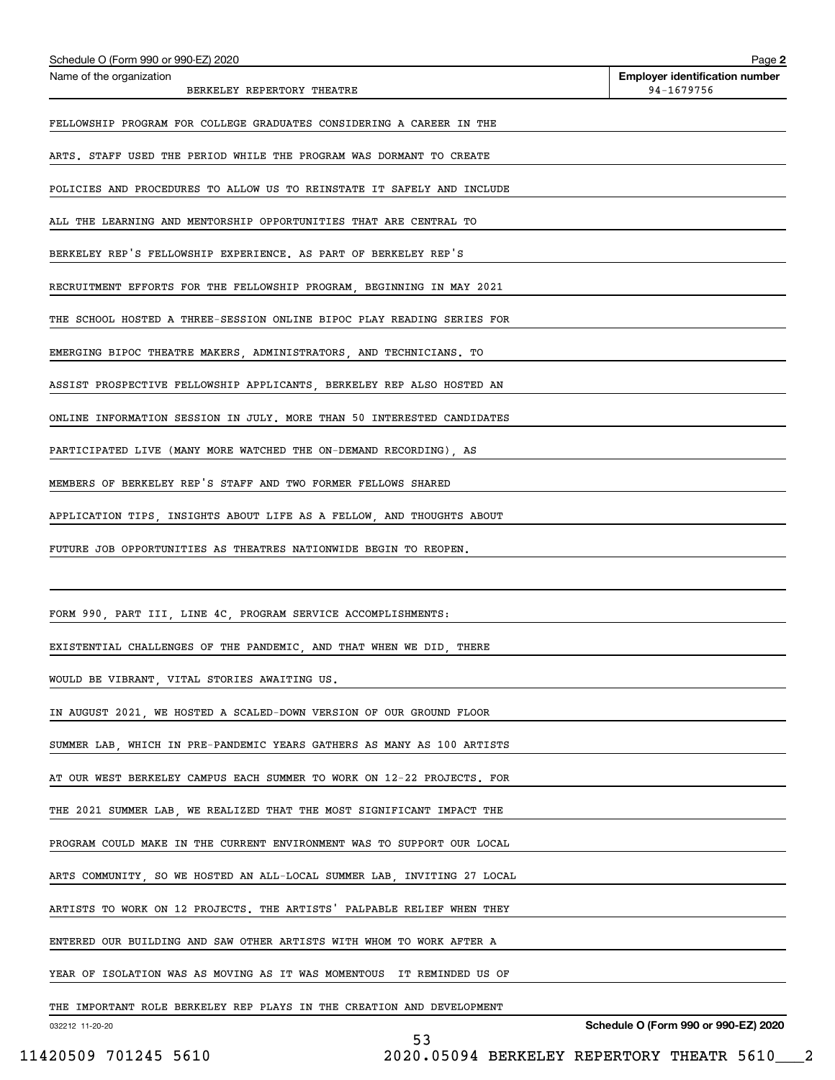| Schedule O (Form 990 or 990-EZ) 2020<br>Name of the organization        | Page 2<br><b>Employer identification number</b> |
|-------------------------------------------------------------------------|-------------------------------------------------|
| BERKELEY REPERTORY THEATRE                                              | 94-1679756                                      |
| FELLOWSHIP PROGRAM FOR COLLEGE GRADUATES CONSIDERING A CAREER IN THE    |                                                 |
| ARTS. STAFF USED THE PERIOD WHILE THE PROGRAM WAS DORMANT TO CREATE     |                                                 |
| POLICIES AND PROCEDURES TO ALLOW US TO REINSTATE IT SAFELY AND INCLUDE  |                                                 |
| ALL THE LEARNING AND MENTORSHIP OPPORTUNITIES THAT ARE CENTRAL TO       |                                                 |
| BERKELEY REP'S FELLOWSHIP EXPERIENCE. AS PART OF BERKELEY REP'S         |                                                 |
| RECRUITMENT EFFORTS FOR THE FELLOWSHIP PROGRAM, BEGINNING IN MAY 2021   |                                                 |
| THE SCHOOL HOSTED A THREE-SESSION ONLINE BIPOC PLAY READING SERIES FOR  |                                                 |
| EMERGING BIPOC THEATRE MAKERS, ADMINISTRATORS, AND TECHNICIANS. TO      |                                                 |
| ASSIST PROSPECTIVE FELLOWSHIP APPLICANTS, BERKELEY REP ALSO HOSTED AN   |                                                 |
| ONLINE INFORMATION SESSION IN JULY. MORE THAN 50 INTERESTED CANDIDATES  |                                                 |
| PARTICIPATED LIVE (MANY MORE WATCHED THE ON-DEMAND RECORDING), AS       |                                                 |
| MEMBERS OF BERKELEY REP'S STAFF AND TWO FORMER FELLOWS SHARED           |                                                 |
| APPLICATION TIPS, INSIGHTS ABOUT LIFE AS A FELLOW, AND THOUGHTS ABOUT   |                                                 |
| FUTURE JOB OPPORTUNITIES AS THEATRES NATIONWIDE BEGIN TO REOPEN.        |                                                 |
|                                                                         |                                                 |
| FORM 990, PART III, LINE 4C, PROGRAM SERVICE ACCOMPLISHMENTS:           |                                                 |
| EXISTENTIAL CHALLENGES OF THE PANDEMIC, AND THAT WHEN WE DID, THERE     |                                                 |
| WOULD BE VIBRANT, VITAL STORIES AWAITING US.                            |                                                 |
| IN AUGUST 2021, WE HOSTED A SCALED-DOWN VERSION OF OUR GROUND FLOOR     |                                                 |
| SUMMER LAB, WHICH IN PRE-PANDEMIC YEARS GATHERS AS MANY AS 100 ARTISTS  |                                                 |
| AT OUR WEST BERKELEY CAMPUS EACH SUMMER TO WORK ON 12-22 PROJECTS. FOR  |                                                 |
| THE 2021 SUMMER LAB, WE REALIZED THAT THE MOST SIGNIFICANT IMPACT THE   |                                                 |
| PROGRAM COULD MAKE IN THE CURRENT ENVIRONMENT WAS TO SUPPORT OUR LOCAL  |                                                 |
| ARTS COMMUNITY, SO WE HOSTED AN ALL-LOCAL SUMMER LAB, INVITING 27 LOCAL |                                                 |
| ARTISTS TO WORK ON 12 PROJECTS. THE ARTISTS' PALPABLE RELIEF WHEN THEY  |                                                 |
| ENTERED OUR BUILDING AND SAW OTHER ARTISTS WITH WHOM TO WORK AFTER A    |                                                 |
| YEAR OF ISOLATION WAS AS MOVING AS IT WAS MOMENTOUS IT REMINDED US OF   |                                                 |
| THE IMPORTANT ROLE BERKELEY REP PLAYS IN THE CREATION AND DEVELOPMENT   |                                                 |
| 032212 11-20-20<br>53                                                   | Schedule O (Form 990 or 990-EZ) 2020            |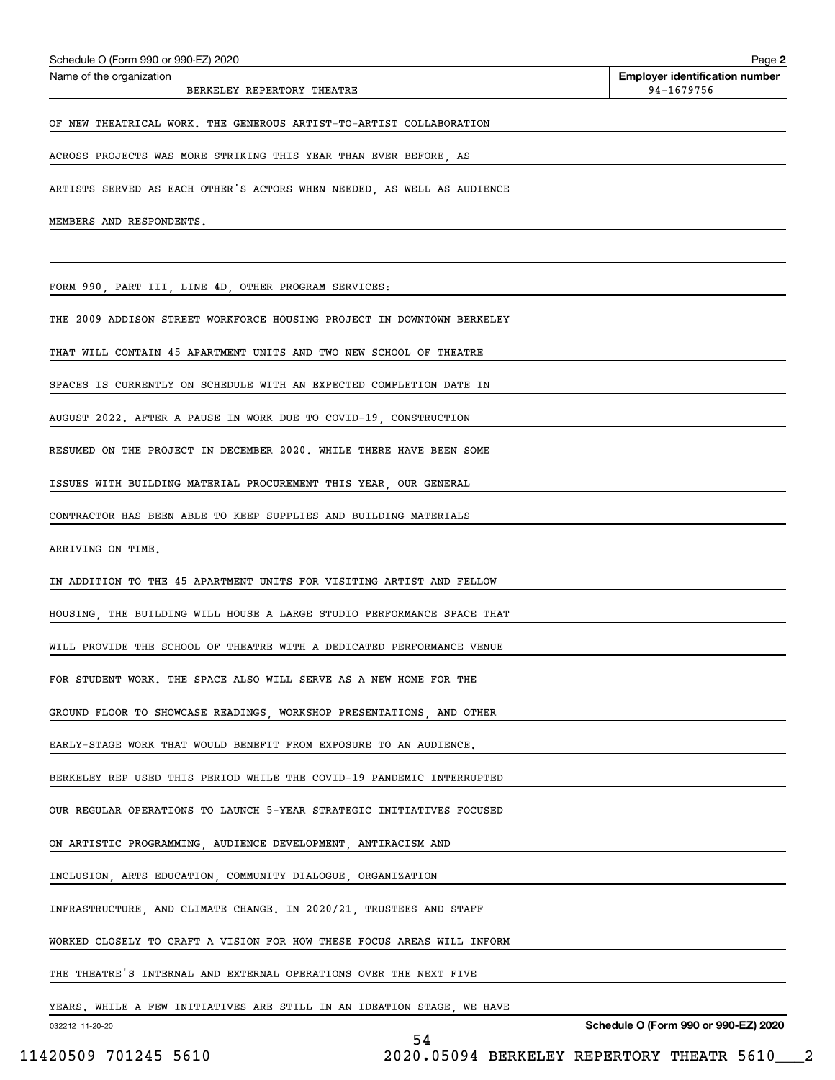| Schedule O (Form 990 or 990-EZ) 2020                                   | Page 2                                              |
|------------------------------------------------------------------------|-----------------------------------------------------|
| Name of the organization<br>BERKELEY REPERTORY THEATRE                 | <b>Employer identification number</b><br>94-1679756 |
| OF NEW THEATRICAL WORK. THE GENEROUS ARTIST-TO-ARTIST COLLABORATION    |                                                     |
| ACROSS PROJECTS WAS MORE STRIKING THIS YEAR THAN EVER BEFORE, AS       |                                                     |
| ARTISTS SERVED AS EACH OTHER'S ACTORS WHEN NEEDED, AS WELL AS AUDIENCE |                                                     |
| MEMBERS AND RESPONDENTS.                                               |                                                     |
|                                                                        |                                                     |
| FORM 990, PART III, LINE 4D, OTHER PROGRAM SERVICES:                   |                                                     |
| THE 2009 ADDISON STREET WORKFORCE HOUSING PROJECT IN DOWNTOWN BERKELEY |                                                     |
| THAT WILL CONTAIN 45 APARTMENT UNITS AND TWO NEW SCHOOL OF THEATRE     |                                                     |
| SPACES IS CURRENTLY ON SCHEDULE WITH AN EXPECTED COMPLETION DATE IN    |                                                     |
| AUGUST 2022. AFTER A PAUSE IN WORK DUE TO COVID-19, CONSTRUCTION       |                                                     |
| RESUMED ON THE PROJECT IN DECEMBER 2020. WHILE THERE HAVE BEEN SOME    |                                                     |
| ISSUES WITH BUILDING MATERIAL PROCUREMENT THIS YEAR, OUR GENERAL       |                                                     |
| CONTRACTOR HAS BEEN ABLE TO KEEP SUPPLIES AND BUILDING MATERIALS       |                                                     |
| ARRIVING ON TIME.                                                      |                                                     |
| IN ADDITION TO THE 45 APARTMENT UNITS FOR VISITING ARTIST AND FELLOW   |                                                     |
| HOUSING, THE BUILDING WILL HOUSE A LARGE STUDIO PERFORMANCE SPACE THAT |                                                     |
| WILL PROVIDE THE SCHOOL OF THEATRE WITH A DEDICATED PERFORMANCE VENUE  |                                                     |
| FOR STUDENT WORK. THE SPACE ALSO WILL SERVE AS A NEW HOME FOR THE      |                                                     |
| GROUND FLOOR TO SHOWCASE READINGS, WORKSHOP PRESENTATIONS, AND OTHER   |                                                     |
| EARLY-STAGE WORK THAT WOULD BENEFIT FROM EXPOSURE TO AN AUDIENCE.      |                                                     |
| BERKELEY REP USED THIS PERIOD WHILE THE COVID-19 PANDEMIC INTERRUPTED  |                                                     |
| OUR REGULAR OPERATIONS TO LAUNCH 5-YEAR STRATEGIC INITIATIVES FOCUSED  |                                                     |
| ON ARTISTIC PROGRAMMING, AUDIENCE DEVELOPMENT, ANTIRACISM AND          |                                                     |
| INCLUSION, ARTS EDUCATION, COMMUNITY DIALOGUE, ORGANIZATION            |                                                     |
| INFRASTRUCTURE, AND CLIMATE CHANGE. IN 2020/21, TRUSTEES AND STAFF     |                                                     |
| WORKED CLOSELY TO CRAFT A VISION FOR HOW THESE FOCUS AREAS WILL INFORM |                                                     |
| THE THEATRE'S INTERNAL AND EXTERNAL OPERATIONS OVER THE NEXT FIVE      |                                                     |
| YEARS. WHILE A FEW INITIATIVES ARE STILL IN AN IDEATION STAGE, WE HAVE |                                                     |
| 032212 11-20-20<br>54                                                  | Schedule O (Form 990 or 990-EZ) 2020                |

11420509 701245 5610 2020.05094 BERKELEY REPERTORY THEATR 5610\_\_\_2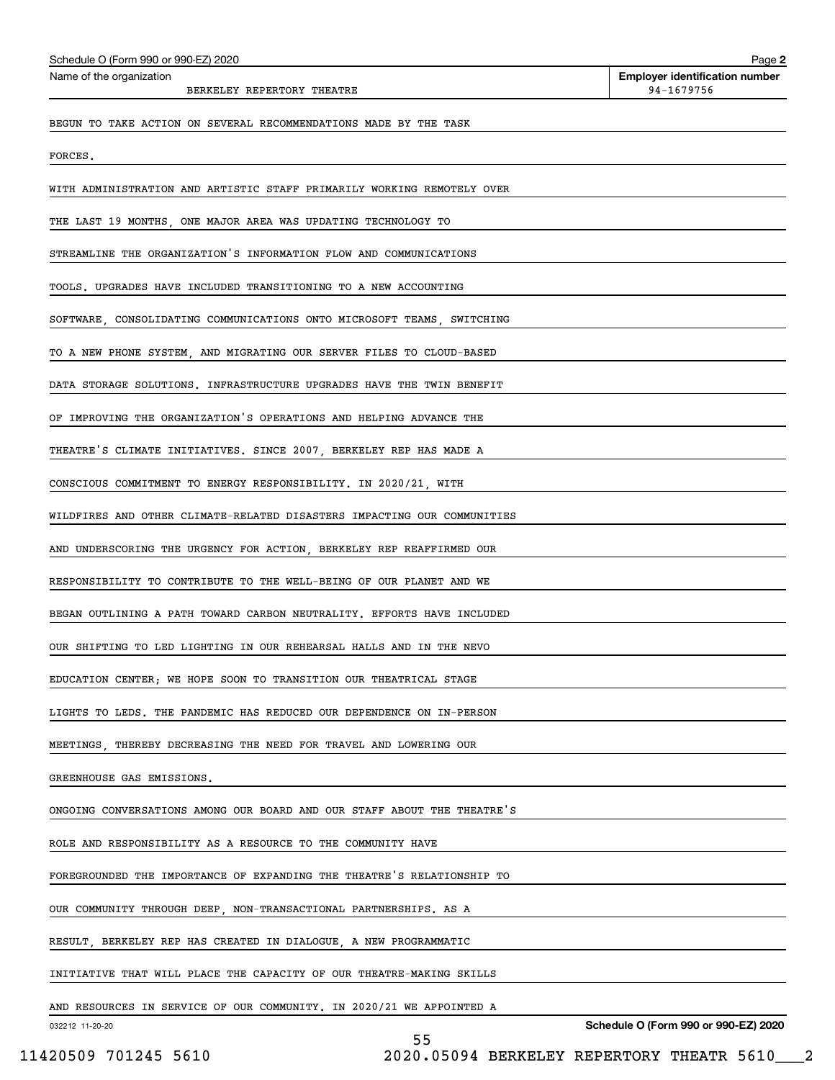| Schedule O (Form 990 or 990-EZ) 2020                                    | Page 2                                              |
|-------------------------------------------------------------------------|-----------------------------------------------------|
| Name of the organization<br>BERKELEY REPERTORY THEATRE                  | <b>Employer identification number</b><br>94-1679756 |
| BEGUN TO TAKE ACTION ON SEVERAL RECOMMENDATIONS MADE BY THE TASK        |                                                     |
| FORCES.                                                                 |                                                     |
| WITH ADMINISTRATION AND ARTISTIC STAFF PRIMARILY WORKING REMOTELY OVER  |                                                     |
| THE LAST 19 MONTHS, ONE MAJOR AREA WAS UPDATING TECHNOLOGY TO           |                                                     |
| STREAMLINE THE ORGANIZATION'S INFORMATION FLOW AND COMMUNICATIONS       |                                                     |
| TOOLS. UPGRADES HAVE INCLUDED TRANSITIONING TO A NEW ACCOUNTING         |                                                     |
| SOFTWARE, CONSOLIDATING COMMUNICATIONS ONTO MICROSOFT TEAMS, SWITCHING  |                                                     |
| TO A NEW PHONE SYSTEM, AND MIGRATING OUR SERVER FILES TO CLOUD-BASED    |                                                     |
| DATA STORAGE SOLUTIONS. INFRASTRUCTURE UPGRADES HAVE THE TWIN BENEFIT   |                                                     |
| OF IMPROVING THE ORGANIZATION'S OPERATIONS AND HELPING ADVANCE THE      |                                                     |
| THEATRE'S CLIMATE INITIATIVES. SINCE 2007, BERKELEY REP HAS MADE A      |                                                     |
| CONSCIOUS COMMITMENT TO ENERGY RESPONSIBILITY. IN 2020/21, WITH         |                                                     |
| WILDFIRES AND OTHER CLIMATE-RELATED DISASTERS IMPACTING OUR COMMUNITIES |                                                     |
| AND UNDERSCORING THE URGENCY FOR ACTION, BERKELEY REP REAFFIRMED OUR    |                                                     |
| RESPONSIBILITY TO CONTRIBUTE TO THE WELL-BEING OF OUR PLANET AND WE     |                                                     |
| BEGAN OUTLINING A PATH TOWARD CARBON NEUTRALITY. EFFORTS HAVE INCLUDED  |                                                     |
| OUR SHIFTING TO LED LIGHTING IN OUR REHEARSAL HALLS AND IN THE NEVO     |                                                     |
| EDUCATION CENTER; WE HOPE SOON TO TRANSITION OUR THEATRICAL STAGE       |                                                     |
| LIGHTS TO LEDS. THE PANDEMIC HAS REDUCED OUR DEPENDENCE ON IN-PERSON    |                                                     |
| MEETINGS, THEREBY DECREASING THE NEED FOR TRAVEL AND LOWERING OUR       |                                                     |
| GREENHOUSE GAS EMISSIONS.                                               |                                                     |
| ONGOING CONVERSATIONS AMONG OUR BOARD AND OUR STAFF ABOUT THE THEATRE'S |                                                     |
| ROLE AND RESPONSIBILITY AS A RESOURCE TO THE COMMUNITY HAVE             |                                                     |
| FOREGROUNDED THE IMPORTANCE OF EXPANDING THE THEATRE'S RELATIONSHIP TO  |                                                     |
| OUR COMMUNITY THROUGH DEEP, NON-TRANSACTIONAL PARTNERSHIPS. AS A        |                                                     |
| RESULT, BERKELEY REP HAS CREATED IN DIALOGUE, A NEW PROGRAMMATIC        |                                                     |
| INITIATIVE THAT WILL PLACE THE CAPACITY OF OUR THEATRE-MAKING SKILLS    |                                                     |
| AND RESOURCES IN SERVICE OF OUR COMMUNITY. IN 2020/21 WE APPOINTED A    |                                                     |
| 032212 11-20-20                                                         | Schedule O (Form 990 or 990-EZ) 2020                |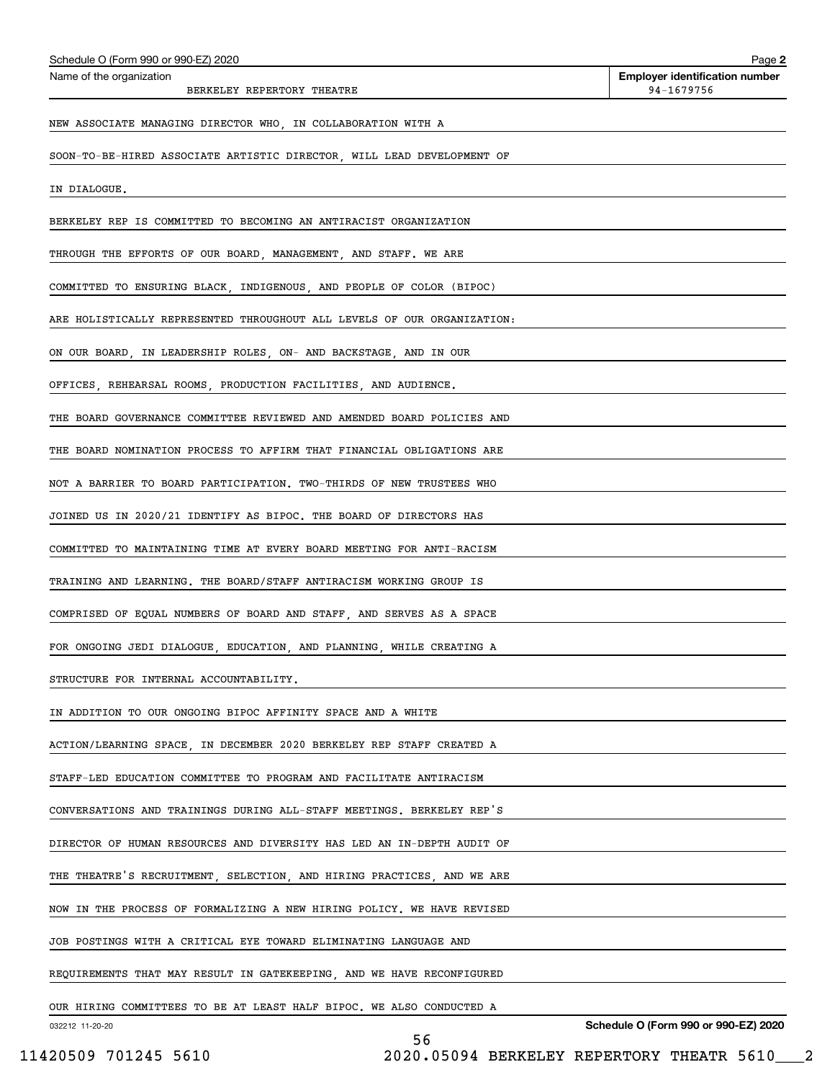| Schedule O (Form 990 or 990-EZ) 2020                                    | Page 2                                              |
|-------------------------------------------------------------------------|-----------------------------------------------------|
| Name of the organization<br>BERKELEY REPERTORY THEATRE                  | <b>Employer identification number</b><br>94-1679756 |
| NEW ASSOCIATE MANAGING DIRECTOR WHO, IN COLLABORATION WITH A            |                                                     |
| SOON-TO-BE-HIRED ASSOCIATE ARTISTIC DIRECTOR, WILL LEAD DEVELOPMENT OF  |                                                     |
| IN DIALOGUE.                                                            |                                                     |
| BERKELEY REP IS COMMITTED TO BECOMING AN ANTIRACIST ORGANIZATION        |                                                     |
| THROUGH THE EFFORTS OF OUR BOARD, MANAGEMENT, AND STAFF. WE ARE         |                                                     |
| COMMITTED TO ENSURING BLACK, INDIGENOUS, AND PEOPLE OF COLOR (BIPOC)    |                                                     |
| ARE HOLISTICALLY REPRESENTED THROUGHOUT ALL LEVELS OF OUR ORGANIZATION: |                                                     |
| ON OUR BOARD. IN LEADERSHIP ROLES. ON- AND BACKSTAGE. AND IN OUR        |                                                     |
| OFFICES, REHEARSAL ROOMS, PRODUCTION FACILITIES, AND AUDIENCE.          |                                                     |
| THE BOARD GOVERNANCE COMMITTEE REVIEWED AND AMENDED BOARD POLICIES AND  |                                                     |
| THE BOARD NOMINATION PROCESS TO AFFIRM THAT FINANCIAL OBLIGATIONS ARE   |                                                     |
| NOT A BARRIER TO BOARD PARTICIPATION. TWO-THIRDS OF NEW TRUSTEES WHO    |                                                     |
| JOINED US IN 2020/21 IDENTIFY AS BIPOC. THE BOARD OF DIRECTORS HAS      |                                                     |
| COMMITTED TO MAINTAINING TIME AT EVERY BOARD MEETING FOR ANTI-RACISM    |                                                     |
| TRAINING AND LEARNING. THE BOARD/STAFF ANTIRACISM WORKING GROUP IS      |                                                     |
| COMPRISED OF EQUAL NUMBERS OF BOARD AND STAFF, AND SERVES AS A SPACE    |                                                     |
| FOR ONGOING JEDI DIALOGUE, EDUCATION, AND PLANNING, WHILE CREATING A    |                                                     |
| STRUCTURE FOR INTERNAL ACCOUNTABILITY.                                  |                                                     |
| IN ADDITION TO OUR ONGOING BIPOC AFFINITY SPACE AND A WHITE             |                                                     |
| ACTION/LEARNING SPACE  IN DECEMBER 2020 BERKELEY REP STAFF CREATED A    |                                                     |
| STAFF-LED EDUCATION COMMITTEE TO PROGRAM AND FACILITATE ANTIRACISM      |                                                     |
| CONVERSATIONS AND TRAININGS DURING ALL-STAFF MEETINGS. BERKELEY REP'S   |                                                     |
| DIRECTOR OF HUMAN RESOURCES AND DIVERSITY HAS LED AN IN-DEPTH AUDIT OF  |                                                     |
| THE THEATRE'S RECRUITMENT, SELECTION, AND HIRING PRACTICES, AND WE ARE  |                                                     |
| NOW IN THE PROCESS OF FORMALIZING A NEW HIRING POLICY. WE HAVE REVISED  |                                                     |
| JOB POSTINGS WITH A CRITICAL EYE TOWARD ELIMINATING LANGUAGE AND        |                                                     |
| REQUIREMENTS THAT MAY RESULT IN GATEKEEPING, AND WE HAVE RECONFIGURED   |                                                     |
| OUR HIRING COMMITTEES TO BE AT LEAST HALF BIPOC. WE ALSO CONDUCTED A    |                                                     |
| 032212 11-20-20                                                         | Schedule O (Form 990 or 990-EZ) 2020                |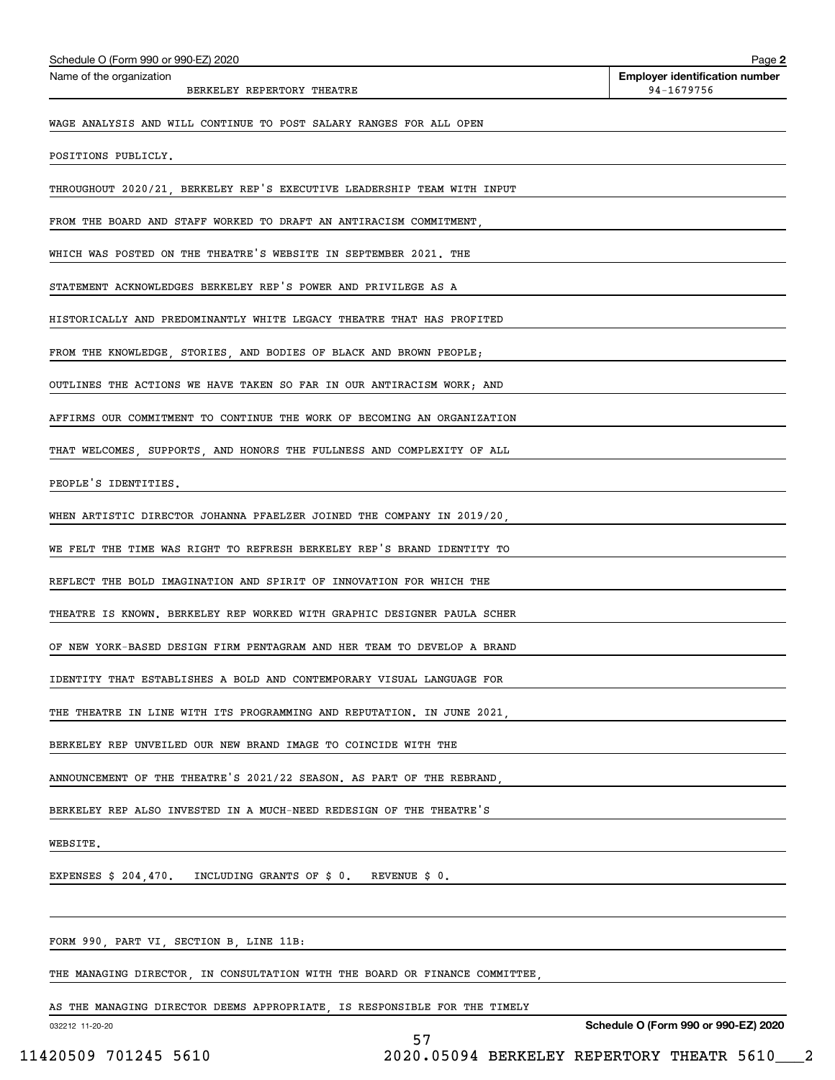| Schedule O (Form 990 or 990-EZ) 2020                                                                                                 | Page 2                                              |
|--------------------------------------------------------------------------------------------------------------------------------------|-----------------------------------------------------|
| Name of the organization<br>BERKELEY REPERTORY THEATRE                                                                               | <b>Employer identification number</b><br>94-1679756 |
| WAGE ANALYSIS AND WILL CONTINUE TO POST SALARY RANGES FOR ALL OPEN                                                                   |                                                     |
| POSITIONS PUBLICLY.                                                                                                                  |                                                     |
| THROUGHOUT 2020/21, BERKELEY REP'S EXECUTIVE LEADERSHIP TEAM WITH INPUT                                                              |                                                     |
| FROM THE BOARD AND STAFF WORKED TO DRAFT AN ANTIRACISM COMMITMENT,                                                                   |                                                     |
| WHICH WAS POSTED ON THE THEATRE'S WEBSITE IN SEPTEMBER 2021. THE                                                                     |                                                     |
| STATEMENT ACKNOWLEDGES BERKELEY REP'S POWER AND PRIVILEGE AS A                                                                       |                                                     |
| HISTORICALLY AND PREDOMINANTLY WHITE LEGACY THEATRE THAT HAS PROFITED                                                                |                                                     |
| FROM THE KNOWLEDGE. STORIES. AND BODIES OF BLACK AND BROWN PEOPLE:                                                                   |                                                     |
| OUTLINES THE ACTIONS WE HAVE TAKEN SO FAR IN OUR ANTIRACISM WORK; AND                                                                |                                                     |
| AFFIRMS OUR COMMITMENT TO CONTINUE THE WORK OF BECOMING AN ORGANIZATION                                                              |                                                     |
| THAT WELCOMES, SUPPORTS, AND HONORS THE FULLNESS AND COMPLEXITY OF ALL                                                               |                                                     |
| PEOPLE'S IDENTITIES.                                                                                                                 |                                                     |
| WHEN ARTISTIC DIRECTOR JOHANNA PFAELZER JOINED THE COMPANY IN 2019/20,                                                               |                                                     |
| WE FELT THE TIME WAS RIGHT TO REFRESH BERKELEY REP'S BRAND IDENTITY TO                                                               |                                                     |
| REFLECT THE BOLD IMAGINATION AND SPIRIT OF INNOVATION FOR WHICH THE                                                                  |                                                     |
| THEATRE IS KNOWN. BERKELEY REP WORKED WITH GRAPHIC DESIGNER PAULA SCHER                                                              |                                                     |
| OF NEW YORK-BASED DESIGN FIRM PENTAGRAM AND HER TEAM TO DEVELOP A BRAND                                                              |                                                     |
| IDENTITY THAT ESTABLISHES A BOLD AND CONTEMPORARY VISUAL LANGUAGE FOR                                                                |                                                     |
| THE THEATRE IN LINE WITH ITS PROGRAMMING AND REPUTATION. IN JUNE 2021, THE THEATRE IN LINE WITH ITS                                  |                                                     |
| BERKELEY REP UNVEILED OUR NEW BRAND IMAGE TO COINCIDE WITH THE                                                                       |                                                     |
| ANNOUNCEMENT OF THE THEATRE'S 2021/22 SEASON. AS PART OF THE REBRAND,                                                                |                                                     |
| BERKELEY REP ALSO INVESTED IN A MUCH-NEED REDESIGN OF THE THEATRE'S                                                                  |                                                     |
| WEBSITE.                                                                                                                             |                                                     |
| EXPENSES $$204,470$ . INCLUDING GRANTS OF $$0$ . REVENUE $$0$ .                                                                      |                                                     |
|                                                                                                                                      |                                                     |
| FORM 990, PART VI, SECTION B, LINE 11B:<br>the control of the control of the control of the control of the control of the control of |                                                     |
| THE MANAGING DIRECTOR, IN CONSULTATION WITH THE BOARD OR FINANCE COMMITTEE,                                                          |                                                     |
| AS THE MANAGING DIRECTOR DEEMS APPROPRIATE, IS RESPONSIBLE FOR THE TIMELY                                                            |                                                     |

032212 11-20-20

**Schedule O (Form 990 or 990-EZ) 2020**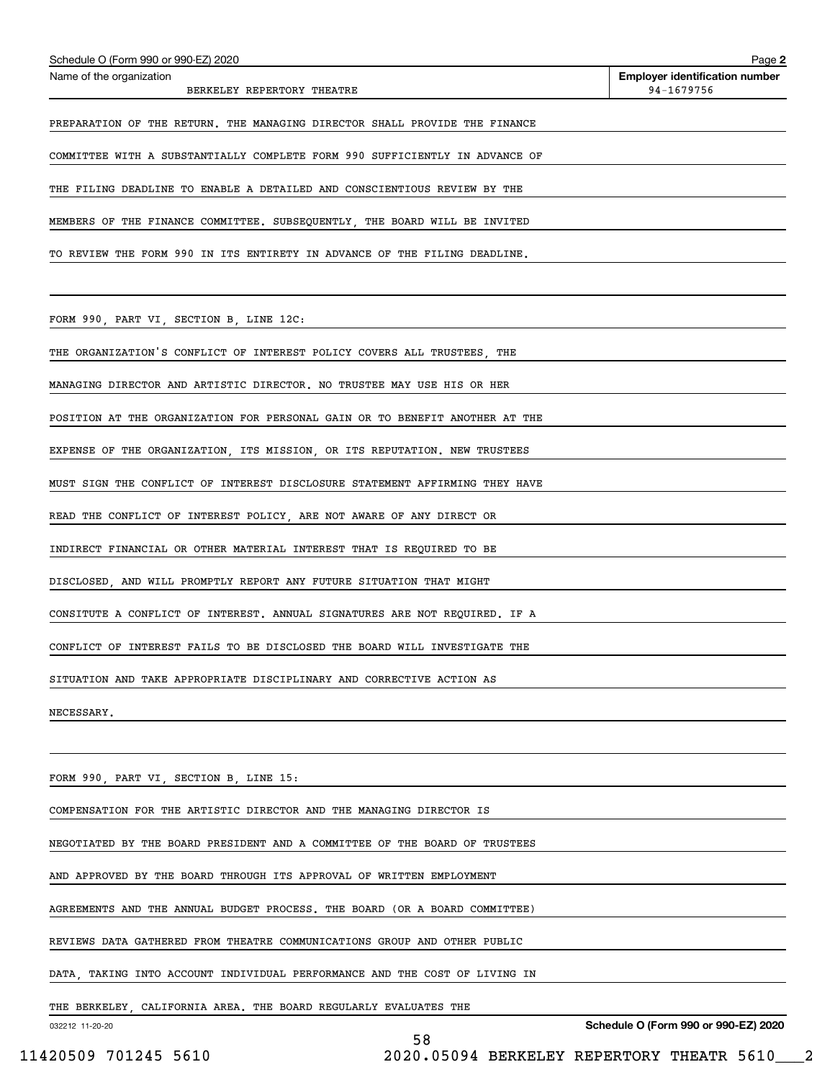| Schedule O (Form 990 or 990-EZ) 2020                                                | Page 2                                              |
|-------------------------------------------------------------------------------------|-----------------------------------------------------|
| Name of the organization<br>BERKELEY REPERTORY THEATRE                              | <b>Employer identification number</b><br>94-1679756 |
| PREPARATION OF THE RETURN. THE MANAGING DIRECTOR SHALL PROVIDE THE FINANCE          |                                                     |
| COMMITTEE WITH A SUBSTANTIALLY COMPLETE FORM 990 SUFFICIENTLY IN ADVANCE OF         |                                                     |
| THE FILING DEADLINE TO ENABLE A DETAILED AND CONSCIENTIOUS REVIEW BY THE            |                                                     |
| MEMBERS OF THE FINANCE COMMITTEE. SUBSEQUENTLY, THE BOARD WILL BE INVITED           |                                                     |
| TO REVIEW THE FORM 990 IN ITS ENTIRETY IN ADVANCE OF THE FILING DEADLINE.           |                                                     |
|                                                                                     |                                                     |
| FORM 990, PART VI, SECTION B, LINE 12C:                                             |                                                     |
| THE ORGANIZATION'S CONFLICT OF INTEREST POLICY COVERS ALL TRUSTEES, THE             |                                                     |
| MANAGING DIRECTOR AND ARTISTIC DIRECTOR. NO TRUSTEE MAY USE HIS OR HER              |                                                     |
| POSITION AT THE ORGANIZATION FOR PERSONAL GAIN OR TO BENEFIT ANOTHER AT THE         |                                                     |
| EXPENSE OF THE ORGANIZATION, ITS MISSION, OR ITS REPUTATION. NEW TRUSTEES           |                                                     |
| MUST SIGN THE CONFLICT OF INTEREST DISCLOSURE STATEMENT AFFIRMING THEY HAVE         |                                                     |
| READ THE CONFLICT OF INTEREST POLICY, ARE NOT AWARE OF ANY DIRECT OR                |                                                     |
| INDIRECT FINANCIAL OR OTHER MATERIAL INTEREST THAT IS REQUIRED TO BE                |                                                     |
| DISCLOSED, AND WILL PROMPTLY REPORT ANY FUTURE SITUATION THAT MIGHT                 |                                                     |
| CONSITUTE A CONFLICT OF INTEREST. ANNUAL SIGNATURES ARE NOT REQUIRED. IF A          |                                                     |
| CONFLICT OF INTEREST FAILS TO BE DISCLOSED THE BOARD WILL INVESTIGATE THE           |                                                     |
| SITUATION AND TAKE APPROPRIATE DISCIPLINARY AND CORRECTIVE ACTION AS                |                                                     |
| NECESSARY.                                                                          |                                                     |
|                                                                                     |                                                     |
| FORM 990, PART VI, SECTION B, LINE 15:                                              |                                                     |
| COMPENSATION FOR THE ARTISTIC DIRECTOR AND THE MANAGING DIRECTOR IS                 |                                                     |
| NEGOTIATED BY THE BOARD PRESIDENT AND A COMMITTEE OF THE BOARD OF TRUSTEES          |                                                     |
| AND APPROVED BY THE BOARD THROUGH ITS APPROVAL OF WRITTEN EMPLOYMENT                |                                                     |
| AGREEMENTS AND THE ANNUAL BUDGET PROCESS. THE BOARD (OR A BOARD COMMITTEE)          |                                                     |
| REVIEWS DATA GATHERED FROM THEATRE COMMUNICATIONS GROUP AND OTHER PUBLIC            |                                                     |
| DATA, TAKING INTO ACCOUNT INDIVIDUAL PERFORMANCE AND THE COST OF LIVING IN          |                                                     |
| THE BERKELEY, CALIFORNIA AREA. THE BOARD REGULARLY EVALUATES THE<br>032212 11-20-20 | Schedule O (Form 990 or 990-EZ) 2020                |
| 58                                                                                  |                                                     |